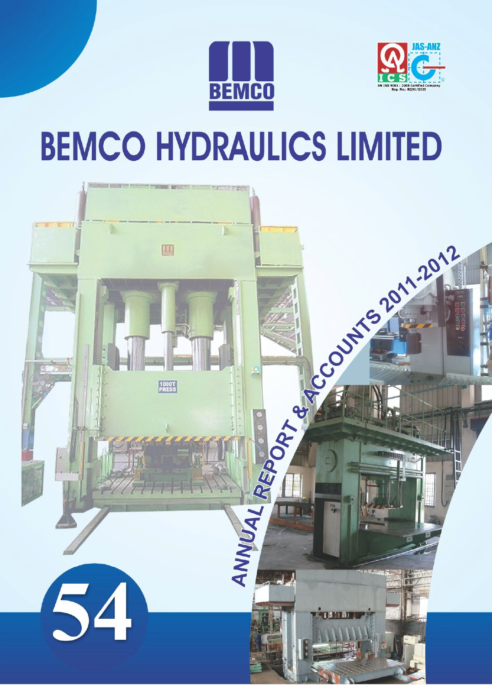



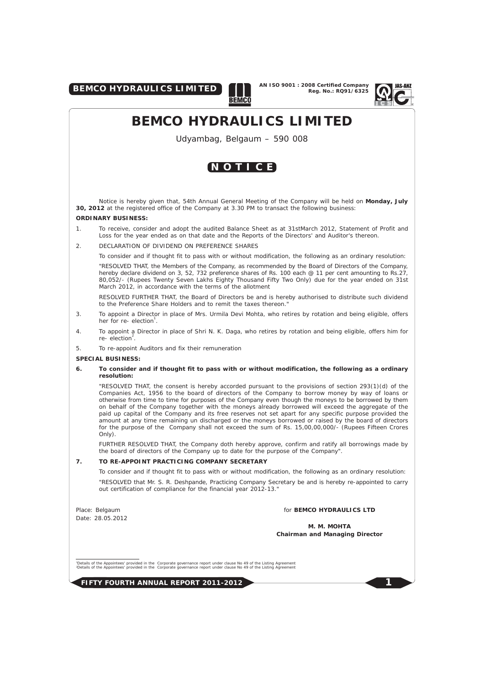**AN ISO 9001 : 2008 Certified Company Reg. No.: RQ91/6325**



# **BEMCO HYDRAULICS LIMITED**

**BEMCO** 

Udyambag, Belgaum – 590 008



Notice is hereby given that, 54th Annual General Meeting of the Company will be held on **Monday, July 30, 2012** at the registered office of the Company at 3.30 PM to transact the following business:

#### **ORDINARY BUSINESS:**

- 1. To receive, consider and adopt the audited Balance Sheet as at 31stMarch 2012, Statement of Profit and Loss for the year ended as on that date and the Reports of the Directors' and Auditor's thereon.
- 2. DECLARATION OF DIVIDEND ON PREFERENCE SHARES

To consider and if thought fit to pass with or without modification, the following as an ordinary resolution:

"RESOLVED THAT, the Members of the Company, as recommended by the Board of Directors of the Company, hereby declare dividend on 3, 52, 732 preference shares of Rs. 100 each @ 11 per cent amounting to Rs.27, 80,052/- (Rupees Twenty Seven Lakhs Eighty Thousand Fifty Two Only) due for the year ended on 31st March 2012, in accordance with the terms of the allotment

RESOLVED FURTHER THAT, the Board of Directors be and is hereby authorised to distribute such dividend to the Preference Share Holders and to remit the taxes thereon."

- 3. To appoint a Director in place of Mrs. Urmila Devi Mohta, who retires by rotation and being eligible, offers her for re- election .
- 4. To appoint a Director in place of Shri N. K. Daga, who retires by rotation and being eligible, offers him for re- election<sup>2</sup> .
- 5. To re-appoint Auditors and fix their remuneration

#### **SPECIAL BUSINESS:**

**6. To consider and if thought fit to pass with or without modification, the following as a ordinary resolution:**

"RESOLVED THAT, the consent is hereby accorded pursuant to the provisions of section 293(1)(d) of the Companies Act, 1956 to the board of directors of the Company to borrow money by way of loans or otherwise from time to time for purposes of the Company even though the moneys to be borrowed by them on behalf of the Company together with the moneys already borrowed will exceed the aggregate of the paid up capital of the Company and its free reserves not set apart for any specific purpose provided the amount at any time remaining un discharged or the moneys borrowed or raised by the board of directors for the purpose of the Company shall not exceed the sum of Rs. 15,00,00,000/- (Rupees Fifteen Crores Only).

FURTHER RESOLVED THAT, the Company doth hereby approve, confirm and ratify all borrowings made by the board of directors of the Company up to date for the purpose of the Company".

#### **7. TO RE-APPOINT PRACTICING COMPANY SECRETARY**

To consider and if thought fit to pass with or without modification, the following as an ordinary resolution: "RESOLVED that Mr. S. R. Deshpande, Practicing Company Secretary be and is hereby re-appointed to carry out certification of compliance for the financial year 2012-13.

Date: 28.05.2012

#### Place: Belgaum **and The Contract of the Contract of the Contract of the BEMCO HYDRAULICS LTD**

**M. M. MOHTA Chairman and Managing Director**

<sup>1</sup>Details of the Appointees' provided in the Corporate governance report under clause No 49 of the Listing Agreement<br><sup>2</sup>Details of the Appointees' provided in the Corporate governance report under clause No 49 of the List

**FIFTY FOURTH ANNUAL REPORT 2011-2012**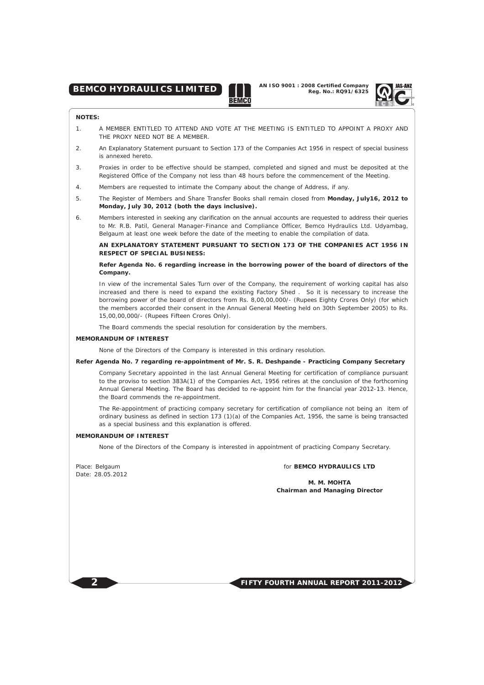**BEMCO HYDRAULICS LIMITED AN ISO 9001 : 2008 Certified Company BEMCO HYDRAULICS LIMITED Reg. No.: RQ91/6325**



#### **NOTES:**

1. A MEMBER ENTITLED TO ATTEND AND VOTE AT THE MEETING IS ENTITLED TO APPOINT A PROXY AND THE PROXY NEED NOT BE A MEMBER.

**BEMCO** 

- 2. An Explanatory Statement pursuant to Section 173 of the Companies Act 1956 in respect of special business is annexed hereto.
- 3. Proxies in order to be effective should be stamped, completed and signed and must be deposited at the Registered Office of the Company not less than 48 hours before the commencement of the Meeting.
- 4. Members are requested to intimate the Company about the change of Address, if any.
- 5. The Register of Members and Share Transfer Books shall remain closed from **Monday, July16, 2012 to Monday, July 30, 2012 (both the days inclusive).**
- 6. Members interested in seeking any clarification on the annual accounts are requested to address their queries to Mr. R.B. Patil, General Manager-Finance and Compliance Officer, Bemco Hydraulics Ltd. Udyambag, Belgaum at least one week before the date of the meeting to enable the compilation of data.

**AN EXPLANATORY STATEMENT PURSUANT TO SECTION 173 OF THE COMPANIES ACT 1956 IN RESPECT OF SPECIAL BUSINESS:**

#### **Refer Agenda No. 6 regarding increase in the borrowing power of the board of directors of the Company.**

In view of the incremental Sales Turn over of the Company, the requirement of working capital has also increased and there is need to expand the existing Factory Shed . So it is necessary to increase the borrowing power of the board of directors from Rs. 8,00,00,000/- (Rupees Eighty Crores Only) (for which the members accorded their consent in the Annual General Meeting held on 30th September 2005) to Rs. 15,00,00,000/- (Rupees Fifteen Crores Only).

The Board commends the special resolution for consideration by the members.

#### **MEMORANDUM OF INTEREST**

None of the Directors of the Company is interested in this ordinary resolution.

#### **Refer Agenda No. 7 regarding re-appointment of Mr. S. R. Deshpande - Practicing Company Secretary**

Company Secretary appointed in the last Annual General Meeting for certification of compliance pursuant to the proviso to section 383A(1) of the Companies Act, 1956 retires at the conclusion of the forthcoming Annual General Meeting. The Board has decided to re-appoint him for the financial year 2012-13. Hence, the Board commends the re-appointment.

The Re-appointment of practicing company secretary for certification of compliance not being an item of ordinary business as defined in section 173 (1)(a) of the Companies Act, 1956, the same is being transacted as a special business and this explanation is offered.

#### **MEMORANDUM OF INTEREST**

None of the Directors of the Company is interested in appointment of practicing Company Secretary.

Date: 28.05.2012

#### Place: Belgaum for **BEMCO HYDRAULICS LTD**

**M. M. MOHTA Chairman and Managing Director**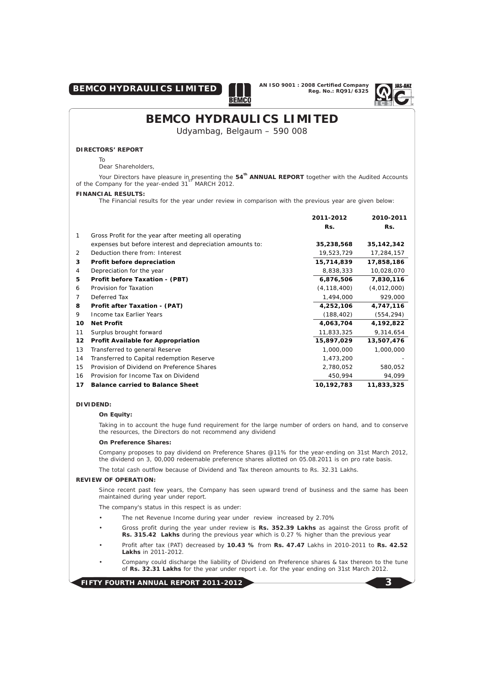**AN ISO 9001 : 2008 Certified Company Reg. No.: RQ91/6325**



# **BEMCO HYDRAULICS LIMITED**

**BEMCO** 

Udyambag, Belgaum – 590 008

#### **DIRECTORS' REPORT** To

Dear Shareholders,

Your Directors have pleasure in presenting the 54<sup>th</sup> ANNUAL REPORT together with the Audited Accounts of the Company for the year-ended  $31<sup>ST</sup>$  MARCH 2012.

#### **FINANCIAL RESULTS:**

The Financial results for the year under review in comparison with the previous year are given below:

|    |                                                           | 2011-2012     | 2010-2011    |
|----|-----------------------------------------------------------|---------------|--------------|
|    |                                                           | Rs.           | Rs.          |
| 1  | Gross Profit for the year after meeting all operating     |               |              |
|    | expenses but before interest and depreciation amounts to: | 35,238,568    | 35, 142, 342 |
| 2  | Deduction there from: Interest                            | 19,523,729    | 17,284,157   |
| 3  | Profit before depreciation                                | 15,714,839    | 17,858,186   |
| 4  | Depreciation for the year                                 | 8,838,333     | 10,028,070   |
| 5  | Profit before Taxation - (PBT)                            | 6,876,506     | 7,830,116    |
| 6  | Provision for Taxation                                    | (4, 118, 400) | (4,012,000)  |
| 7  | Deferred Tax                                              | 1,494,000     | 929,000      |
| 8  | Profit after Taxation - (PAT)                             | 4,252,106     | 4,747,116    |
| 9  | Income tax Earlier Years                                  | (188, 402)    | (554, 294)   |
| 10 | <b>Net Profit</b>                                         | 4,063,704     | 4,192,822    |
| 11 | Surplus brought forward                                   | 11,833,325    | 9,314,654    |
| 12 | <b>Profit Available for Appropriation</b>                 | 15,897,029    | 13,507,476   |
| 13 | Transferred to general Reserve                            | 1,000,000     | 1,000,000    |
| 14 | Transferred to Capital redemption Reserve                 | 1,473,200     |              |
| 15 | Provision of Dividend on Preference Shares                | 2,780,052     | 580,052      |
| 16 | Provision for Income Tax on Dividend                      | 450,994       | 94,099       |
| 17 | <b>Balance carried to Balance Sheet</b>                   | 10,192,783    | 11,833,325   |

#### **DIVIDEND:**

#### **On Equity:**

Taking in to account the huge fund requirement for the large number of orders on hand, and to conserve the resources, the Directors do not recommend any dividend

#### **On Preference Shares:**

Company proposes to pay dividend on Preference Shares @11% for the year-ending on 31st March 2012, the dividend on 3, 00,000 redeemable preference shares allotted on 05.08.2011 is on pro rate basis.

The total cash outflow because of Dividend and Tax thereon amounts to Rs. 32.31 Lakhs.

#### **REVIEW OF OPERATION:**

Since recent past few years, the Company has seen upward trend of business and the same has been maintained during year under report.

The company's status in this respect is as under:

- The net Revenue Income during year under review increased by 2.70%
- Gross profit during the year under review is **Rs. 352.39 Lakhs** as against the Gross profit of **Rs. 315.42 Lakhs** during the previous year which is 0.27 % higher than the previous year
- Profit after tax (PAT) decreased by **10.43 %** from **Rs. 47.47** Lakhs in 2010-2011 to **Rs. 42.52 Lakhs** in 2011-2012.
- Company could discharge the liability of Dividend on Preference shares & tax thereon to the tune of **Rs. 32.31 Lakhs** for the year under report i.e. for the year ending on 31st March 2012.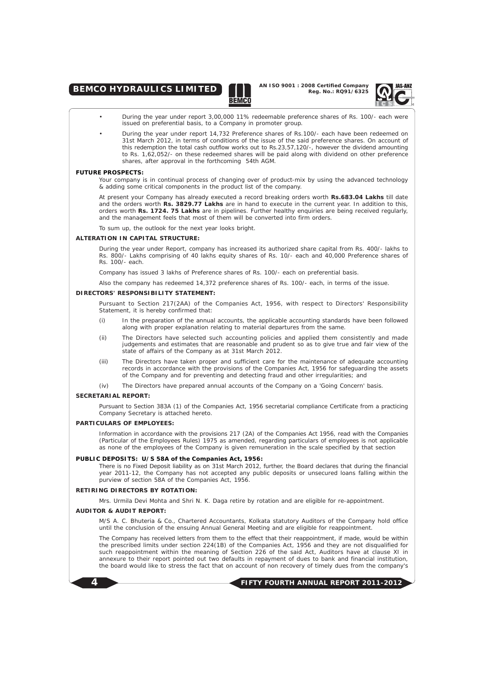# **BEMCO HYDRAULICS LIMITED AN ISO 9001 : 2008 Certified Company BEMCO HYDRAULICS LIMITED**

**Reg. No.: RQ91/6325**



• During the year under report 3,00,000 11% redeemable preference shares of Rs. 100/- each were issued on preferential basis, to a Company in promoter group.

**BEMCO** 

• During the year under report 14,732 Preference shares of Rs.100/- each have been redeemed on 31st March 2012, in terms of conditions of the issue of the said preference shares. On account of this redemption the total cash outflow works out to Rs.23,57,120/-, however the dividend amounting to Rs. 1,62,052/- on these redeemed shares will be paid along with dividend on other preference shares, after approval in the forthcoming 54th AGM.

#### **FUTURE PROSPECTS:**

Your company is in continual process of changing over of product-mix by using the advanced technology & adding some critical components in the product list of the company.

At present your Company has already executed a record breaking orders worth **Rs.683.04 Lakhs** till date and the orders worth **Rs. 3829.77 Lakhs** are in hand to execute in the current year. In addition to this, orders worth **Rs. 1724. 75 Lakhs** are in pipelines. Further healthy enquiries are being received regularly, and the management feels that most of them will be converted into firm orders.

To sum up, the outlook for the next year looks bright.

#### **ALTERATION IN CAPITAL STRUCTURE:**

During the year under Report, company has increased its authorized share capital from Rs. 400/- lakhs to Rs. 800/- Lakhs comprising of 40 lakhs equity shares of Rs. 10/- each and 40,000 Preference shares of Rs. 100/- each.

Company has issued 3 lakhs of Preference shares of Rs. 100/- each on preferential basis.

Also the company has redeemed 14,372 preference shares of Rs. 100/- each, in terms of the issue.

#### **DIRECTORS' RESPONSIBILITY STATEMENT:**

Pursuant to Section 217(2AA) of the Companies Act, 1956, with respect to Directors' Responsibility Statement, it is hereby confirmed that:

- (i) In the preparation of the annual accounts, the applicable accounting standards have been followed along with proper explanation relating to material departures from the same.
- (ii) The Directors have selected such accounting policies and applied them consistently and made judgements and estimates that are reasonable and prudent so as to give true and fair view of the state of affairs of the Company as at 31st March 2012.
- (iii) The Directors have taken proper and sufficient care for the maintenance of adequate accounting records in accordance with the provisions of the Companies Act, 1956 for safeguarding the assets of the Company and for preventing and detecting fraud and other irregularities; and

(iv) The Directors have prepared annual accounts of the Company on a 'Going Concern' basis.

#### **SECRETARIAL REPORT:**

Pursuant to Section 383A (1) of the Companies Act, 1956 secretarial compliance Certificate from a practicing Company Secretary is attached hereto.

#### **PARTICULARS OF EMPLOYEES:**

Information in accordance with the provisions 217 (2A) of the Companies Act 1956, read with the Companies (Particular of the Employees Rules) 1975 as amended, regarding particulars of employees is not applicable as none of the employees of the Company is given remuneration in the scale specified by that section

#### **PUBLIC DEPOSITS: U/S 58A of the Companies Act, 1956:**

There is no Fixed Deposit liability as on 31st March 2012, further, the Board declares that during the financial year 2011-12, the Company has not accepted any public deposits or unsecured loans falling within the purview of section 58A of the Companies Act, 1956.

#### **RETIRING DIRECTORS BY ROTATION:**

Mrs. Urmila Devi Mohta and Shri N. K. Daga retire by rotation and are eligible for re-appointment.

#### **AUDITOR & AUDIT REPORT:**

M/S A. C. Bhuteria & Co., Chartered Accountants, Kolkata statutory Auditors of the Company hold office until the conclusion of the ensuing Annual General Meeting and are eligible for reappointment.

The Company has received letters from them to the effect that their reappointment, if made, would be within the prescribed limits under section 224(1B) of the Companies Act, 1956 and they are not disqualified for such reappointment within the meaning of Section 226 of the said Act, Auditors have at clause XI in annexure to their report pointed out two defaults in repayment of dues to bank and financial institution, the board would like to stress the fact that on account of non recovery of timely dues from the company's

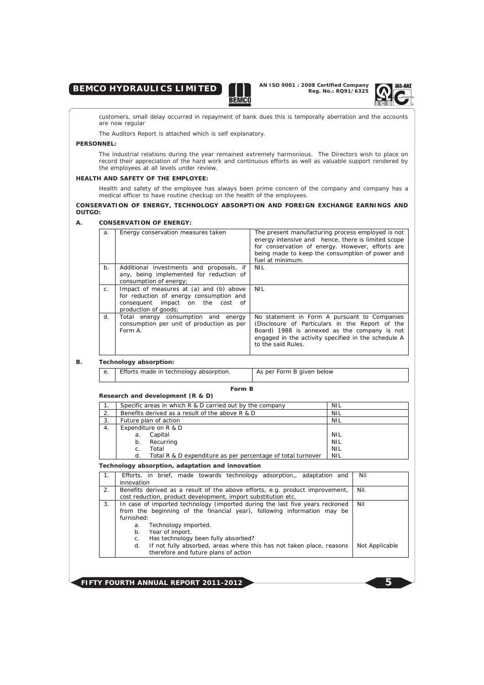

**AN ISO 9001 : 2008 Certified Company Reg. No.: RQ91/6325**



customers, small delay occurred in repayment of bank dues this is temporally aberration and the accounts are now regular

The Auditors Report is attached which is self explanatory.

#### **PERSONNEL:**

The industrial relations during the year remained extremely harmonious. The Directors wish to place on record their appreciation of the hard work and continuous efforts as well as valuable support rendered by the employees at all levels under review.

#### **HEALTH AND SAFETY OF THE EMPLOYEE:**

Health and safety of the employee has always been prime concern of the company and company has a medical officer to have routine checkup on the health of the employees.

#### **CONSERVATION OF ENERGY, TECHNOLOGY ABSORPTION AND FOREIGN EXCHANGE EARNINGS AND OUTGO:**

#### **A. CONSERVATION OF ENERGY:**

| a.          | Energy conservation measures taken                                                                                                             | The present manufacturing process employed is not<br>energy intensive and hence, there is limited scope<br>for conservation of energy. However, efforts are<br>being made to keep the consumption of power and<br>fuel at minimum. |
|-------------|------------------------------------------------------------------------------------------------------------------------------------------------|------------------------------------------------------------------------------------------------------------------------------------------------------------------------------------------------------------------------------------|
| b.          | Additional investments and proposals, if<br>any, being implemented for reduction of<br>consumption of energy;                                  | <b>NIL</b>                                                                                                                                                                                                                         |
| $C_{1}$     | Impact of measures at (a) and (b) above<br>for reduction of energy consumption and<br>consequent impact on the cost of<br>production of goods: | <b>NIL</b>                                                                                                                                                                                                                         |
| $d_{\cdot}$ | Total energy consumption and<br>energy<br>consumption per unit of production as per<br>Form A.                                                 | No statement in Form A pursuant to Companies<br>(Disclosure of Particulars in the Report of the<br>Board) 1988 is annexed as the company is not<br>engaged in the activity specified in the schedule A<br>to the said Rules.       |

#### **B. Technology absorption:**

|  | Efforts made in technology absorption. | As per Form B given below |
|--|----------------------------------------|---------------------------|
|--|----------------------------------------|---------------------------|

#### **Form B Research and development (R & D)**

| 1.               | Specific areas in which R & D carried out by the company          | <b>NIL</b> |  |  |  |  |  |
|------------------|-------------------------------------------------------------------|------------|--|--|--|--|--|
| 2.               | Benefits derived as a result of the above R & D                   | <b>NIL</b> |  |  |  |  |  |
| 3.               | Future plan of action                                             | <b>NIL</b> |  |  |  |  |  |
| $\overline{4}$ . | Expenditure on R & D                                              |            |  |  |  |  |  |
|                  | Capital<br>a.                                                     | NIL        |  |  |  |  |  |
|                  | Recurring<br>b.                                                   | NIL        |  |  |  |  |  |
|                  | Total<br>C.                                                       | NIL        |  |  |  |  |  |
|                  | Total R & D expenditure as per percentage of total turnover<br>d. | NIL        |  |  |  |  |  |

#### **Technology absorption, adaptation and innovation**

| Efforts, in brief, made towards technology adsorption, adaptation and<br>innovation                                | Nil                                                           |
|--------------------------------------------------------------------------------------------------------------------|---------------------------------------------------------------|
| Benefits derived as a result of the above efforts, e.g. product improvement,                                       | Nil.                                                          |
|                                                                                                                    |                                                               |
| In case of imported technology (imported during the last five years reckoned                                       | Nil                                                           |
| from the beginning of the financial year), following information may be                                            |                                                               |
| furnished:                                                                                                         |                                                               |
| Technology imported.<br>a.                                                                                         |                                                               |
| Year of import.<br>b.                                                                                              |                                                               |
| Has technology been fully absorbed?<br>C.                                                                          |                                                               |
| If not fully absorbed, areas where this has not taken place, reasons<br>d.<br>therefore and future plans of action | Not Applicable                                                |
|                                                                                                                    | cost reduction, product development, import substitution etc. |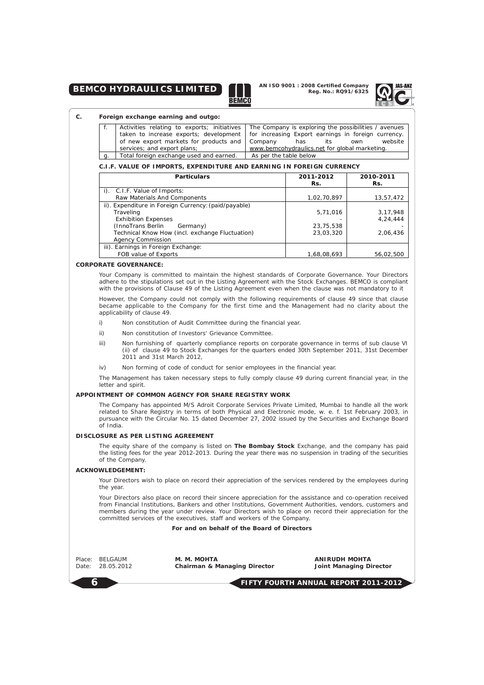# **BEMCO HYDRAULICS LIMITED AN ISO 9001 : 2008 Certified Company**

**Reg. No.: RQ91/6325**



#### **C. Foreign exchange earning and outgo:**

|    | Activities relating to exports; initiatives The Company is exploring the possibilities / avenues<br>taken to increase exports; development   for increasing Export earnings in foreign currency. |                                               |  |  |  |
|----|--------------------------------------------------------------------------------------------------------------------------------------------------------------------------------------------------|-----------------------------------------------|--|--|--|
|    |                                                                                                                                                                                                  |                                               |  |  |  |
|    | of new export markets for products and Company                                                                                                                                                   | website<br>its<br>has<br>own                  |  |  |  |
|    | services; and export plans;                                                                                                                                                                      | www.bemcohydraulics.net for global marketing. |  |  |  |
| q. | Total foreign exchange used and earned.                                                                                                                                                          | As per the table below                        |  |  |  |

#### **C.I.F. VALUE OF IMPORTS, EXPENDITURE AND EARNING IN FOREIGN CURRENCY**

**BEMCO** 

| <b>Particulars</b>                                   | 2011-2012<br>Rs. | 2010-2011<br>Rs. |
|------------------------------------------------------|------------------|------------------|
| i). C.I.F. Value of Imports:                         |                  |                  |
| Raw Materials And Components                         | 1,02,70,897      | 13,57,472        |
| ii). Expenditure in Foreign Currency: (paid/payable) |                  |                  |
| Traveling                                            | 5,71,016         | 3,17,948         |
| <b>Exhibition Expenses</b>                           |                  | 4.24.444         |
| (InnoTrans Berlin<br>Germany)                        | 23,75,538        |                  |
| Technical Know How (incl. exchange Fluctuation)      | 23,03,320        | 2,06,436         |
| <b>Agency Commission</b>                             |                  |                  |
| iii). Earnings in Foreign Exchange:                  |                  |                  |
| FOB value of Exports                                 | 1,68,08,693      | 56.02.500        |

#### **CORPORATE GOVERNANCE:**

Your Company is committed to maintain the highest standards of Corporate Governance. Your Directors adhere to the stipulations set out in the Listing Agreement with the Stock Exchanges. BEMCO is compliant with the provisions of Clause 49 of the Listing Agreement even when the clause was not mandatory to it

However, the Company could not comply with the following requirements of clause 49 since that clause became applicable to the Company for the first time and the Management had no clarity about the applicability of clause 49.

- i) Non constitution of Audit Committee during the financial year.
- ii) Non constitution of Investors' Grievance Committee.
- iii) Non furnishing of quarterly compliance reports on corporate governance in terms of sub clause VI (ii) of clause 49 to Stock Exchanges for the quarters ended 30th September 2011, 31st December 2011 and 31st March 2012,
- iv) Non forming of code of conduct for senior employees in the financial year.

The Management has taken necessary steps to fully comply clause 49 during current financial year, in the letter and spirit.

#### **APPOINTMENT OF COMMON AGENCY FOR SHARE REGISTRY WORK**

The Company has appointed M/S Adroit Corporate Services Private Limited, Mumbai to handle all the work related to Share Registry in terms of both Physical and Electronic mode, w. e. f. 1st February 2003, in pursuance with the Circular No. 15 dated December 27, 2002 issued by the Securities and Exchange Board of India.

#### **DISCLOSURE AS PER LISTING AGREEMENT**

The equity share of the company is listed on **The Bombay Stock** Exchange, and the company has paid the listing fees for the year 2012-2013. During the year there was no suspension in trading of the securities of the Company.

#### **ACKNOWLEDGEMENT:**

Your Directors wish to place on record their appreciation of the services rendered by the employees during the year.

Your Directors also place on record their sincere appreciation for the assistance and co-operation received from Financial Institutions, Bankers and other Institutions, Government Authorities, vendors, customers and members during the year under review. Your Directors wish to place on record their appreciation for the committed services of the executives, staff and workers of the Company.

#### **For and on behalf of the Board of Directors**

Place: BELGAUM **M. M. M. MOHTA**<br>
Date: 28.05.2012 **Chairman & Managing Director Animal Joint Managing Director** Date: 28.05.2012 **Chairman & Managing Director Joint Managing Director**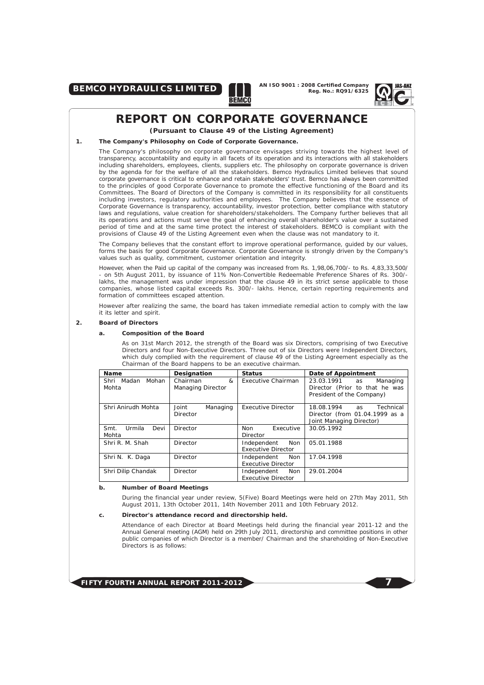**AN ISO 9001 : 2008 Certified Company Reg. No.: RQ91/6325**



# **REPORT ON CORPORATE GOVERNANCE**

**BEMCO** 

*(Pursuant to Clause 49 of the Listing Agreement)*

#### **1. The Company's Philosophy on Code of Corporate Governance.**

The Company's philosophy on corporate governance envisages striving towards the highest level of transparency, accountability and equity in all facets of its operation and its interactions with all stakeholders including shareholders, employees, clients, suppliers etc. The philosophy on corporate governance is driven by the agenda for for the welfare of all the stakeholders. Bemco Hydraulics Limited believes that sound corporate governance is critical to enhance and retain stakeholders' trust. Bemco has always been committed to the principles of good Corporate Governance to promote the effective functioning of the Board and its Committees. The Board of Directors of the Company is committed in its responsibility for all constituents including investors, regulatory authorities and employees. The Company believes that the essence of Corporate Governance is transparency, accountability, investor protection, better compliance with statutory laws and regulations, value creation for shareholders/stakeholders. The Company further believes that all its operations and actions must serve the goal of enhancing overall shareholder's value over a sustained period of time and at the same time protect the interest of stakeholders. BEMCO is compliant with the provisions of Clause 49 of the Listing Agreement even when the clause was not mandatory to it.

The Company believes that the constant effort to improve operational performance, guided by our values, forms the basis for good Corporate Governance. Corporate Governance is strongly driven by the Company's values such as quality, commitment, customer orientation and integrity.

However, when the Paid up capital of the company was increased from Rs. 1,98,06,700/- to Rs. 4,83,33,500/ - on 5th August 2011, by issuance of 11% Non-Convertible Redeemable Preference Shares of Rs. 300/ lakhs, the management was under impression that the clause 49 in its strict sense applicable to those companies, whose listed capital exceeds Rs. 300/- lakhs. Hence, certain reporting requirements and formation of committees escaped attention.

However after realizing the same, the board has taken immediate remedial action to comply with the law it its letter and spirit.

#### **2. Board of Directors**

#### **a. Composition of the Board**

As on 31st March 2012, the strength of the Board was six Directors, comprising of two Executive Directors and four Non-Executive Directors. Three out of six Directors were Independent Directors, which duly complied with the requirement of clause 49 of the Listing Agreement especially as the Chairman of the Board happens to be an executive chairman.

| Name                            | Designation                                    | <b>Status</b>                                   | Date of Appointment                                                                      |
|---------------------------------|------------------------------------------------|-------------------------------------------------|------------------------------------------------------------------------------------------|
| Shri Madan<br>Mohan<br>Mohta    | Chairman<br>$\mathcal{L}$<br>Managing Director | Executive Chairman                              | 23.03.1991 as<br>Managing<br>Director (Prior to that he was<br>President of the Company) |
| Shri Anirudh Mohta              | Joint<br>Managing<br>Director                  | <b>Executive Director</b>                       | 18.08.1994 as<br>Technical<br>Director (from 01.04.1999 as a<br>Joint Managing Director) |
| Devi<br>Urmila<br>Smt.<br>Mohta | Director                                       | Executive<br>Non<br>Director                    | 30.05.1992                                                                               |
| Shri R. M. Shah                 | Director                                       | Non<br>Independent<br><b>Executive Director</b> | 05.01.1988                                                                               |
| Shri N. K. Daga                 | Director                                       | Independent<br>Non<br><b>Executive Director</b> | 17.04.1998                                                                               |
| Shri Dilip Chandak              | Director                                       | Non<br>Independent<br><b>Executive Director</b> | 29.01.2004                                                                               |

#### **b. Number of Board Meetings**

During the financial year under review, 5(Five) Board Meetings were held on 27th May 2011, 5th August 2011, 13th October 2011, 14th November 2011 and 10th February 2012.

#### **c. Director's attendance record and directorship held.**

Attendance of each Director at Board Meetings held during the financial year 2011-12 and the Annual General meeting (AGM) held on 29th July 2011, directorship and committee positions in other public companies of which Director is a member/ Chairman and the shareholding of Non-Executive Directors is as follows: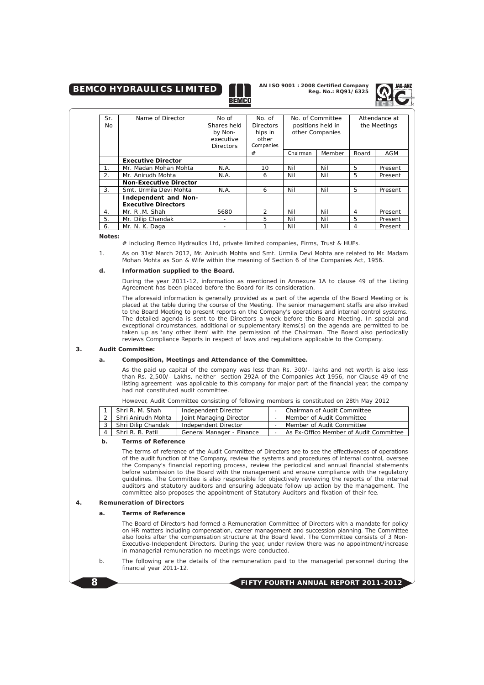# **BEMCO HYDRAULICS LIMITED AN ISO 9001 : 2008 Certified Company BEMCO HYDRAULICS LIMITED**

# **Reg. No.: RQ91/6325**



| Sr.<br>No        | Name of Director                                   | No <sub>of</sub><br>Shares held<br>by Non-<br>executive<br><b>Directors</b> | No. of<br><b>Directors</b><br>hips in<br>other<br>Companies | No. of Committee<br>positions held in<br>other Companies |        | Attendance at<br>the Meetings |         |
|------------------|----------------------------------------------------|-----------------------------------------------------------------------------|-------------------------------------------------------------|----------------------------------------------------------|--------|-------------------------------|---------|
|                  |                                                    |                                                                             | #                                                           | Chairman                                                 | Member | Board                         | AGM     |
|                  | <b>Executive Director</b>                          |                                                                             |                                                             |                                                          |        |                               |         |
|                  | Mr. Madan Mohan Mohta                              | N.A.                                                                        | 10                                                          | Nil                                                      | Nil    | 5                             | Present |
| $\mathfrak{D}$ . | Mr. Anirudh Mohta                                  | N.A.                                                                        | 6                                                           | Nil                                                      | Nil    | 5                             | Present |
|                  | <b>Non-Executive Director</b>                      |                                                                             |                                                             |                                                          |        |                               |         |
| 3.               | Smt. Urmila Devi Mohta                             | N.A.                                                                        | 6                                                           | Nil                                                      | Nil    | 5                             | Present |
|                  | Independent and Non-<br><b>Executive Directors</b> |                                                                             |                                                             |                                                          |        |                               |         |
| 4.               | Mr. R.M. Shah                                      | 5680                                                                        | $\overline{2}$                                              | Nil                                                      | Nil    | 4                             | Present |
| 5.               | Mr. Dilip Chandak                                  |                                                                             | 5                                                           | Nil                                                      | Nil    | 5                             | Present |
| 6.               | Mr. N. K. Daga                                     |                                                                             |                                                             | Nil                                                      | Nil    | 4                             | Present |

**BEMCO** 

**Notes:**

# including Bemco Hydraulics Ltd, private limited companies, Firms, Trust & HUFs.

1. As on 31st March 2012, Mr. Anirudh Mohta and Smt. Urmila Devi Mohta are related to Mr. Madam Mohan Mohta as Son & Wife within the meaning of Section 6 of the Companies Act, 1956.

#### **d. Information supplied to the Board.**

During the year 2011-12, information as mentioned in Annexure 1A to clause 49 of the Listing Agreement has been placed before the Board for its consideration.

The aforesaid information is generally provided as a part of the agenda of the Board Meeting or is placed at the table during the course of the Meeting. The senior management staffs are also invited to the Board Meeting to present reports on the Company's operations and internal control systems. The detailed agenda is sent to the Directors a week before the Board Meeting. In special and exceptional circumstances, additional or supplementary items(s) on the agenda are permitted to be taken up as 'any other item' with the permission of the Chairman. The Board also periodically reviews Compliance Reports in respect of laws and regulations applicable to the Company.

#### **3. Audit Committee:**

#### **a. Composition, Meetings and Attendance of the Committee.**

As the paid up capital of the company was less than Rs. 300/- lakhs and net worth is also less than Rs. 2,500/- Lakhs, neither section 292A of the Companies Act 1956, nor Clause 49 of the listing agreement was applicable to this company for major part of the financial year, the company had not constituted audit committee.

However, Audit Committee consisting of following members is constituted on 28th May 2012

|   | Shri R. M. Shah    | Independent Director      | Chairman of Audit Committee            |
|---|--------------------|---------------------------|----------------------------------------|
|   | Shri Anirudh Mohta | Joint Managing Director   | Member of Audit Committee              |
| 3 | Shri Dilip Chandak | Independent Director      | Member of Audit Committee              |
|   | Shri R. B. Patil   | General Manager - Finance | As Ex-Offico Member of Audit Committee |
|   |                    |                           |                                        |

#### **b. Terms of Reference**

The terms of reference of the Audit Committee of Directors are to see the effectiveness of operations of the audit function of the Company, review the systems and procedures of internal control, oversee the Company's financial reporting process, review the periodical and annual financial statements before submission to the Board with the management and ensure compliance with the regulatory guidelines. The Committee is also responsible for objectively reviewing the reports of the internal auditors and statutory auditors and ensuring adequate follow up action by the management. The committee also proposes the appointment of Statutory Auditors and fixation of their fee.

#### **4. Remuneration of Directors**

#### **a. Terms of Reference**

The Board of Directors had formed a Remuneration Committee of Directors with a mandate for policy on HR matters including compensation, career management and succession planning. The Committee also looks after the compensation structure at the Board level. The Committee consists of 3 Non-Executive-Independent Directors. During the year, under review there was no appointment/increase in managerial remuneration no meetings were conducted.

b. The following are the details of the remuneration paid to the managerial personnel during the financial year 2011-12.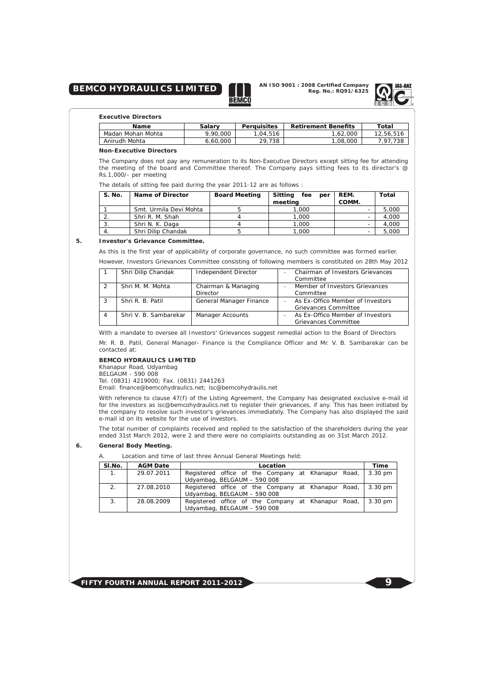**AN ISO 9001 : 2008 Certified Company Reg. No.: RQ91/6325**



#### **Executive Directors**

| Name              | Salarv   | <b>Perauisites</b> | <b>Retirement Benefits</b> | Total      |
|-------------------|----------|--------------------|----------------------------|------------|
| Madan Mohan Mohta | 9.90.000 | 04.516             | 1.62.000                   | 12.56.516  |
| Anirudh Mohta     | 6.60.000 | 29.738             | 1.08.000                   | 738<br>707 |

**BEMCO** 

#### **Non-Executive Directors**

The Company does not pay any remuneration to its Non-Executive Directors except sitting fee for attending the meeting of the board and Committee thereof. The Company pays sitting fees to its director's @ Rs.1,000/- per meeting

The details of sitting fee paid during the year 2011-12 are as follows :

| S. No. | <b>Name of Director</b> | <b>Board Meeting</b> | Sitting<br>fee<br>per | REM.  | Total |
|--------|-------------------------|----------------------|-----------------------|-------|-------|
|        |                         |                      | meeting               | COMM. |       |
|        | Smt. Urmila Devi Mohta  |                      | 1.000                 |       | 5.000 |
|        | Shri R. M. Shah         |                      | 1.000                 |       | 4.000 |
| C.     | Shri N. K. Daga         |                      | 1.000                 |       | 4.000 |
|        | Shri Dilip Chandak      |                      | 1.000                 |       | 5.000 |

#### **5. Investor's Grievance Committee.**

As this is the first year of applicability of corporate governance, no such committee was formed earlier. However, Investors Grievances Committee consisting of following members is constituted on 28th May 2012

|   | Shri Dilip Chandak    | Independent Director                   | Chairman of Investors Grievances<br>Committee            |
|---|-----------------------|----------------------------------------|----------------------------------------------------------|
| 2 | Shri M. M. Mohta      | Chairman & Managing<br><b>Director</b> | Member of Investors Grievances<br>Committee              |
| 3 | Shri R. B. Patil      | General Manager Finance                | As Ex-Offico Member of Investors<br>Grievances Committee |
|   | Shri V. B. Sambarekar | Manager Accounts                       | As Ex-Offico Member of Investors<br>Grievances Committee |

With a mandate to oversee all Investors' Grievances suggest remedial action to the Board of Directors

Mr. R. B. Patil, General Manager- Finance is the Compliance Officer and Mr. V. B. Sambarekar can be contacted at:

#### **BEMCO HYDRAULICS LIMITED**

Khanapur Road, Udyambag BELGAUM - 590 008

Tel. (0831) 4219000; Fax. (0831) 2441263

Email: finance@bemcohydraulics.net; isc@bemcohydraulis.net

With reference to clause 47(f) of the Listing Agreement, the Company has designated exclusive e-mail id for the investors as isc@bemcohydraulics.net to register their grievances, if any. This has been initiated by the company to resolve such investor's grievances immediately. The Company has also displayed the said e-mail id on its website for the use of investors.

The total number of complaints received and replied to the satisfaction of the shareholders during the year ended 31st March 2012, were 2 and there were no complaints outstanding as on 31st March 2012.

#### **6. General Body Meeting.**

A. Location and time of last three Annual General Meetings held:

| SI.No.         | <b>AGM Date</b> | Location                                                   | <b>Time</b> |
|----------------|-----------------|------------------------------------------------------------|-------------|
| $\mathbf{1}$ . | 29.07.2011      | Registered office of the Company at Khanapur Road, 3.30 pm |             |
|                |                 | Udyambag, BELGAUM - 590 008                                |             |
| 2.             | 27.08.2010      | Registered office of the Company at Khanapur Road, 3.30 pm |             |
|                |                 | Udyambag, BELGAUM - 590 008                                |             |
| 3.             | 28.08.2009      | Registered office of the Company at Khanapur Road, 3.30 pm |             |
|                |                 | Udyambag, BELGAUM - 590 008                                |             |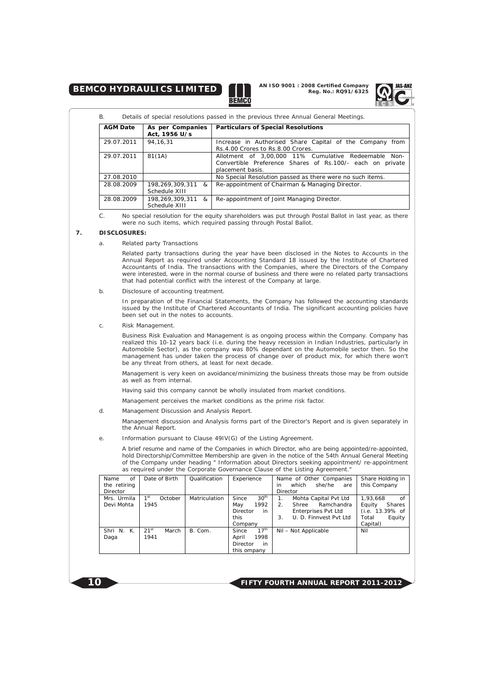**BEMCO HYDRAULICS LIMITED AN ISO 9001 : 2008 Certified Company BEMCO HYDRAULICS LIMITED Reg. No.: RQ91/6325**



B. Details of special resolutions passed in the previous three Annual General Meetings.

**BEMCO** 

| <b>AGM Date</b> | As per Companies<br>Act, 1956 U/s                 | <b>Particulars of Special Resolutions</b>                                                                                             |
|-----------------|---------------------------------------------------|---------------------------------------------------------------------------------------------------------------------------------------|
| 29.07.2011      | 94, 16, 31                                        | Increase in Authorised Share Capital of the Company<br>from<br>Rs.4.00 Crores to Rs.8.00 Crores.                                      |
| 29.07.2011      | 81(1A)                                            | Allotment of 3.00.000 11% Cumulative Redeemable Non-<br>Convertible Preference Shares of Rs.100/- each on private<br>placement basis. |
| 27.08.2010      |                                                   | No Special Resolution passed as there were no such items.                                                                             |
| 28.08.2009      | 198.269.309.311<br>$\mathcal{R}$<br>Schedule XIII | Re-appointment of Chairman & Managing Director.                                                                                       |
| 28.08.2009      | 198.269.309.311<br>&<br>Schedule XIII             | Re-appointment of Joint Managing Director.                                                                                            |

C. No special resolution for the equity shareholders was put through Postal Ballot in last year, as there were no such items, which required passing through Postal Ballot.

#### **7. DISCLOSURES:**

a. Related party Transactions

Related party transactions during the year have been disclosed in the Notes to Accounts in the Annual Report as required under Accounting Standard 18 issued by the Institute of Chartered Accountants of India. The transactions with the Companies, where the Directors of the Company were interested, were in the normal course of business and there were no related party transactions that had potential conflict with the interest of the Company at large.

b. Disclosure of accounting treatment.

In preparation of the Financial Statements, the Company has followed the accounting standards issued by the Institute of Chartered Accountants of India. The significant accounting policies have been set out in the notes to accounts.

c. Risk Management.

Business Risk Evaluation and Management is as ongoing process within the Company. Company has realized this 10-12 years back (i.e. during the heavy recession in Indian Industries, particularly in Automobile Sector), as the company was 80% dependant on the Automobile sector then. So the management has under taken the process of change over of product mix, for which there won't be any threat from others, at least for next decade.

Management is very keen on avoidance/minimizing the business threats those may be from outside as well as from internal.

Having said this company cannot be wholly insulated from market conditions.

Management perceives the market conditions as the prime risk factor.

d. Management Discussion and Analysis Report.

Management discussion and Analysis forms part of the Director's Report and is given separately in the Annual Report.

e. Information pursuant to Clause 49IV(G) of the Listing Agreement.

A brief resume and name of the Companies in which Director, who are being appointed/re-appointed, hold Directorship/Committee Membership are given in the notice of the 54th Annual General Meeting of the Company under heading " Information about Directors seeking appointment/ re-appointment as required under the Corporate Governance Clause of the Listing Agreement."

| of<br>Name<br>the retiring | Date of Birth              | Qualification | Experience                | Name of Other Companies<br>she/he<br>which<br>are<br>in | Share Holding in<br>this Company |
|----------------------------|----------------------------|---------------|---------------------------|---------------------------------------------------------|----------------------------------|
| <b>Director</b>            |                            |               |                           | Director                                                |                                  |
| Mrs. Urmila                | 1 <sup>st</sup><br>October | Matriculation | 30 <sup>th</sup><br>Since | Mohta Capital Pvt Ltd<br>$\mathbf{1}$ .                 | 1.93.668<br>of                   |
| Devi Mohta                 | 1945                       |               | 1992<br>May               | Ramchandra<br>2.<br>Shree                               | Shares<br>Equity                 |
|                            |                            |               | Director<br>in            | Enterprises Pvt Ltd                                     | (i.e. 13.39% of                  |
|                            |                            |               | this                      | U. D. Finnyest Pyt Ltd<br>3.                            | Total<br>Equity                  |
|                            |                            |               | Company                   |                                                         | Capital)                         |
| Shri N.<br>К.              | 21 <sup>st</sup><br>March  | B. Com.       | 17 <sup>th</sup><br>Since | Nil - Not Applicable                                    | Nil                              |
| Daga                       | 1941                       |               | 1998<br>April             |                                                         |                                  |
|                            |                            |               | Director<br>in            |                                                         |                                  |
|                            |                            |               | this ompany               |                                                         |                                  |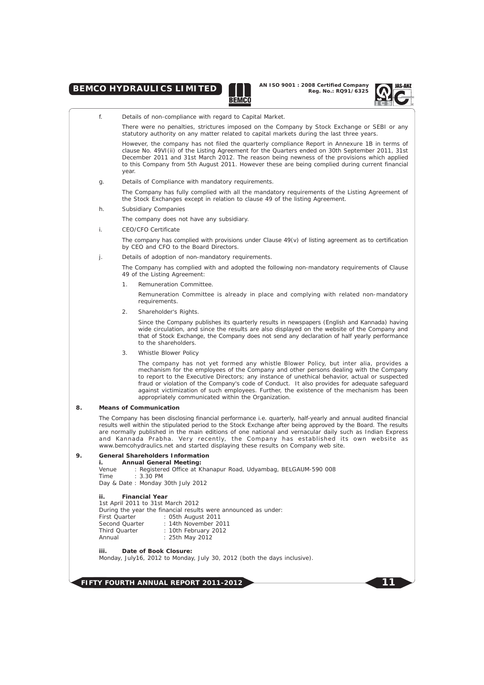

|    |                                                                                                                                                                                 |                                                  | AN ISO 9001: 2008 Certified Company<br><b>BEMCO HYDRAULICS LIMITED</b><br>Reg. No.: RQ91/6325<br><b>BEMCO</b>                                                                                                                                                                                                                                                                                                                                                                                                                      |  |  |  |  |  |  |
|----|---------------------------------------------------------------------------------------------------------------------------------------------------------------------------------|--------------------------------------------------|------------------------------------------------------------------------------------------------------------------------------------------------------------------------------------------------------------------------------------------------------------------------------------------------------------------------------------------------------------------------------------------------------------------------------------------------------------------------------------------------------------------------------------|--|--|--|--|--|--|
|    | f.                                                                                                                                                                              |                                                  | Details of non-compliance with regard to Capital Market.                                                                                                                                                                                                                                                                                                                                                                                                                                                                           |  |  |  |  |  |  |
|    |                                                                                                                                                                                 |                                                  | There were no penalties, strictures imposed on the Company by Stock Exchange or SEBI or any<br>statutory authority on any matter related to capital markets during the last three years.                                                                                                                                                                                                                                                                                                                                           |  |  |  |  |  |  |
|    |                                                                                                                                                                                 | year.                                            | However, the company has not filed the quarterly compliance Report in Annexure 1B in terms of<br>clause No. 49VI(ii) of the Listing Agreement for the Quarters ended on 30th September 2011, 31st<br>December 2011 and 31st March 2012. The reason being newness of the provisions which applied<br>to this Company from 5th August 2011. However these are being complied during current financial                                                                                                                                |  |  |  |  |  |  |
|    | g.                                                                                                                                                                              |                                                  | Details of Compliance with mandatory requirements.                                                                                                                                                                                                                                                                                                                                                                                                                                                                                 |  |  |  |  |  |  |
|    | The Company has fully complied with all the mandatory requirements of the Listing Agreement of<br>the Stock Exchanges except in relation to clause 49 of the listing Agreement. |                                                  |                                                                                                                                                                                                                                                                                                                                                                                                                                                                                                                                    |  |  |  |  |  |  |
|    | h.                                                                                                                                                                              |                                                  | <b>Subsidiary Companies</b>                                                                                                                                                                                                                                                                                                                                                                                                                                                                                                        |  |  |  |  |  |  |
|    |                                                                                                                                                                                 |                                                  | The company does not have any subsidiary.                                                                                                                                                                                                                                                                                                                                                                                                                                                                                          |  |  |  |  |  |  |
|    | i.                                                                                                                                                                              |                                                  | CEO/CFO Certificate                                                                                                                                                                                                                                                                                                                                                                                                                                                                                                                |  |  |  |  |  |  |
|    |                                                                                                                                                                                 |                                                  | The company has complied with provisions under Clause $49(v)$ of listing agreement as to certification<br>by CEO and CFO to the Board Directors.                                                                                                                                                                                                                                                                                                                                                                                   |  |  |  |  |  |  |
|    | j.                                                                                                                                                                              |                                                  | Details of adoption of non-mandatory requirements.                                                                                                                                                                                                                                                                                                                                                                                                                                                                                 |  |  |  |  |  |  |
|    |                                                                                                                                                                                 |                                                  | The Company has complied with and adopted the following non-mandatory requirements of Clause<br>49 of the Listing Agreement:                                                                                                                                                                                                                                                                                                                                                                                                       |  |  |  |  |  |  |
|    |                                                                                                                                                                                 | 1.                                               | Remuneration Committee.                                                                                                                                                                                                                                                                                                                                                                                                                                                                                                            |  |  |  |  |  |  |
|    |                                                                                                                                                                                 |                                                  | Remuneration Committee is already in place and complying with related non-mandatory<br>requirements.                                                                                                                                                                                                                                                                                                                                                                                                                               |  |  |  |  |  |  |
|    |                                                                                                                                                                                 | 2.                                               | Shareholder's Rights.                                                                                                                                                                                                                                                                                                                                                                                                                                                                                                              |  |  |  |  |  |  |
|    |                                                                                                                                                                                 |                                                  | Since the Company publishes its quarterly results in newspapers (English and Kannada) having<br>wide circulation, and since the results are also displayed on the website of the Company and<br>that of Stock Exchange, the Company does not send any declaration of half yearly performance<br>to the shareholders.                                                                                                                                                                                                               |  |  |  |  |  |  |
|    |                                                                                                                                                                                 | 3.                                               | Whistle Blower Policy                                                                                                                                                                                                                                                                                                                                                                                                                                                                                                              |  |  |  |  |  |  |
|    |                                                                                                                                                                                 |                                                  | The company has not yet formed any whistle Blower Policy, but inter alia, provides a<br>mechanism for the employees of the Company and other persons dealing with the Company<br>to report to the Executive Directors; any instance of unethical behavior, actual or suspected<br>fraud or violation of the Company's code of Conduct. It also provides for adequate safeguard<br>against victimization of such employees. Further, the existence of the mechanism has been<br>appropriately communicated within the Organization. |  |  |  |  |  |  |
| 8. |                                                                                                                                                                                 |                                                  | <b>Means of Communication</b>                                                                                                                                                                                                                                                                                                                                                                                                                                                                                                      |  |  |  |  |  |  |
|    |                                                                                                                                                                                 |                                                  | The Company has been disclosing financial performance i.e. quarterly, half-yearly and annual audited financial<br>results well within the stipulated period to the Stock Exchange after being approved by the Board. The results<br>are normally published in the main editions of one national and vernacular daily such as Indian Express<br>and Kannada Prabha. Very recently, the Company has established its own website as<br>www.bemcohydraulics.net and started displaying these results on Company web site.              |  |  |  |  |  |  |
| 9. | i.<br>Venue<br>Time                                                                                                                                                             |                                                  | <b>General Shareholders Information</b><br><b>Annual General Meeting:</b><br>: Registered Office at Khanapur Road, Udyambag, BELGAUM-590 008<br>$: 3.30$ PM<br>Day & Date: Monday 30th July 2012                                                                                                                                                                                                                                                                                                                                   |  |  |  |  |  |  |
|    | ii.<br>Annual<br>iii.                                                                                                                                                           | First Quarter<br>Second Quarter<br>Third Quarter | <b>Financial Year</b><br>1st April 2011 to 31st March 2012<br>During the year the financial results were announced as under:<br>: 05th August 2011<br>: 14th November 2011<br>: 10th February 2012<br>: 25th May 2012<br>Date of Book Closure:<br>Monday, July16, 2012 to Monday, July 30, 2012 (both the days inclusive).                                                                                                                                                                                                         |  |  |  |  |  |  |
|    |                                                                                                                                                                                 |                                                  |                                                                                                                                                                                                                                                                                                                                                                                                                                                                                                                                    |  |  |  |  |  |  |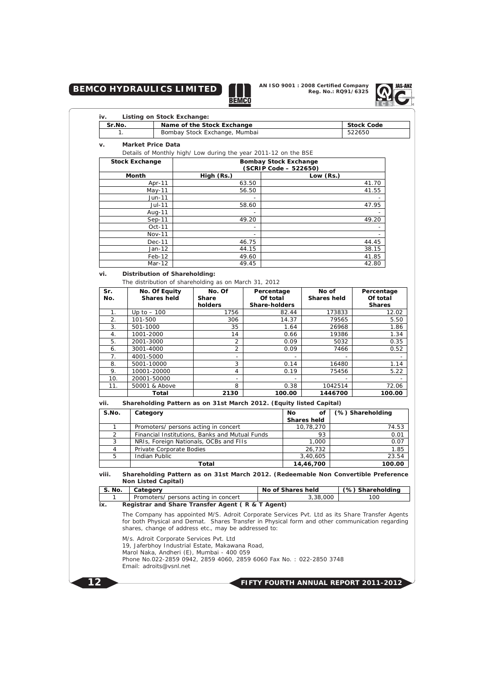# **BEMCO HYDRAULICS LIMITED AN ISSUED**





| Sr.No.         |                                         |  | Name of the Stock Exchange                                                                      |       |                              |                |                    |                    | <b>Stock Code</b> |  |
|----------------|-----------------------------------------|--|-------------------------------------------------------------------------------------------------|-------|------------------------------|----------------|--------------------|--------------------|-------------------|--|
| 1 <sub>1</sub> |                                         |  | Bombay Stock Exchange, Mumbai                                                                   |       |                              |                |                    |                    | 522650            |  |
| v.             | <b>Market Price Data</b>                |  |                                                                                                 |       |                              |                |                    |                    |                   |  |
|                |                                         |  | Details of Monthly high/ Low during the year 2011-12 on the BSE                                 |       |                              |                |                    |                    |                   |  |
|                | <b>Stock Exchange</b>                   |  |                                                                                                 |       | <b>Bombay Stock Exchange</b> |                |                    |                    |                   |  |
|                |                                         |  |                                                                                                 |       | (SCRIP Code - 522650)        |                |                    |                    |                   |  |
|                | Month                                   |  | High (Rs.)                                                                                      |       |                              |                | Low (Rs.)          |                    |                   |  |
| Apr-11         |                                         |  |                                                                                                 | 63.50 |                              |                |                    |                    | 41.70             |  |
|                | $May-11$                                |  |                                                                                                 | 56.50 |                              |                |                    |                    | 41.55             |  |
|                | Jun-11                                  |  |                                                                                                 |       |                              |                |                    |                    |                   |  |
|                | Jul-11                                  |  |                                                                                                 | 58.60 |                              |                |                    |                    | 47.95             |  |
|                | Aug-11                                  |  |                                                                                                 |       |                              |                |                    |                    |                   |  |
| Sep-11         |                                         |  |                                                                                                 | 49.20 |                              |                |                    |                    | 49.20             |  |
|                | Oct-11                                  |  |                                                                                                 |       |                              |                |                    |                    |                   |  |
|                | Nov-11                                  |  |                                                                                                 |       |                              |                |                    |                    |                   |  |
|                | <b>Dec-11</b>                           |  |                                                                                                 | 46.75 |                              |                |                    |                    | 44.45             |  |
|                | Jan-12                                  |  |                                                                                                 | 44.15 |                              |                |                    |                    | 38.15             |  |
|                | Feb-12                                  |  |                                                                                                 | 49.60 |                              |                |                    |                    | 41.85             |  |
|                | Mar-12                                  |  |                                                                                                 | 49.45 |                              |                |                    |                    | 42.80             |  |
| vi.            | Distribution of Shareholding:           |  |                                                                                                 |       |                              |                |                    |                    |                   |  |
|                |                                         |  | The distribution of shareholding as on March 31, 2012                                           |       |                              |                |                    |                    |                   |  |
| Sr.            | No. Of Equity                           |  | No. Of                                                                                          |       | Percentage                   |                | No of              |                    | Percentage        |  |
| No.            | <b>Shares held</b>                      |  | <b>Share</b>                                                                                    |       | Of total                     |                | <b>Shares held</b> |                    | Of total          |  |
|                |                                         |  | holders                                                                                         |       | <b>Share-holders</b>         |                |                    |                    | <b>Shares</b>     |  |
| 1.             | Up to $-100$                            |  | 1756                                                                                            |       |                              | 82.44          |                    | 173833             | 12.02             |  |
| $\mathbf{2}$   | 101-500                                 |  | 306                                                                                             |       |                              | 14.37          |                    | 79565              |                   |  |
| 3.             | 501-1000                                |  | 35                                                                                              |       |                              | 1.64           |                    | 26968              |                   |  |
| 4.             | 1001-2000                               |  | 14                                                                                              |       |                              | 0.66           |                    | 19386              |                   |  |
| 5.             | 2001-3000                               |  | 2                                                                                               |       |                              | 0.09           |                    | 5032               |                   |  |
| 6.             | 3001-4000                               |  | $\overline{2}$                                                                                  |       |                              | 0.09           |                    | 7466               |                   |  |
| 7.             | 4001-5000                               |  |                                                                                                 |       |                              | $\overline{a}$ |                    |                    |                   |  |
| 8.             | 5001-10000                              |  | 3                                                                                               |       |                              | 0.14           |                    | 16480              |                   |  |
| 9.             | 10001-20000                             |  | 4                                                                                               |       |                              | 0.19           |                    | 75456              |                   |  |
| 10.            | 20001-50000                             |  |                                                                                                 |       |                              |                |                    |                    |                   |  |
| 11.            | 50001 & Above<br><b>Total</b>           |  | 8<br>2130                                                                                       |       |                              | 0.38<br>100.00 |                    | 1042514<br>1446700 | 72.06<br>100.00   |  |
|                |                                         |  |                                                                                                 |       |                              |                |                    |                    |                   |  |
| vii.           |                                         |  | Shareholding Pattern as on 31st March 2012. (Equity listed Capital)                             |       |                              |                |                    |                    |                   |  |
| S.No.          | Category                                |  |                                                                                                 |       |                              | No.            | οf                 |                    | (%) Shareholding  |  |
|                |                                         |  |                                                                                                 |       |                              |                | <b>Shares held</b> |                    |                   |  |
| 1              |                                         |  | Promoters/ persons acting in concert                                                            |       |                              |                | 10,78,270          |                    | 74.53             |  |
| $\overline{2}$ |                                         |  | Financial Institutions, Banks and Mutual Funds                                                  |       |                              |                | 93                 |                    |                   |  |
| 3              |                                         |  | NRIs, Foreign Nationals, OCBs and FIIs                                                          |       |                              |                | 1,000              |                    |                   |  |
| 4              | Private Corporate Bodies                |  |                                                                                                 |       |                              |                | 26,732             |                    |                   |  |
| 5              | <b>Indian Public</b>                    |  |                                                                                                 |       |                              | 3,40,605       |                    |                    | 23.54             |  |
|                |                                         |  | <b>Total</b>                                                                                    |       |                              |                | 14,46,700          |                    | 100.00            |  |
| viii.          |                                         |  | Shareholding Pattern as on 31st March 2012. (Redeemable Non Convertible Preference              |       |                              |                |                    |                    |                   |  |
|                | Non Listed Capital)                     |  |                                                                                                 |       |                              |                |                    |                    |                   |  |
| S. No.         | Category                                |  |                                                                                                 |       | No of Shares held            |                |                    |                    | (%) Shareholding  |  |
| 1              |                                         |  | Promoters/ persons acting in concert                                                            |       |                              |                | 3,38,000           |                    | 100               |  |
| ix.            |                                         |  | Registrar and Share Transfer Agent (R & T Agent)                                                |       |                              |                |                    |                    |                   |  |
|                |                                         |  | The Company has appointed M/S. Adroit Corporate Services Pvt. Ltd as its Share Transfer Agents  |       |                              |                |                    |                    |                   |  |
|                |                                         |  | for both Physical and Demat. Shares Transfer in Physical form and other communication regarding |       |                              |                |                    |                    |                   |  |
|                |                                         |  | shares, change of address etc., may be addressed to:                                            |       |                              |                |                    |                    |                   |  |
|                | M/s. Adroit Corporate Services Pvt. Ltd |  |                                                                                                 |       |                              |                |                    |                    |                   |  |
|                |                                         |  | 19, Jaferbhoy Industrial Estate, Makawana Road,                                                 |       |                              |                |                    |                    |                   |  |
|                |                                         |  | Marol Naka, Andheri (E), Mumbai - 400 059                                                       |       |                              |                |                    |                    |                   |  |
|                |                                         |  |                                                                                                 |       |                              |                |                    |                    |                   |  |
|                |                                         |  | Phone No.022-2859 0942, 2859 4060, 2859 6060 Fax No.: 022-2850 3748                             |       |                              |                |                    |                    |                   |  |
|                | Email: adroits@vsnl.net                 |  |                                                                                                 |       |                              |                |                    |                    |                   |  |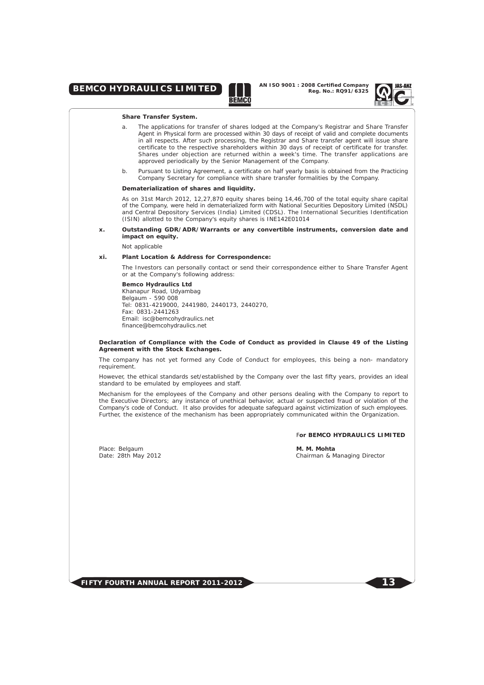**BEMCO** 

**AN ISO 9001 : 2008 Certified Company Reg. No.: RQ91/6325**



#### **Share Transfer System.**

- a. The applications for transfer of shares lodged at the Company's Registrar and Share Transfer Agent in Physical form are processed within 30 days of receipt of valid and complete documents in all respects. After such processing, the Registrar and Share transfer agent will issue share certificate to the respective shareholders within 30 days of receipt of certificate for transfer. Shares under objection are returned within a week's time. The transfer applications are approved periodically by the Senior Management of the Company.
- b. Pursuant to Listing Agreement, a certificate on half yearly basis is obtained from the Practicing Company Secretary for compliance with share transfer formalities by the Company.

#### **Dematerialization of shares and liquidity.**

As on 31st March 2012, 12,27,870 equity shares being 14,46,700 of the total equity share capital of the Company, were held in dematerialized form with National Securities Depository Limited (NSDL) and Central Depository Services (India) Limited (CDSL). The International Securities Identification (ISIN) allotted to the Company's equity shares is INE142E01014

#### **x. Outstanding GDR/ADR/Warrants or any convertible instruments, conversion date and impact on equity.**

Not applicable

#### **xi. Plant Location & Address for Correspondence:**

The Investors can personally contact or send their correspondence either to Share Transfer Agent or at the Company's following address:

#### **Bemco Hydraulics Ltd**

Khanapur Road, Udyambag Belgaum - 590 008 Tel: 0831-4219000, 2441980, 2440173, 2440270, Fax: 0831-2441263 Email: isc@bemcohydraulics.net finance@bemcohydraulics.net

**Declaration of Compliance with the Code of Conduct as provided in Clause 49 of the Listing Agreement with the Stock Exchanges.**

The company has not yet formed any Code of Conduct for employees, this being a non- mandatory requirement.

However, the ethical standards set/established by the Company over the last fifty years, provides an ideal standard to be emulated by employees and staff.

Mechanism for the employees of the Company and other persons dealing with the Company to report to the Executive Directors; any instance of unethical behavior, actual or suspected fraud or violation of the Company's code of Conduct. It also provides for adequate safeguard against victimization of such employees. Further, the existence of the mechanism has been appropriately communicated within the Organization.

#### F**or BEMCO HYDRAULICS LIMITED**

Place: Belgaum **M. M. Mohta**<br>
Date: 28th May 2012 **M. Mohta**<br>
Chairman & M

Chairman & Managing Director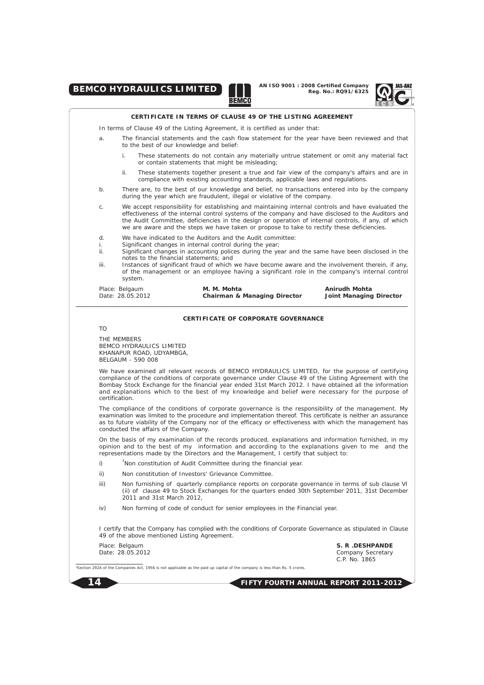AN ISO 9001 : 2008 Certified Company<br>Reg. No.: RQ91/6325



|                 | <b>COMMUNICATION</b>                                                                                                                                                                                                                                                                                                                                                                                                                       |
|-----------------|--------------------------------------------------------------------------------------------------------------------------------------------------------------------------------------------------------------------------------------------------------------------------------------------------------------------------------------------------------------------------------------------------------------------------------------------|
|                 | CERTIFICATE IN TERMS OF CLAUSE 49 OF THE LISTING AGREEMENT                                                                                                                                                                                                                                                                                                                                                                                 |
|                 | In terms of Clause 49 of the Listing Agreement, it is certified as under that:                                                                                                                                                                                                                                                                                                                                                             |
| a.              | The financial statements and the cash flow statement for the year have been reviewed and that<br>to the best of our knowledge and belief:                                                                                                                                                                                                                                                                                                  |
|                 | i.<br>These statements do not contain any materially untrue statement or omit any material fact<br>or contain statements that might be misleading;                                                                                                                                                                                                                                                                                         |
|                 | ii.<br>These statements together present a true and fair view of the company's affairs and are in<br>compliance with existing accounting standards, applicable laws and regulations.                                                                                                                                                                                                                                                       |
| b.              | There are, to the best of our knowledge and belief, no transactions entered into by the company<br>during the year which are fraudulent, illegal or violative of the company.                                                                                                                                                                                                                                                              |
| С.              | We accept responsibility for establishing and maintaining internal controls and have evaluated the<br>effectiveness of the internal control systems of the company and have disclosed to the Auditors and<br>the Audit Committee, deficiencies in the design or operation of internal controls, if any, of which<br>we are aware and the steps we have taken or propose to take to rectify these deficiencies.                             |
| d.<br>i.<br>ii. | We have indicated to the Auditors and the Audit committee:<br>Significant changes in internal control during the year;<br>Significant changes in accounting polices during the year and the same have been disclosed in the                                                                                                                                                                                                                |
| iii.            | notes to the financial statements; and<br>Instances of significant fraud of which we have become aware and the involvement therein, if any,<br>of the management or an employee having a significant role in the company's internal control<br>system.                                                                                                                                                                                     |
|                 | Place: Belgaum<br>M. M. Mohta<br>Anirudh Mohta<br>Date: 28.05.2012<br>Chairman & Managing Director<br>Joint Managing Director                                                                                                                                                                                                                                                                                                              |
|                 | <b>CERTIFICATE OF CORPORATE GOVERNANCE</b>                                                                                                                                                                                                                                                                                                                                                                                                 |
| <b>TO</b>       |                                                                                                                                                                                                                                                                                                                                                                                                                                            |
|                 | THE MEMBERS<br>BEMCO HYDRAULICS LIMITED<br>KHANAPUR ROAD, UDYAMBGA,<br>BELGAUM - 590 008                                                                                                                                                                                                                                                                                                                                                   |
|                 | We have examined all relevant records of BEMCO HYDRAULICS LIMITED, for the purpose of certifying<br>compliance of the conditions of corporate governance under Clause 49 of the Listing Agreement with the<br>Bombay Stock Exchange for the financial year ended 31st March 2012. I have obtained all the information<br>and explanations which to the best of my knowledge and belief were necessary for the purpose of<br>certification. |
|                 | The compliance of the conditions of corporate governance is the responsibility of the management. My<br>examination was limited to the procedure and implementation thereof. This certificate is neither an assurance<br>as to future viability of the Company nor of the efficacy or effectiveness with which the management has<br>conducted the affairs of the Company.                                                                 |
|                 | On the basis of my examination of the records produced, explanations and information furnished, in my<br>opinion and to the best of my information and according to the explanations given to me and the<br>representations made by the Directors and the Management, I certify that subject to:                                                                                                                                           |
| i)              | Non constitution of Audit Committee during the financial year.                                                                                                                                                                                                                                                                                                                                                                             |
| ii)             | Non constitution of Investors' Grievance Committee.                                                                                                                                                                                                                                                                                                                                                                                        |
| iii)            | Non furnishing of quarterly compliance reports on corporate governance in terms of sub clause VI<br>(ii) of clause 49 to Stock Exchanges for the guarters ended 30th September 2011, 31st December<br>2011 and 31st March 2012,                                                                                                                                                                                                            |
| iv)             | Non forming of code of conduct for senior employees in the Financial year.                                                                                                                                                                                                                                                                                                                                                                 |

**BEMCO** 

I certify that the Company has complied with the conditions of Corporate Governance as stipulated in Clause 49 of the above mentioned Listing Agreement.

Place: Belgaum **S. R .DESHPANDE**<br>
Date: 28.05.2012 **S. R .DESHPANDE**<br>
Company Secretary Company Secretary C.P. No. 1865

<sup>3</sup>Section 292A of the Companies Act, 1956 is not applicable as the paid up capital of the company is less than Rs. 5 crores.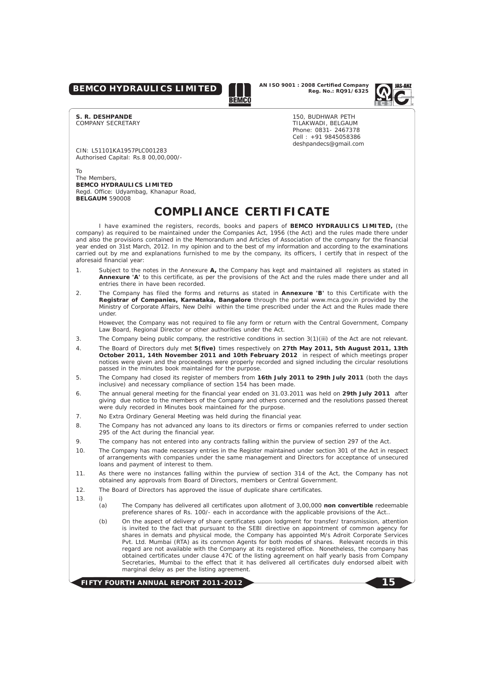

**AN ISO 9001 : 2008 Certified Company Reg. No.: RQ91/6325**



**S. R. DESHPANDE** 150, BUDHWAR PETH

TILAKWADI, BELGAUM Phone: 0831- 2467378 Cell : +91 9845058386 deshpandecs@gmail.com

CIN: L51101KA1957PLC001283 Authorised Capital: Rs.8 00,00,000/-

To

The Members, **BEMCO HYDRAULICS LIMITED** Regd. Office: Udyambag, Khanapur Road, **BELGAUM** 590008

# **COMPLIANCE CERTIFICATE**

I have examined the registers, records, books and papers of **BEMCO HYDRAULICS LIMITED,** (the company) as required to be maintained under the Companies Act, 1956 (the Act) and the rules made there under and also the provisions contained in the Memorandum and Articles of Association of the company for the financial year ended on 31st March, 2012. In my opinion and to the best of my information and according to the examinations carried out by me and explanations furnished to me by the company, its officers, I certify that in respect of the aforesaid financial year:

- 1. Subject to the notes in the Annexure **A,** the Company has kept and maintained all registers as stated in **Annexure 'A'** to this certificate, as per the provisions of the Act and the rules made there under and all entries there in have been recorded.
- 2. The Company has filed the forms and returns as stated in **Annexure 'B'** to this Certificate with the **Registrar of Companies, Karnataka, Bangalore** through the portal www.mca.gov.in provided by the Ministry of Corporate Affairs, New Delhi within the time prescribed under the Act and the Rules made there under.

However, the Company was not required to file any form or return with the Central Government, Company Law Board, Regional Director or other authorities under the Act.

- 3. The Company being public company, the restrictive conditions in section 3(1)(iii) of the Act are not relevant.
- 4. The Board of Directors duly met **5(five)** times respectively on **27th May 2011, 5th August 2011, 13th October 2011, 14th November 2011 and 10th February 2012** in respect of which meetings proper notices were given and the proceedings were properly recorded and signed including the circular resolutions passed in the minutes book maintained for the purpose.
- 5. The Company had closed its register of members from **16th July 2011 to 29th July 2011** (both the days inclusive) and necessary compliance of section 154 has been made.
- 6. The annual general meeting for the financial year ended on 31.03.2011 was held on **29th July 2011** after giving due notice to the members of the Company and others concerned and the resolutions passed thereat were duly recorded in Minutes book maintained for the purpose.
- 7. No Extra Ordinary General Meeting was held during the financial year.
- 8. The Company has not advanced any loans to its directors or firms or companies referred to under section 295 of the Act during the financial year.
- 9. The company has not entered into any contracts falling within the purview of section 297 of the Act.
- 10. The Company has made necessary entries in the Register maintained under section 301 of the Act in respect of arrangements with companies under the same management and Directors for acceptance of unsecured loans and payment of interest to them.
- 11. As there were no instances falling within the purview of section 314 of the Act, the Company has not obtained any approvals from Board of Directors, members or Central Government.
- 12. The Board of Directors has approved the issue of duplicate share certificates.
- 13. i)
	- (a) The Company has delivered all certificates upon allotment of 3,00,000 **non convertible** redeemable preference shares of Rs. 100/- each in accordance with the applicable provisions of the Act..
	- (b) On the aspect of delivery of share certificates upon lodgment for transfer/ transmission, attention is invited to the fact that pursuant to the SEBI directive on appointment of common agency for shares in demats and physical mode, the Company has appointed M/s Adroit Corporate Services Pvt. Ltd. Mumbai (RTA) as its common Agents for both modes of shares. Relevant records in this regard are not available with the Company at its registered office. Nonetheless, the company has obtained certificates under clause 47C of the listing agreement on half yearly basis from Company Secretaries, Mumbai to the effect that it has delivered all certificates duly endorsed albeit with marginal delay as per the listing agreement.

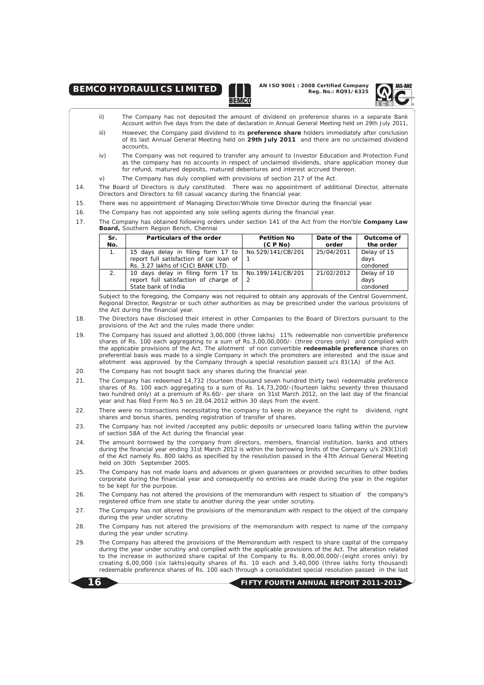# **BEMCO HYDRAULICS LIMITED AN ISO 9001 : 2008 Certified Company**

**Reg. No.: RQ91/6325**



ii) The Company has not deposited the amount of dividend on preference shares in a separate Bank Account within five days from the date of declaration in Annual General Meeting held on 29th July 2011,

**BEMCO** 

- iii) However, the Company paid dividend to its **preference share** holders immediately after conclusion of its last Annual General Meeting held on **29th July 2011** and there are no unclaimed dividend accounts,
- iv) The Company was not required to transfer any amount to Investor Education and Protection Fund as the company has no accounts in respect of unclaimed dividends, share application money due for refund, matured deposits, matured debentures and interest accrued thereon.
- v) The Company has duly complied with provisions of section 217 of the Act.
- 14. The Board of Directors is duly constituted. There was no appointment of additional Director, alternate Directors and Directors to fill casual vacancy during the financial year.
- 15. There was no appointment of Managing Director/Whole time Director during the financial year.
- 16. The Company has not appointed any sole selling agents during the financial year.
- 17. The Company has obtained following orders under section 141 of the Act from the Hon'ble **Company Law Board,** Southern Region Bench, Chennai

| Sr. | Particulars of the order                               | <b>Petition No</b> | Date of the | Outcome of  |
|-----|--------------------------------------------------------|--------------------|-------------|-------------|
| No. |                                                        | (C P No)           | order       | the order   |
|     | 15 days delay in filing form 17 to   No.529/141/CB/201 |                    | 25/04/2011  | Delay of 15 |
|     | report full satisfaction of car loan of                |                    |             | days        |
|     | Rs. 3.27 lakhs of ICICI BANK LTD.                      |                    |             | condoned    |
| 2.  | 10 days delay in filing form 17 to   No.199/141/CB/201 |                    | 21/02/2012  | Delay of 10 |
|     | report full satisfaction of charge of                  | $\mathcal{P}$      |             | days        |
|     | State bank of India                                    |                    |             | condoned    |

Subject to the foregoing, the Company was not required to obtain any approvals of the Central Government, Regional Director, Registrar or such other authorities as may be prescribed under the various provisions of the Act during the financial year.

- 18. The Directors have disclosed their interest in other Companies to the Board of Directors pursuant to the provisions of the Act and the rules made there under.
- 19. The Company has issued and allotted 3,00,000 (three lakhs) 11% redeemable non convertible preference shares of Rs. 100 each aggregating to a sum of Rs.3,00,00,000/- (three crores only) and complied with the applicable provisions of the Act. The allotment of non convertible **redeemable preference** shares on preferential basis was made to a single Company in which the promoters are interested and the issue and allotment was approved by the Company through a special resolution passed u/s 81(1A) of the Act.
- 20. The Company has not bought back any shares during the financial year.
- 21. The Company has redeemed 14,732 (fourteen thousand seven hundred thirty two) redeemable preference shares of Rs. 100 each aggregating to a sum of Rs. 14,73,200/-(fourteen lakhs seventy three thousand two hundred only) at a premium of Rs.60/- per share on 31st March 2012, on the last day of the financial year and has filed Form No.5 on 28.04.2012 within 30 days from the event.
- 22. There were no transactions necessitating the company to keep in abeyance the right to dividend, right shares and bonus shares, pending registration of transfer of shares.
- 23. The Company has not invited /accepted any public deposits or unsecured loans falling within the purview of section 58A of the Act during the financial year.
- 24. The amount borrowed by the company from directors, members, financial institution, banks and others during the financial year ending 31st March 2012 is within the borrowing limits of the Company u/s 293(1)(d) of the Act namely Rs. 800 lakhs as specified by the resolution passed in the 47th Annual General Meeting held on 30th September 2005.
- 25. The Company has not made loans and advances or given guarantees or provided securities to other bodies corporate during the financial year and consequently no entries are made during the year in the register to be kept for the purpose.
- 26. The Company has not altered the provisions of the memorandum with respect to situation of the company's registered office from one state to another during the year under scrutiny.
- 27. The Company has not altered the provisions of the memorandum with respect to the object of the company during the year under scrutiny.
- 28. The Company has not altered the provisions of the memorandum with respect to name of the company during the year under scrutiny.
- 29. The Company has altered the provisions of the Memorandum with respect to share capital of the company during the year under scrutiny and complied with the applicable provisions of the Act. The alteration related to the increase in authorized share capital of the Company to Rs. 8,00,00,000/-(eight crores only) by creating 6,00,000 (six lakhs)equity shares of Rs. 10 each and 3,40,000 (three lakhs forty thousand) redeemable preference shares of Rs. 100 each through a consolidated special resolution passed in the last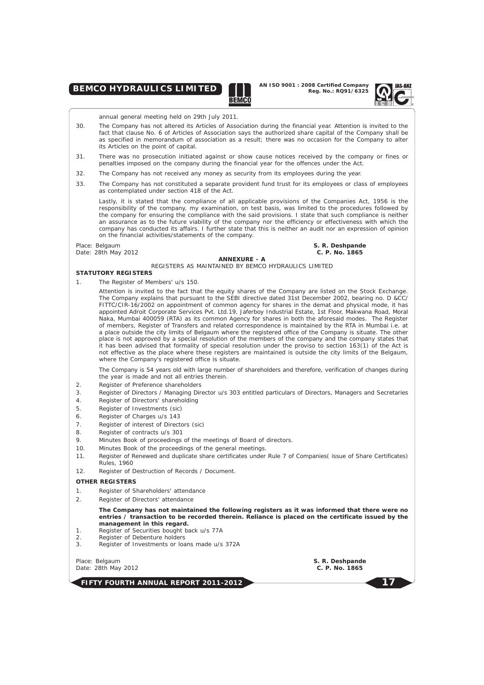**AN ISO 9001 : 2008 Certified Company Reg. No.: RQ91/6325**



annual general meeting held on 29th July 2011.

30. The Company has not altered its Articles of Association during the financial year. Attention is invited to the fact that clause No. 6 of Articles of Association says the authorized share capital of the Company shall be as specified in memorandum of association as a result; there was no occasion for the Company to alter its Articles on the point of capital.

**BEMCO** 

- 31. There was no prosecution initiated against or show cause notices received by the company or fines or penalties imposed on the company during the financial year for the offences under the Act.
- 32. The Company has not received any money as security from its employees during the year.
- 33. The Company has not constituted a separate provident fund trust for its employees or class of employees as contemplated under section 418 of the Act.

Lastly, it is stated that the compliance of all applicable provisions of the Companies Act, 1956 is the responsibility of the company, my examination, on test basis, was limited to the procedures followed by the company for ensuring the compliance with the said provisions. I state that such compliance is neither an assurance as to the future viability of the company nor the efficiency or effectiveness with which the company has conducted its affairs. I further state that this is neither an audit nor an expression of opinion on the financial activities/statements of the company.

Place: Belgaum **S. R. Deshpande** Date: 28th May 2012 **C. P. No. 1865**

#### **ANNEXURE - A**

REGISTERS AS MAINTAINED BY BEMCO HYDRAULICS LIMITED

#### **STATUTORY REGISTERS**

The Register of Members' u/s 150.

Attention is invited to the fact that the equity shares of the Company are listed on the Stock Exchange. The Company explains that pursuant to the SEBI directive dated 31st December 2002, bearing no. D &CC/ FITTC/CIR-16/2002 on appointment of common agency for shares in the demat and physical mode, it has appointed Adroit Corporate Services Pvt. Ltd.19, Jaferboy Industrial Estate, 1st Floor, Makwana Road, Moral Naka, Mumbai 400059 (RTA) as its common Agency for shares in both the aforesaid modes. The Register of members, Register of Transfers and related correspondence is maintained by the RTA in Mumbai i.e. at a place outside the city limits of Belgaum where the registered office of the Company is situate. The other place is not approved by a special resolution of the members of the company and the company states that it has been advised that formality of special resolution under the proviso to section 163(1) of the Act is not effective as the place where these registers are maintained is outside the city limits of the Belgaum, where the Company's registered office is situate.

The Company is 54 years old with large number of shareholders and therefore, verification of changes during the year is made and not all entries therein.

- 2. Register of Preference shareholders
- 3. Register of Directors / Managing Director u/s 303 entitled particulars of Directors, Managers and Secretaries
- 4. Register of Directors' shareholding
- 5. Register of Investments (sic)
- 6. Register of Charges u/s 143
- 7. Register of interest of Directors (sic)
- 8. Register of contracts u/s 301
- 9. Minutes Book of proceedings of the meetings of Board of directors.
- 10. Minutes Book of the proceedings of the general meetings.
- 11. Register of Renewed and duplicate share certificates under Rule 7 of Companies( issue of Share Certificates) Rules, 1960
- 12. Register of Destruction of Records / Document.

#### **OTHER REGISTERS**

- 1. Register of Shareholders' attendance
- 2. Register of Directors' attendance

*The Company has not maintained the following registers as it was informed that there were no entries / transaction to be recorded therein. Reliance is placed on the certificate issued by the management in this regard.*

- 1. Register of Securities bought back u/s 77A<br>2. Register of Debenture holders
- 2. Register of Debenture holders<br>3 Register of Investments or Ioa
- 3. Register of Investments or loans made u/s 372A

Place: Belgaum **S. R. Deshpande** Date: 28th May 2012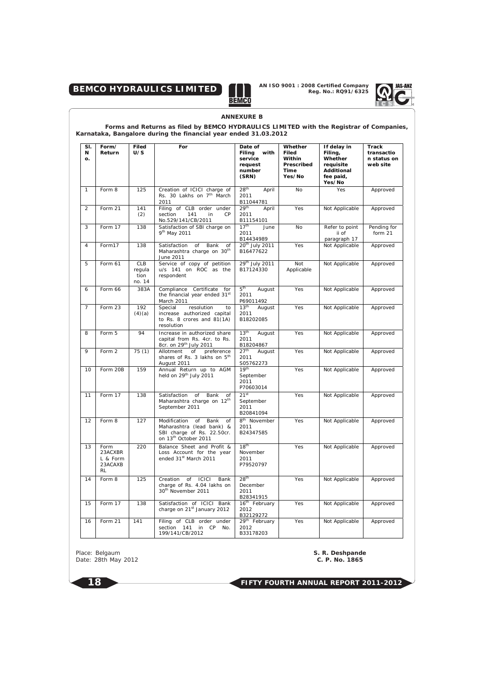# **BEMCO HYDRAULICS LIMITED**  $\begin{bmatrix} \bullet & \bullet & \bullet \\ \bullet & \bullet & \bullet & \bullet \end{bmatrix}$

AN ISO 9001 : 2008 Certified Company<br>Reg. No.: RQ91/6325



#### **ANNEXURE B**

**BEMCO** 

| SI.<br>N<br>о. | Form/<br>Return                                     | Filed<br>U/S                           | For                                                                                                                             | Date of<br>Filing<br>with<br>service<br>request<br>number<br>(SRN) | Whether<br><b>Filed</b><br>Within<br>Prescribed<br>Time<br>Yes/No | If delay in<br>Filing,<br>Whether<br>requisite<br>Additional<br>fee paid,<br>Yes/No | Track<br>transactio<br>n status on<br>web site |
|----------------|-----------------------------------------------------|----------------------------------------|---------------------------------------------------------------------------------------------------------------------------------|--------------------------------------------------------------------|-------------------------------------------------------------------|-------------------------------------------------------------------------------------|------------------------------------------------|
| $\mathbf{1}$   | Form 8                                              | 125                                    | Creation of ICICI charge of<br>Rs. 30 Lakhs on 7 <sup>th</sup> March<br>2011                                                    | 28 <sup>th</sup><br>April<br>2011<br>B11044781                     | <b>No</b>                                                         | Yes                                                                                 | Approved                                       |
| $\overline{2}$ | Form 21                                             | 141<br>(2)                             | Filing of CLB order under<br>section<br>141<br>in<br><b>CP</b><br>No.529/141/CB/2011                                            | 29 <sup>th</sup><br>April<br>2011<br>B11154101                     | Yes                                                               | Not Applicable                                                                      | Approved                                       |
| 3              | Form 17                                             | 138                                    | Satisfaction of SBI charge on<br>9 <sup>th</sup> May 2011                                                                       | $17^{\text{th}}$<br>June<br>2011<br>B14434989                      | <b>No</b>                                                         | Refer to point<br>ii of<br>paragraph 17                                             | Pending for<br>form $21$                       |
| $\overline{4}$ | Form17                                              | 138                                    | Satisfaction<br>of<br>Bank<br>of<br>Maharashtra charge on 30 <sup>th</sup><br>June 2011                                         | 20 <sup>th</sup> July 2011<br>B16477622                            | Yes                                                               | Not Applicable                                                                      | Approved                                       |
| 5              | Form 61                                             | <b>CLB</b><br>regula<br>tion<br>no. 14 | Service of copy of petition<br>u/s 141 on ROC as the<br>respondent                                                              | 29th July 2011<br>B17124330                                        | Not<br>Applicable                                                 | Not Applicable                                                                      | Approved                                       |
| 6              | Form 66                                             | 383A                                   | Compliance<br>Certificate<br>for<br>the financial year ended 31st<br>March 2011                                                 | 5 <sup>th</sup><br>August<br>2011<br>P69011492                     | Yes                                                               | Not Applicable                                                                      | Approved                                       |
| $\overline{7}$ | Form 23                                             | 192<br>(4)(a)                          | Special<br>resolution<br>to<br>increase authorized capital<br>to Rs. 8 crores and 81(1A)<br>resolution                          | $13^{\text{th}}$<br>August<br>2011<br>B18202085                    | Yes                                                               | Not Applicable                                                                      | Approved                                       |
| 8              | Form 5                                              | 94                                     | Increase in authorized share<br>capital from Rs. 4cr. to Rs.<br>8cr. on 29 <sup>th</sup> July 2011                              | 13 <sup>th</sup><br>August<br>2011<br>B18204867                    | Yes                                                               | Not Applicable                                                                      | Approved                                       |
| $\overline{9}$ | Form 2                                              | 75(1)                                  | preference<br>Allotment<br>of<br>shares of Rs. 3 lakhs on 5 <sup>th</sup><br>August 2011                                        | 27 <sup>th</sup><br>August<br>2011<br>S05762273                    | Yes                                                               | Not Applicable                                                                      | Approved                                       |
| 10             | Form 20B                                            | 159                                    | Annual Return up to AGM<br>held on 29 <sup>th</sup> July 2011                                                                   | 19 <sup>th</sup><br>September<br>2011<br>P70603014                 | Yes                                                               | Not Applicable                                                                      | Approved                                       |
| 11             | Form 17                                             | 138                                    | Satisfaction<br>of<br>Bank<br>of<br>Maharashtra charge on 12th<br>September 2011                                                | 21 <sup>st</sup><br>September<br>2011<br>B20841094                 | Yes                                                               | Not Applicable                                                                      | Approved                                       |
| 12             | Form 8                                              | 127                                    | Modification<br>of<br>Bank<br>of<br>Maharashtra (lead bank) &<br>SBI charge of Rs. 22.50cr.<br>on 13 <sup>th</sup> October 2011 | 8 <sup>th</sup> November<br>2011<br>B24347585                      | Yes                                                               | Not Applicable                                                                      | Approved                                       |
| 13             | Form<br>23ACXBR<br>L & Form<br>23ACAXB<br><b>RL</b> | 220                                    | Balance Sheet and Profit &<br>Loss Account for the year<br>ended 31st March 2011                                                | $18^{\text{th}}$<br>November<br>2011<br>P79520797                  | Yes                                                               | Not Applicable                                                                      | Approved                                       |
| 14             | Form 8                                              | 125                                    | ICICI<br>Creation<br>of<br>Bank<br>charge of Rs. 4.04 lakhs on<br>30th November 2011                                            | $28^{\text{th}}$<br>December<br>2011<br>B28341915                  | Yes                                                               | Not Applicable                                                                      | Approved                                       |
| 15             | Form 17                                             | 138                                    | Satisfaction of ICICI Bank<br>charge on 21 <sup>st</sup> January 2012                                                           | 16 <sup>th</sup> February<br>2012<br>B32129272                     | Yes                                                               | Not Applicable                                                                      | Approved                                       |
| 16             | Form 21                                             | 141                                    | Filing of CLB order under<br>section 141 in CP No.<br>199/141/CB/2012                                                           | 29 <sup>th</sup> February<br>2012<br>B33178203                     | Yes                                                               | Not Applicable                                                                      | Approved                                       |

**Forms and Returns as filed by BEMCO HYDRAULICS LIMITED with the Registrar of Companies, Karnataka, Bangalore during the financial year ended 31.03.2012**

Place: Belgaum **S. R. Deshpande** Date: 28th May 2012 **C. P. No. 1865**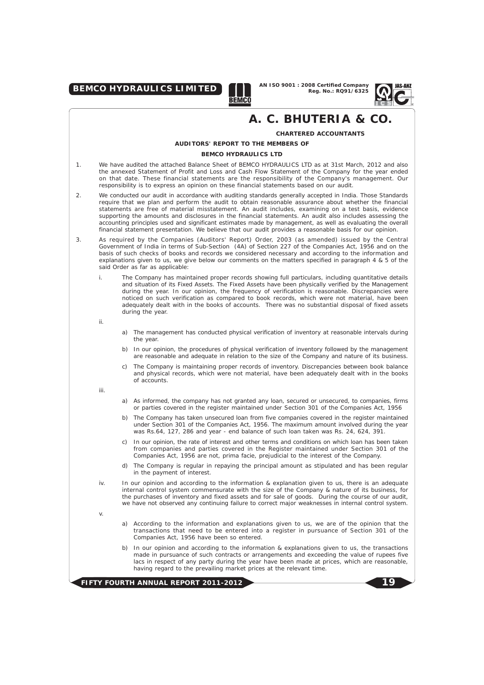**BEMCO HYDRAULICS LIMITED AN ISO 9001 : 2008 Certified Company Reg. No.: RQ91/6325**

|    |                                                                                                                                                                                                                                                                                                                                                                                                           |    | <u>DEMICU</u>                                                                                                                                                                                                                                                                                                                                                                                                                                                                                                                                                                                                                                                    |  |  |  |  |  |
|----|-----------------------------------------------------------------------------------------------------------------------------------------------------------------------------------------------------------------------------------------------------------------------------------------------------------------------------------------------------------------------------------------------------------|----|------------------------------------------------------------------------------------------------------------------------------------------------------------------------------------------------------------------------------------------------------------------------------------------------------------------------------------------------------------------------------------------------------------------------------------------------------------------------------------------------------------------------------------------------------------------------------------------------------------------------------------------------------------------|--|--|--|--|--|
|    |                                                                                                                                                                                                                                                                                                                                                                                                           |    | A. C. BHUTERIA & CO.                                                                                                                                                                                                                                                                                                                                                                                                                                                                                                                                                                                                                                             |  |  |  |  |  |
|    |                                                                                                                                                                                                                                                                                                                                                                                                           |    | <b>CHARTERED ACCOUNTANTS</b>                                                                                                                                                                                                                                                                                                                                                                                                                                                                                                                                                                                                                                     |  |  |  |  |  |
|    |                                                                                                                                                                                                                                                                                                                                                                                                           |    | AUDITORS' REPORT TO THE MEMBERS OF                                                                                                                                                                                                                                                                                                                                                                                                                                                                                                                                                                                                                               |  |  |  |  |  |
|    |                                                                                                                                                                                                                                                                                                                                                                                                           |    | <b>BEMCO HYDRAULICS LTD</b>                                                                                                                                                                                                                                                                                                                                                                                                                                                                                                                                                                                                                                      |  |  |  |  |  |
| 1. | We have audited the attached Balance Sheet of BEMCO HYDRAULICS LTD as at 31st March, 2012 and also<br>the annexed Statement of Profit and Loss and Cash Flow Statement of the Company for the year ended<br>on that date. These financial statements are the responsibility of the Company's management. Our<br>responsibility is to express an opinion on these financial statements based on our audit. |    |                                                                                                                                                                                                                                                                                                                                                                                                                                                                                                                                                                                                                                                                  |  |  |  |  |  |
| 2. |                                                                                                                                                                                                                                                                                                                                                                                                           |    | We conducted our audit in accordance with auditing standards generally accepted in India. Those Standards<br>require that we plan and perform the audit to obtain reasonable assurance about whether the financial<br>statements are free of material misstatement. An audit includes, examining on a test basis, evidence<br>supporting the amounts and disclosures in the financial statements. An audit also includes assessing the<br>accounting principles used and significant estimates made by management, as well as evaluating the overall<br>financial statement presentation. We believe that our audit provides a reasonable basis for our opinion. |  |  |  |  |  |
| 3. |                                                                                                                                                                                                                                                                                                                                                                                                           |    | As required by the Companies (Auditors' Report) Order, 2003 (as amended) issued by the Central<br>Government of India in terms of Sub-Section (4A) of Section 227 of the Companies Act, 1956 and on the<br>basis of such checks of books and records we considered necessary and according to the information and<br>explanations given to us, we give below our comments on the matters specified in paragraph 4 & 5 of the<br>said Order as far as applicable:                                                                                                                                                                                                 |  |  |  |  |  |
|    | i.                                                                                                                                                                                                                                                                                                                                                                                                        |    | The Company has maintained proper records showing full particulars, including quantitative details<br>and situation of its Fixed Assets. The Fixed Assets have been physically verified by the Management<br>during the year. In our opinion, the frequency of verification is reasonable. Discrepancies were<br>noticed on such verification as compared to book records, which were not material, have been<br>adequately dealt with in the books of accounts. There was no substantial disposal of fixed assets<br>during the year.                                                                                                                           |  |  |  |  |  |
|    | ii.                                                                                                                                                                                                                                                                                                                                                                                                       |    |                                                                                                                                                                                                                                                                                                                                                                                                                                                                                                                                                                                                                                                                  |  |  |  |  |  |
|    |                                                                                                                                                                                                                                                                                                                                                                                                           |    | a) The management has conducted physical verification of inventory at reasonable intervals during<br>the year.                                                                                                                                                                                                                                                                                                                                                                                                                                                                                                                                                   |  |  |  |  |  |
|    |                                                                                                                                                                                                                                                                                                                                                                                                           |    | b) In our opinion, the procedures of physical verification of inventory followed by the management<br>are reasonable and adequate in relation to the size of the Company and nature of its business.                                                                                                                                                                                                                                                                                                                                                                                                                                                             |  |  |  |  |  |
|    |                                                                                                                                                                                                                                                                                                                                                                                                           | C) | The Company is maintaining proper records of inventory. Discrepancies between book balance<br>and physical records, which were not material, have been adequately dealt with in the books<br>of accounts.                                                                                                                                                                                                                                                                                                                                                                                                                                                        |  |  |  |  |  |
|    | iii.                                                                                                                                                                                                                                                                                                                                                                                                      |    |                                                                                                                                                                                                                                                                                                                                                                                                                                                                                                                                                                                                                                                                  |  |  |  |  |  |
|    |                                                                                                                                                                                                                                                                                                                                                                                                           |    | a) As informed, the company has not granted any loan, secured or unsecured, to companies, firms<br>or parties covered in the register maintained under Section 301 of the Companies Act, 1956                                                                                                                                                                                                                                                                                                                                                                                                                                                                    |  |  |  |  |  |
|    |                                                                                                                                                                                                                                                                                                                                                                                                           |    | b) The Company has taken unsecured loan from five companies covered in the register maintained<br>under Section 301 of the Companies Act, 1956. The maximum amount involved during the year<br>was Rs.64, 127, 286 and year - end balance of such loan taken was Rs. 24, 624, 391.                                                                                                                                                                                                                                                                                                                                                                               |  |  |  |  |  |
|    |                                                                                                                                                                                                                                                                                                                                                                                                           |    | c) In our opinion, the rate of interest and other terms and conditions on which loan has been taken<br>from companies and parties covered in the Register maintained under Section 301 of the<br>Companies Act, 1956 are not, prima facie, prejudicial to the interest of the Company.                                                                                                                                                                                                                                                                                                                                                                           |  |  |  |  |  |
|    |                                                                                                                                                                                                                                                                                                                                                                                                           |    | d) The Company is regular in repaying the principal amount as stipulated and has been regular<br>in the payment of interest.                                                                                                                                                                                                                                                                                                                                                                                                                                                                                                                                     |  |  |  |  |  |
|    | iv.                                                                                                                                                                                                                                                                                                                                                                                                       |    | In our opinion and according to the information & explanation given to us, there is an adequate<br>internal control system commensurate with the size of the Company & nature of its business, for<br>the purchases of inventory and fixed assets and for sale of goods. During the course of our audit,<br>we have not observed any continuing failure to correct major weaknesses in internal control system.                                                                                                                                                                                                                                                  |  |  |  |  |  |
|    | V.                                                                                                                                                                                                                                                                                                                                                                                                        |    |                                                                                                                                                                                                                                                                                                                                                                                                                                                                                                                                                                                                                                                                  |  |  |  |  |  |
|    |                                                                                                                                                                                                                                                                                                                                                                                                           |    | a) According to the information and explanations given to us, we are of the opinion that the<br>transactions that need to be entered into a register in pursuance of Section 301 of the<br>Companies Act, 1956 have been so entered.                                                                                                                                                                                                                                                                                                                                                                                                                             |  |  |  |  |  |
|    |                                                                                                                                                                                                                                                                                                                                                                                                           |    | b) In our opinion and according to the information & explanations given to us, the transactions<br>made in pursuance of such contracts or arrangements and exceeding the value of rupees five<br>lacs in respect of any party during the year have been made at prices, which are reasonable,<br>having regard to the prevailing market prices at the relevant time.                                                                                                                                                                                                                                                                                             |  |  |  |  |  |
|    |                                                                                                                                                                                                                                                                                                                                                                                                           |    | FIFTY FOURTH ANNUAL REPORT 2011-2012<br>19                                                                                                                                                                                                                                                                                                                                                                                                                                                                                                                                                                                                                       |  |  |  |  |  |
|    |                                                                                                                                                                                                                                                                                                                                                                                                           |    |                                                                                                                                                                                                                                                                                                                                                                                                                                                                                                                                                                                                                                                                  |  |  |  |  |  |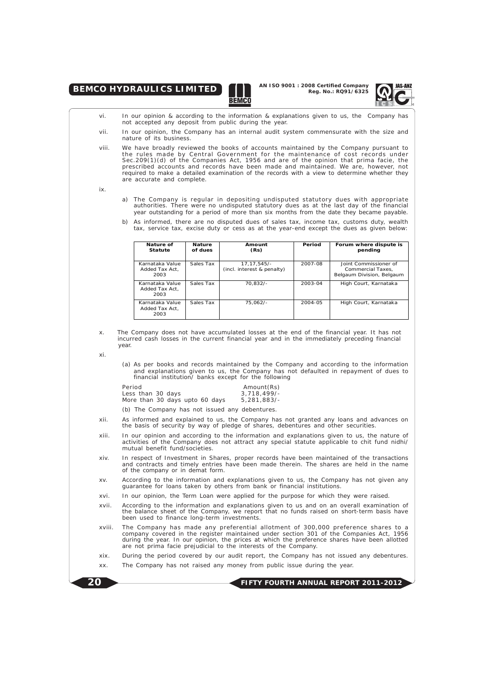# **BEMCO HYDRAULICS LIMITED AN ISO 9001 : 2008 Certified Company**

**Reg. No.: RQ91/6325**



**20 FIFTY FOURTH ANNUAL REPORT 2011-2012** vi. In our opinion & according to the information & explanations given to us, the Company has not accepted any deposit from public during the year. vii. In our opinion, the Company has an internal audit system commensurate with the size and nature of its business. viii. We have broadly reviewed the books of accounts maintained by the Company pursuant to the rules made by Central Government for the maintenance of cost records under<br>Sec.209(1)(d) of the Companies Act, 1956 and are of the opinion that *prima facie*, the<br>prescribed accounts and records have been made and main required to make a detailed examination of the records with a view to determine whether they are accurate and complete. ix. a) The Company is regular in depositing undisputed statutory dues with appropriate authorities. There were no undisputed statutory dues as at the last day of the financial year outstanding for a period of more than six months from the date they became payable. b) As informed, there are no disputed dues of sales tax, income tax, customs duty, wealth tax, service tax, excise duty or cess as at the year-end except the dues as given below: **Nature of Statute Nature of dues Amount (Rs) Period** Forum where dispute is **pending**  Karnataka Value Added Tax Act, 2003 Sales Tax 17, 17, 17, 545/-(incl. interest & penalty) 2007-08 Joint Commissioner of Commercial Taxes, Belgaum Division, Belgaum Karnataka Value Added Tax Act, 2003 Sales Tax 70,832/- 2003-04 High Court, Karnataka Karnataka Value Added Tax Act, 2003 Sales Tax 75,062/- 2004-05 High Court, Karnataka x. The Company does not have accumulated losses at the end of the financial year. It has not incurred cash losses in the current financial year and in the immediately preceding financial year. xi. (a) As per books and records maintained by the Company and according to the information and explanations given to us, the Company has not defaulted in repayment of dues to financial institution/ banks except for the following Period Amount(Rs) Less than 30 days 3,718,499/- More than 30 days upto 60 days 5,281,883/- (b) The Company has not issued any debentures. xii. As informed and explained to us, the Company has not granted any loans and advances on the basis of security by way of pledge of shares, debentures and other securities. xiii. In our opinion and according to the information and explanations given to us, the nature of activities of the Company does not attract any special statute applicable to chit fund nidhi/ mutual benefit fund/societies. xiv. In respect of Investment in Shares, proper records have been maintained of the transactions and contracts and timely entries have been made therein. The shares are held in the name of the company or in demat form. xv. According to the information and explanations given to us, the Company has not given any guarantee for loans taken by others from bank or financial institutions. xvi. In our opinion, the Term Loan were applied for the purpose for which they were raised. xvii. According to the information and explanations given to us and on an overall examination of the balance sheet of the Company, we report that no funds raised on short-term basis have been used to finance long-term investments. xviii. The Company has made any preferential allotment of 300,000 preference shares to a company covered in the register maintained under section 301 of the Companies Act, 1956<br>during the year. In our opinion, the prices at which the preference shares have been allotted<br>are not prima facie prejudicial to the i xix. During the period covered by our audit report, the Company has not issued any debentures. xx. The Company has not raised any money from public issue during the year.

**BEMCO**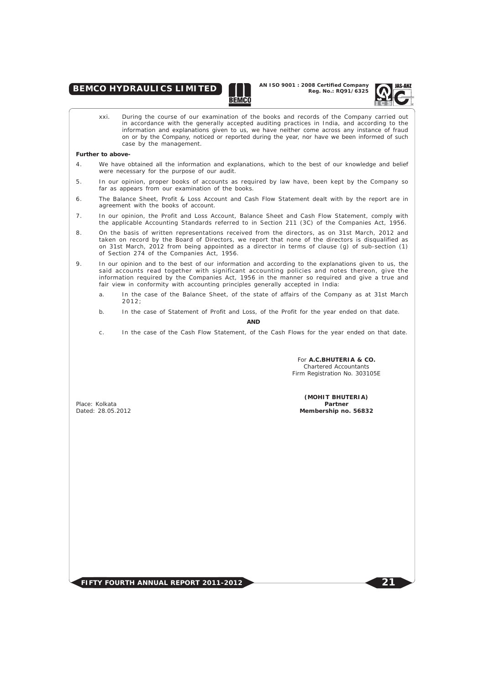

**AN ISO 9001 : 2008 Certified Company Reg. No.: RQ91/6325**



xxi. During the course of our examination of the books and records of the Company carried out in accordance with the generally accepted auditing practices in India, and according to the information and explanations given to us, we have neither come across any instance of fraud on or by the Company, noticed or reported during the year, nor have we been informed of such case by the management.

#### **Further to above-**

- 4. We have obtained all the information and explanations, which to the best of our knowledge and belief were necessary for the purpose of our audit.
- 5. In our opinion, proper books of accounts as required by law have, been kept by the Company so far as appears from our examination of the books.
- 6. The Balance Sheet, Profit & Loss Account and Cash Flow Statement dealt with by the report are in agreement with the books of account.
- 7. In our opinion, the Profit and Loss Account, Balance Sheet and Cash Flow Statement, comply with the applicable Accounting Standards referred to in Section 211 (3C) of the Companies Act, 1956.
- 8. On the basis of written representations received from the directors, as on 31st March, 2012 and taken on record by the Board of Directors, we report that none of the directors is disqualified as on 31st March, 2012 from being appointed as a director in terms of clause (g) of sub-section (1) of Section 274 of the Companies Act, 1956.
- 9. In our opinion and to the best of our information and according to the explanations given to us, the said accounts read together with significant accounting policies and notes thereon, give the information required by the Companies Act, 1956 in the manner so required and give a true and fair view in conformity with accounting principles generally accepted in India:
	- a. In the case of the Balance Sheet, of the state of affairs of the Company as at 31st March  $2012$
	- b. In the case of Statement of Profit and Loss, of the Profit for the year ended on that date.

**AND**

c. In the case of the Cash Flow Statement, of the Cash Flows for the year ended on that date.

For **A.C.BHUTERIA & CO.** Chartered Accountants Firm Registration No. 303105E

Place: Kolkata<br>Dated: 28.05.2012

**(MOHIT BHUTERIA)** Membership no. 56832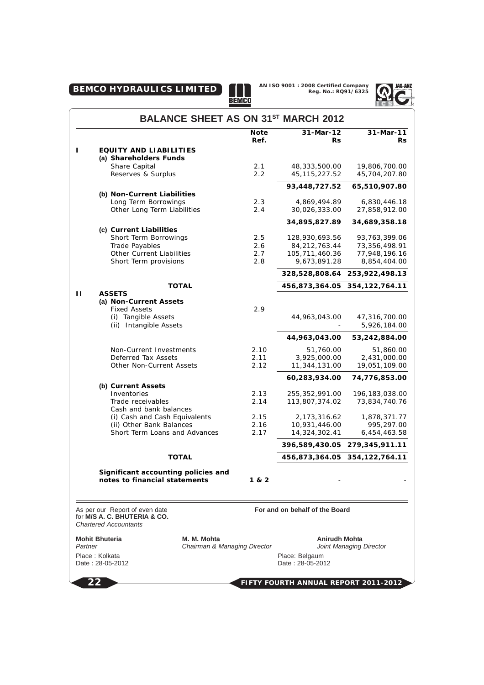# **BEMCO HYDRAULICS LIMITED AN ISSUED**

**Reg. No.: RQ91/6325**



|         |                                                                                                |                              | <b>Note</b><br>Ref. | 31-Mar-12<br>Rs                | 31-Mar-11               |
|---------|------------------------------------------------------------------------------------------------|------------------------------|---------------------|--------------------------------|-------------------------|
| L.      | <b>EQUITY AND LIABILITIES</b>                                                                  |                              |                     |                                | Rs                      |
|         | (a) Shareholders Funds                                                                         |                              |                     |                                |                         |
|         | Share Capital                                                                                  |                              | 2.1                 | 48,333,500.00                  | 19,806,700.00           |
|         | Reserves & Surplus                                                                             |                              | 2.2                 | 45, 115, 227.52                | 45,704,207.80           |
|         |                                                                                                |                              |                     | 93,448,727.52                  | 65,510,907.80           |
|         | (b) Non-Current Liabilities                                                                    |                              |                     |                                |                         |
|         | Long Term Borrowings                                                                           |                              | 2.3                 | 4,869,494.89                   | 6,830,446.18            |
|         | Other Long Term Liabilities                                                                    |                              | 2.4                 | 30,026,333.00                  | 27,858,912.00           |
|         |                                                                                                |                              |                     | 34,895,827.89                  | 34,689,358.18           |
|         | (c) Current Liabilities                                                                        |                              |                     |                                |                         |
|         | Short Term Borrowings                                                                          |                              | 2.5                 | 128,930,693.56                 | 93,763,399.06           |
|         | Trade Payables                                                                                 |                              | 2.6                 | 84, 212, 763.44                | 73,356,498.91           |
|         | Other Current Liabilities                                                                      |                              | 2.7                 | 105,711,460.36                 | 77,948,196.16           |
|         | Short Term provisions                                                                          |                              | 2.8                 | 9,673,891.28                   | 8,854,404.00            |
|         |                                                                                                |                              |                     | 328,528,808.64                 | 253,922,498.13          |
|         | <b>TOTAL</b>                                                                                   |                              |                     | 456,873,364.05                 | 354,122,764.11          |
| п       | <b>ASSETS</b>                                                                                  |                              |                     |                                |                         |
|         | (a) Non-Current Assets                                                                         |                              |                     |                                |                         |
|         | <b>Fixed Assets</b>                                                                            |                              | 2.9                 |                                |                         |
|         | (i) Tangible Assets                                                                            |                              |                     | 44,963,043.00                  | 47,316,700.00           |
|         | (ii) Intangible Assets                                                                         |                              |                     |                                | 5,926,184.00            |
|         |                                                                                                |                              |                     | 44,963,043.00                  | 53,242,884.00           |
|         | Non-Current Investments                                                                        |                              | 2.10                | 51,760.00                      | 51,860.00               |
|         | Deferred Tax Assets                                                                            |                              | 2.11                | 3,925,000.00                   | 2,431,000.00            |
|         | Other Non-Current Assets                                                                       |                              | 2.12                | 11,344,131.00                  | 19,051,109.00           |
|         |                                                                                                |                              |                     | 60,283,934.00                  | 74,776,853.00           |
|         | (b) Current Assets                                                                             |                              |                     |                                |                         |
|         | Inventories                                                                                    |                              | 2.13                | 255,352,991.00                 | 196,183,038.00          |
|         | Trade receivables                                                                              |                              | 2.14                | 113,807,374.02                 | 73,834,740.76           |
|         | Cash and bank balances                                                                         |                              |                     |                                |                         |
|         | (i) Cash and Cash Equivalents                                                                  |                              | 2.15                | 2, 173, 316.62                 | 1,878,371.77            |
|         | (ii) Other Bank Balances                                                                       |                              | 2.16                | 10,931,446.00                  | 995,297.00              |
|         | Short Term Loans and Advances                                                                  |                              | 2.17                | 14,324,302.41                  | 6,454,463.58            |
|         |                                                                                                |                              |                     | 396,589,430.05                 | 279,345,911.11          |
|         | <b>TOTAL</b>                                                                                   |                              |                     | 456,873,364.05                 | 354,122,764.11          |
|         | Significant accounting policies and<br>notes to financial statements                           |                              | 1&2                 |                                |                         |
|         | As per our Report of even date<br>for M/S A. C. BHUTERIA & CO.<br><b>Chartered Accountants</b> |                              |                     | For and on behalf of the Board |                         |
|         | <b>Mohit Bhuteria</b>                                                                          | M. M. Mohta                  |                     | <b>Anirudh Mohta</b>           |                         |
| Partner |                                                                                                | Chairman & Managing Director |                     |                                | Joint Managing Director |
|         | Place: Kolkata                                                                                 |                              |                     | Place: Belgaum                 |                         |
|         | Date: 28-05-2012                                                                               |                              |                     | Date: 28-05-2012               |                         |
|         |                                                                                                |                              |                     |                                |                         |
|         |                                                                                                |                              |                     |                                |                         |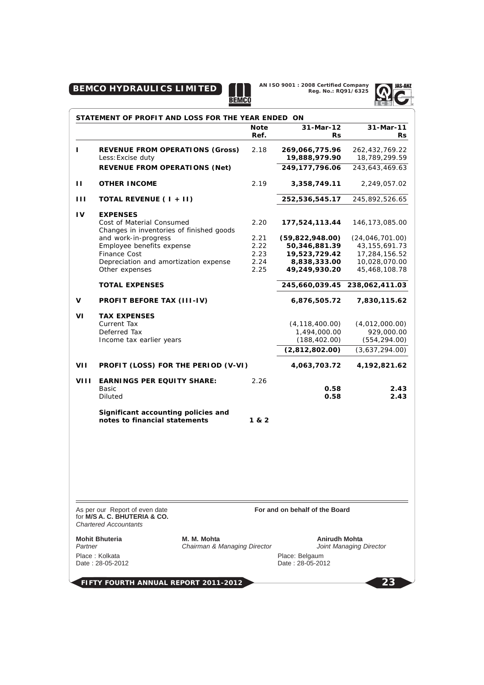**AN ISO 9001 : 2008 Certified Company Reg. No.: RQ91/6325**



| STATEMENT OF PROFIT AND LOSS FOR THE YEAR ENDED ON |                                                                                                |                                             |                     |                                    |                                   |  |  |  |
|----------------------------------------------------|------------------------------------------------------------------------------------------------|---------------------------------------------|---------------------|------------------------------------|-----------------------------------|--|--|--|
|                                                    |                                                                                                |                                             | <b>Note</b><br>Ref. | 31-Mar-12<br><b>Rs</b>             | 31-Mar-11<br><b>Rs</b>            |  |  |  |
| п                                                  | <b>REVENUE FROM OPERATIONS (Gross)</b><br>Less: Excise duty                                    |                                             | 2.18                | 269,066,775.96<br>19,888,979.90    | 262,432,769.22<br>18,789,299.59   |  |  |  |
|                                                    | <b>REVENUE FROM OPERATIONS (Net)</b>                                                           |                                             |                     | 249, 177, 796.06                   | 243,643,469.63                    |  |  |  |
| п                                                  | <b>OTHER INCOME</b>                                                                            |                                             | 2.19                | 3,358,749.11                       | 2,249,057.02                      |  |  |  |
| Ш                                                  | TOTAL REVENUE $(1 + 11)$                                                                       |                                             |                     | 252,536,545.17                     | 245,892,526.65                    |  |  |  |
| $\mathsf{I} \mathsf{V}$                            | <b>EXPENSES</b><br>Cost of Material Consumed                                                   |                                             | 2.20                | 177,524,113.44                     | 146,173,085.00                    |  |  |  |
|                                                    | Changes in inventories of finished goods                                                       |                                             |                     |                                    |                                   |  |  |  |
|                                                    | and work-in-progress                                                                           |                                             | 2.21                | (59,822,948.00)                    | (24,046,701.00)                   |  |  |  |
|                                                    | Employee benefits expense<br><b>Finance Cost</b>                                               |                                             | 2.22<br>2.23        | 50,346,881.39<br>19,523,729.42     | 43, 155, 691. 73<br>17,284,156.52 |  |  |  |
|                                                    | Depreciation and amortization expense                                                          |                                             | 2.24                | 8,838,333.00                       | 10,028,070.00                     |  |  |  |
|                                                    | Other expenses                                                                                 |                                             | 2.25                | 49,249,930.20                      | 45,468,108.78                     |  |  |  |
|                                                    | <b>TOTAL EXPENSES</b>                                                                          |                                             |                     | 245,660,039.45                     | 238,062,411.03                    |  |  |  |
| v                                                  | PROFIT BEFORE TAX (III-IV)                                                                     |                                             |                     | 6,876,505.72                       | 7,830,115.62                      |  |  |  |
| VI                                                 | <b>TAX EXPENSES</b>                                                                            |                                             |                     |                                    |                                   |  |  |  |
|                                                    | Current Tax                                                                                    |                                             |                     | (4, 118, 400.00)                   | (4,012,000.00)                    |  |  |  |
|                                                    | Deferred Tax                                                                                   |                                             |                     | 1,494,000.00                       | 929,000.00                        |  |  |  |
|                                                    | Income tax earlier years                                                                       |                                             |                     | (188, 402.00)                      | (554, 294.00)                     |  |  |  |
|                                                    |                                                                                                |                                             |                     | (2,812,802.00)                     | (3,637,294.00)                    |  |  |  |
| <b>VII</b>                                         | PROFIT (LOSS) FOR THE PERIOD (V-VI)                                                            |                                             |                     | 4,063,703.72                       | 4,192,821.62                      |  |  |  |
| VIII                                               | <b>EARNINGS PER EQUITY SHARE:</b>                                                              |                                             | 2.26                |                                    |                                   |  |  |  |
|                                                    | Basic<br>Diluted                                                                               |                                             |                     | 0.58<br>0.58                       | 2.43<br>2.43                      |  |  |  |
|                                                    | Significant accounting policies and<br>notes to financial statements                           |                                             | 1 & 2               |                                    |                                   |  |  |  |
|                                                    |                                                                                                |                                             |                     |                                    |                                   |  |  |  |
|                                                    |                                                                                                |                                             |                     |                                    |                                   |  |  |  |
|                                                    | As per our Report of even date<br>for M/S A. C. BHUTERIA & CO.<br><b>Chartered Accountants</b> |                                             |                     | For and on behalf of the Board     |                                   |  |  |  |
| Partner                                            | <b>Mohit Bhuteria</b>                                                                          | M. M. Mohta<br>Chairman & Managing Director |                     | Anirudh Mohta                      | Joint Managing Director           |  |  |  |
|                                                    | Place: Kolkata<br>Date: 28-05-2012                                                             |                                             |                     | Place: Belgaum<br>Date: 28-05-2012 |                                   |  |  |  |
|                                                    | FIFTY FOURTH ANNUAL REPORT 2011-2012                                                           |                                             |                     |                                    | 23                                |  |  |  |

BEMCO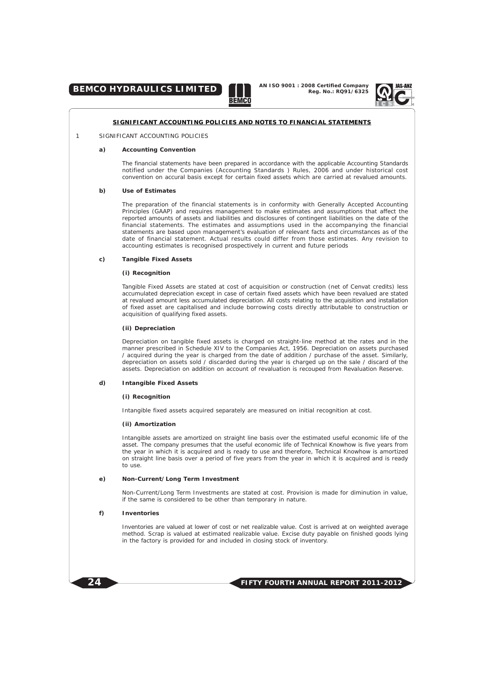**BEMCO HYDRAULICS LIMITED AN ISO 9001 : 2008 Certified Company Reg. No.: RQ91/6325**



#### **SIGNIFICANT ACCOUNTING POLICIES AND NOTES TO FINANCIAL STATEMENTS**

**BEMCO** 

1 SIGNIFICANT ACCOUNTING POLICIES

#### **a) Accounting Convention**

The financial statements have been prepared in accordance with the applicable Accounting Standards notified under the Companies (Accounting Standards ) Rules, 2006 and under historical cost convention on accural basis except for certain fixed assets which are carried at revalued amounts.

#### **b) Use of Estimates**

The preparation of the financial statements is in conformity with Generally Accepted Accounting Principles (GAAP) and requires management to make estimates and assumptions that affect the reported amounts of assets and liabilities and disclosures of contingent liabilities on the date of the financial statements. The estimates and assumptions used in the accompanying the financial statements are based upon management's evaluation of relevant facts and circumstances as of the date of financial statement. Actual results could differ from those estimates. Any revision to accounting estimates is recognised prospectively in current and future periods

#### **c) Tangible Fixed Assets**

#### **(i) Recognition**

Tangible Fixed Assets are stated at cost of acquisition or construction (net of Cenvat credits) less accumulated depreciation except in case of certain fixed assets which have been revalued are stated at revalued amount less accumulated depreciation. All costs relating to the acquisition and installation of fixed asset are capitalised and include borrowing costs directly attributable to construction or acquisition of qualifying fixed assets.

#### **(ii) Depreciation**

Depreciation on tangible fixed assets is charged on straight-line method at the rates and in the manner prescribed in Schedule XIV to the Companies Act, 1956. Depreciation on assets purchased / acquired during the year is charged from the date of addition / purchase of the asset. Similarly, depreciation on assets sold / discarded during the year is charged up on the sale / discard of the assets. Depreciation on addition on account of revaluation is recouped from Revaluation Reserve.

#### **d) Intangible Fixed Assets**

#### **(i) Recognition**

Intangible fixed assets acquired separately are measured on initial recognition at cost.

#### **(ii) Amortization**

Intangible assets are amortized on straight line basis over the estimated useful economic life of the asset. The company presumes that the useful economic life of Technical Knowhow is five years from the year in which it is acquired and is ready to use and therefore, Technical Knowhow is amortized on straight line basis over a period of five years from the year in which it is acquired and is ready to use.

#### **e) Non-Current/Long Term Investment**

Non-Current/Long Term Investments are stated at cost. Provision is made for diminution in value, if the same is considered to be other than temporary in nature.

#### **f) Inventories**

Inventories are valued at lower of cost or net realizable value. Cost is arrived at on weighted average method. Scrap is valued at estimated realizable value. Excise duty payable on finished goods lying in the factory is provided for and included in closing stock of inventory.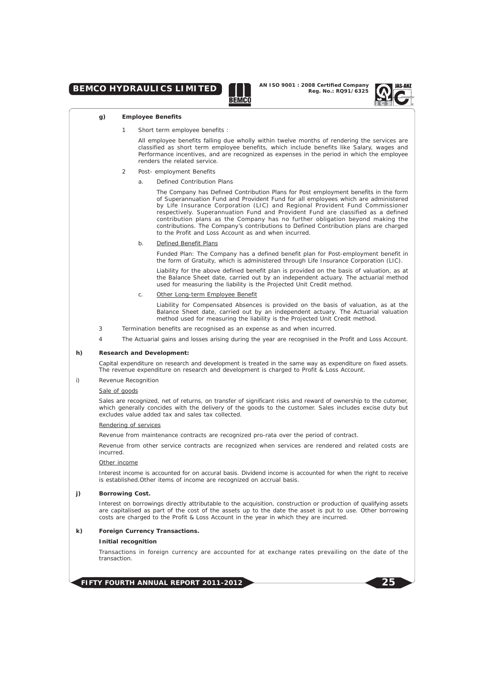**BEMC** 

**AN ISO 9001 : 2008 Certified Company Reg. No.: RQ91/6325**



#### **g) Employee Benefits**

1 Short term employee benefits :

All employee benefits falling due wholly within twelve months of rendering the services are classified as short term employee benefits, which include benefits like Salary, wages and Performance incentives, and are recognized as expenses in the period in which the employee renders the related service.

#### 2 Post- employment Benefits

a. Defined Contribution Plans

The Company has Defined Contribution Plans for Post employment benefits in the form of Superannuation Fund and Provident Fund for all employees which are administered by Life Insurance Corporation (LIC) and Regional Provident Fund Commissioner respectively. Superannuation Fund and Provident Fund are classified as a defined contribution plans as the Company has no further obligation beyond making the contributions. The Company's contributions to Defined Contribution plans are charged to the Profit and Loss Account as and when incurred.

#### b. Defined Benefit Plans

Funded Plan: The Company has a defined benefit plan for Post-employment benefit in the form of Gratuity, which is administered through Life Insurance Corporation (LIC).

Liability for the above defined benefit plan is provided on the basis of valuation, as at the Balance Sheet date, carried out by an independent actuary. The actuarial method used for measuring the liability is the Projected Unit Credit method.

c. Other Long-term Employee Benefit

Liability for Compensated Absences is provided on the basis of valuation, as at the Balance Sheet date, carried out by an independent actuary. The Actuarial valuation method used for measuring the liability is the Projected Unit Credit method.

3 Termination benefits are recognised as an expense as and when incurred.

4 The Actuarial gains and losses arising during the year are recognised in the Profit and Loss Account.

#### **h) Research and Development:**

Capital expenditure on research and development is treated in the same way as expenditure on fixed assets. The revenue expenditure on research and development is charged to Profit & Loss Account.

#### i) Revenue Recognition

#### Sale of goods

Sales are recognized, net of returns, on transfer of significant risks and reward of ownership to the cutomer, which generally concides with the delivery of the goods to the customer. Sales includes excise duty but excludes value added tax and sales tax collected.

#### Rendering of service

Revenue from maintenance contracts are recognized pro-rata over the period of contract.

Revenue from other service contracts are recognized when services are rendered and related costs are incurred.

#### Other income

Interest income is accounted for on accural basis. Dividend income is accounted for when the right to receive is established.Other items of income are recognized on accrual basis.

#### **j) Borrowing Cost.**

Interest on borrowings directly attributable to the acquisition, construction or production of qualifying assets are capitalised as part of the cost of the assets up to the date the asset is put to use. Other borrowing costs are charged to the Profit & Loss Account in the year in which they are incurred.

#### **k) Foreign Currency Transactions.**

#### **Initial recognition**

Transactions in foreign currency are accounted for at exchange rates prevailing on the date of the transaction.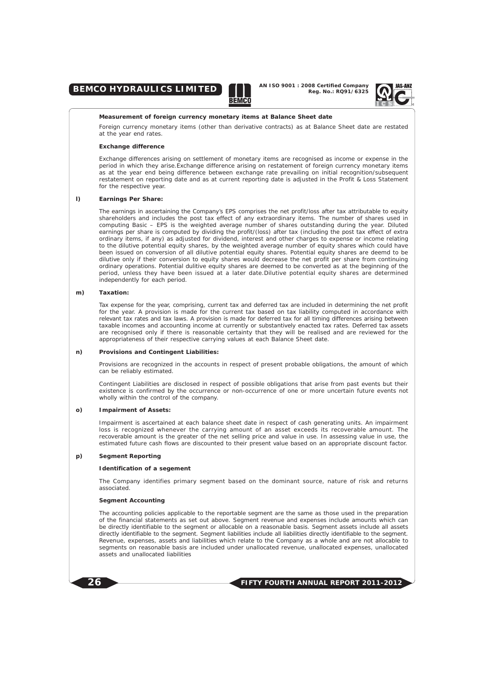**BEMCO HYDRAULICS LIMITED AN ISO 9001 : 2008 Certified Company Reg. No.: RQ91/6325**



#### **Measurement of foreign currency monetary items at Balance Sheet date**

Foreign currency monetary items (other than derivative contracts) as at Balance Sheet date are restated at the year end rates.

**BEMCO** 

#### **Exchange difference**

Exchange differences arising on settlement of monetary items are recognised as income or expense in the period in which they arise.Exchange difference arising on restatement of foreign currency monetary items as at the year end being difference between exchange rate prevailing on initial recognition/subsequent restatement on reporting date and as at current reporting date is adjusted in the Profit & Loss Statement for the respective year.

#### **l) Earnings Per Share:**

The earnings in ascertaining the Company's EPS comprises the net profit/loss after tax attributable to equity shareholders and includes the post tax effect of any extraordinary items. The number of shares used in computing Basic – EPS is the weighted average number of shares outstanding during the year. Diluted earnings per share is computed by dividing the profit/(loss) after tax (including the post tax effect of extra ordinary items, if any) as adjusted for dividend, interest and other charges to expense or income relating to the dilutive potential equity shares, by the weighted average number of equity shares which could have been issued on conversion of all dilutive potential equity shares. Potential equity shares are deemd to be dilutive only if their conversion to equity shares would decrease the net profit per share from continuing ordinary operations. Potential dulitive equity shares are deemed to be converted as at the beginning of the period, unless they have been issued at a later date.Dilutive potential equity shares are determined independently for each period.

#### **m) Taxation:**

Tax expense for the year, comprising, current tax and deferred tax are included in determining the net profit for the year. A provision is made for the current tax based on tax liability computed in accordance with relevant tax rates and tax laws. A provision is made for deferred tax for all timing differences arising between taxable incomes and accounting income at currently or substantively enacted tax rates. Deferred tax assets are recognised only if there is reasonable certainty that they will be realised and are reviewed for the appropriateness of their respective carrying values at each Balance Sheet date.

#### **n) Provisions and Contingent Liabilities:**

Provisions are recognized in the accounts in respect of present probable obligations, the amount of which can be reliably estimated.

Contingent Liabilities are disclosed in respect of possible obligations that arise from past events but their existence is confirmed by the occurrence or non-occurrence of one or more uncertain future events not wholly within the control of the company.

#### **o) Impairment of Assets:**

Impairment is ascertained at each balance sheet date in respect of cash generating units. An impairment loss is recognized whenever the carrying amount of an asset exceeds its recoverable amount. The recoverable amount is the greater of the net selling price and value in use. In assessing value in use, the estimated future cash flows are discounted to their present value based on an appropriate discount factor.

#### **p) Segment Reporting**

#### **Identification of a segement**

The Company identifies primary segment based on the dominant source, nature of risk and returns associated.

#### **Segment Accounting**

The accounting policies applicable to the reportable segment are the same as those used in the preparation of the financial statements as set out above. Segment revenue and expenses include amounts which can be directly identifiable to the segment or allocable on a reasonable basis. Segment assets include all assets directly identifiable to the segment. Segment liabilities include all liabilities directly identifiable to the segment. Revenue, expenses, assets and liabilities which relate to the Company as a whole and are not allocable to segments on reasonable basis are included under unallocated revenue, unallocated expenses, unallocated assets and unallocated liabilities

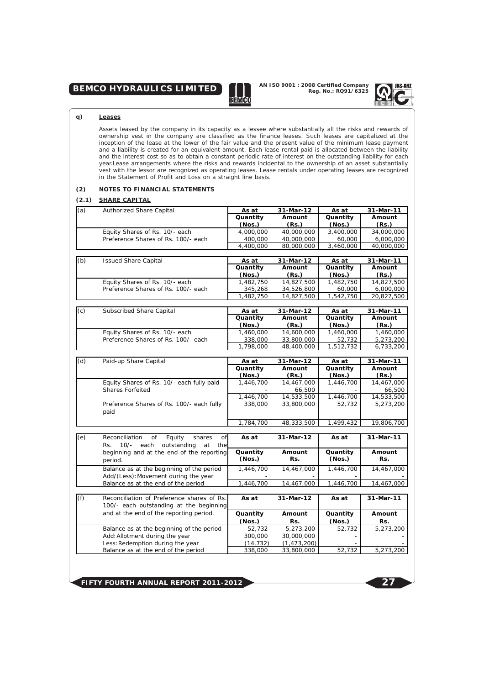**AN ISO 9001 : 2008 Certified Company Reg. No.: RQ91/6325**



#### **q) Leases**

Assets leased by the company in its capacity as a lessee where substantially all the risks and rewards of ownership vest in the company are classified as the finance leases. Such leases are capitalized at the inception of the lease at the lower of the fair value and the present value of the minimum lease payment and a liability is created for an equivalent amount. Each lease rental paid is allocated between the liability and the interest cost so as to obtain a constant periodic rate of interest on the outstanding liability for each year.Lease arrangements where the risks and rewards incidental to the ownership of an asset substantially vest with the lessor are recognized as operating leases. Lease rentals under operating leases are recognized in the Statement of Profit and Loss on a straight line basis.

**BEMCO** 

#### **(2) NOTES TO FINANCIAL STATEMENTS**

#### **(2.1) SHARE CAPITAL**

| (a) | Authorized Share Capital                                                              | As at                | 31-Mar-12                   | As at              | 31-Mar-11       |
|-----|---------------------------------------------------------------------------------------|----------------------|-----------------------------|--------------------|-----------------|
|     |                                                                                       | Quantity             | Amount                      | Quantity           | Amount          |
|     |                                                                                       | (Nos.)               | (Rs.)                       | (Nos.)             | (Rs.)           |
|     | Equity Shares of Rs. 10/- each                                                        | 4,000,000            | 40,000,000                  | 3,400,000          | 34,000,000      |
|     | Preference Shares of Rs. 100/- each                                                   | 400,000              | 40,000,000                  | 60,000             | 6,000,000       |
|     |                                                                                       | 4,400,000            | 80,000,000                  | 3,460,000          | 40,000,000      |
|     |                                                                                       |                      |                             |                    |                 |
| (b) | <b>Issued Share Capital</b>                                                           | As at                | 31-Mar-12                   | As at              | 31-Mar-11       |
|     |                                                                                       | Quantity             | Amount                      | Quantity           | Amount          |
|     |                                                                                       | (Nos.)               | (Rs.)                       | (Nos.)             | (Rs.)           |
|     | Equity Shares of Rs. 10/- each                                                        | 1,482,750            | 14,827,500                  | 1,482,750          | 14,827,500      |
|     | Preference Shares of Rs. 100/- each                                                   | 345,268              | 34,526,800                  | 60,000             | 6,000,000       |
|     |                                                                                       | 1,482,750            | 14,827,500                  | 1,542,750          | 20,827,500      |
|     |                                                                                       |                      |                             |                    |                 |
| (c) | Subscribed Share Capital                                                              | As at                | 31-Mar-12                   | As at              | 31-Mar-11       |
|     |                                                                                       | Quantity             | Amount                      | Quantity           | Amount          |
|     |                                                                                       | (Nos.)               | (Rs.)                       | (Nos.)             | (Rs.)           |
|     | Equity Shares of Rs. 10/- each                                                        | 1,460,000            | 14,600,000                  | 1,460,000          | 1,460,000       |
|     | Preference Shares of Rs. 100/- each                                                   | 338,000              | 33,800,000                  | 52,732             | 5,273,200       |
|     |                                                                                       | 1,798,000            | 48,400,000                  | 1,512,732          | 6,733,200       |
|     |                                                                                       |                      |                             |                    |                 |
| (d) | Paid-up Share Capital                                                                 | As at                | 31-Mar-12                   | As at              | 31-Mar-11       |
|     |                                                                                       | Quantity<br>(Nos.)   | Amount<br>(Rs.)             | Quantity<br>(Nos.) | Amount<br>(Rs.) |
|     | Equity Shares of Rs. 10/- each fully paid                                             | 1,446,700            | 14,467,000                  | 1,446,700          | 14,467,000      |
|     | <b>Shares Forfeited</b>                                                               |                      | 66,500                      |                    | 66,500          |
|     |                                                                                       | 1,446,700            | 14,533,500                  | 1,446,700          | 14,533,500      |
|     | Preference Shares of Rs. 100/- each fully<br>paid                                     | 338,000              | 33,800,000                  | 52,732             | 5,273,200       |
|     |                                                                                       | 1,784,700            | 48,333,500                  | 1,499,432          | 19,806,700      |
| (e) | Reconciliation<br>οf<br>Equity<br>of<br>shares                                        | As at                | 31-Mar-12                   | As at              | 31-Mar-11       |
|     | outstanding<br>Rs.<br>$10/-$<br>each<br>the<br>at                                     |                      |                             |                    |                 |
|     | beginning and at the end of the reporting                                             | Quantity             | Amount                      | Quantity           | Amount          |
|     | period.                                                                               | (Nos.)               | Rs.                         | (Nos.)             | Rs.             |
|     | Balance as at the beginning of the period<br>Add/(Less): Movement during the year     | 1,446,700            | 14,467,000                  | 1,446,700          | 14,467,000      |
|     | Balance as at the end of the period                                                   | 1,446,700            | 14,467,000                  | 1,446,700          | 14,467,000      |
|     |                                                                                       |                      |                             |                    |                 |
| (f) | Reconciliation of Preference shares of Rs.<br>100/- each outstanding at the beginning | As at                | 31-Mar-12                   | As at              | 31-Mar-11       |
|     | and at the end of the reporting period.                                               | Quantity             | Amount                      | Quantity           | Amount          |
|     |                                                                                       | (Nos.)               | Rs.                         | (Nos.)             | Rs.             |
|     | Balance as at the beginning of the period                                             | 52,732               | 5,273,200                   | 52,732             | 5,273,200       |
|     | Add: Allotment during the year                                                        | 300,000              | 30,000,000                  |                    |                 |
|     | Less: Redemption during the year                                                      |                      |                             |                    |                 |
|     | Balance as at the end of the period                                                   | (14, 732)<br>338,000 | (1, 473, 200)<br>33,800,000 | 52,732             | 5,273,200       |
|     |                                                                                       |                      |                             |                    |                 |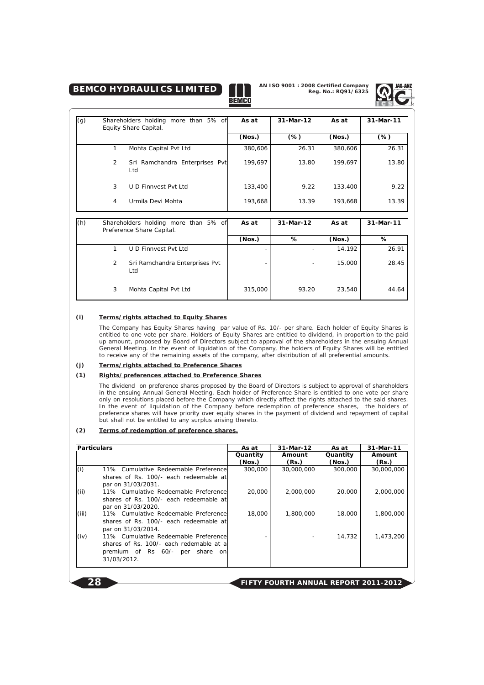AN ISO 9001 : 2008 Certified Company<br>Reg. No.: RQ91/6325



| (g) |                | Shareholders holding more than 5% of<br>Equity Share Capital.     | As at   | 31-Mar-12 | As at   | 31-Mar-11 |
|-----|----------------|-------------------------------------------------------------------|---------|-----------|---------|-----------|
|     |                |                                                                   | (Nos.)  | $(\%)$    | (Nos.)  | $(\%)$    |
|     | $\mathbf{1}$   | Mohta Capital Pvt Ltd                                             | 380,606 | 26.31     | 380,606 | 26.31     |
|     | $\overline{2}$ | Sri Ramchandra Enterprises Pvt<br>Ltd                             | 199,697 | 13.80     | 199,697 | 13.80     |
|     | 3              | U D Finnyest Pyt Ltd                                              | 133,400 | 9.22      | 133,400 | 9.22      |
|     | $\overline{4}$ | Urmila Devi Mohta                                                 | 193,668 | 13.39     | 193,668 | 13.39     |
|     |                |                                                                   |         |           |         |           |
| (h) |                | Shareholders holding more than 5% of<br>Preference Share Capital. | As at   | 31-Mar-12 | As at   | 31-Mar-11 |
|     |                |                                                                   | (Nos.)  | %         | (Nos.)  | %         |
|     | 1              | U D Finnvest Pvt Ltd                                              |         |           | 14,192  | 26.91     |
|     | $\overline{2}$ | Sri Ramchandra Enterprises Pvt<br>Ltd                             |         |           | 15,000  | 28.45     |
|     | 3              | Mohta Capital Pvt Ltd                                             | 315,000 | 93.20     | 23,540  | 44.64     |

<u>Bemco</u>

#### **(i) Terms/rights attached to Equity Shares**

The Company has Equity Shares having par value of Rs. 10/- per share. Each holder of Equity Shares is entitled to one vote per share. Holders of Equity Shares are entitled to dividend, in proportion to the paid up amount, proposed by Board of Directors subject to approval of the shareholders in the ensuing Annual General Meeting. In the event of liquidation of the Company, the holders of Equity Shares will be entitled to receive any of the remaining assets of the company, after distribution of all preferential amounts.

#### **(j) Terms/rights attached to Preference Shares**

#### **(1) Rights/preferences attached to Preference Shares**

The dividend on preference shares proposed by the Board of Directors is subject to approval of shareholders in the ensuing Annual General Meeting. Each holder of Preference Share is entitled to one vote per share only on resolutions placed before the Company which directly affect the rights attached to the said shares. In the event of liquidation of the Company before redemption of preference shares, the holders of preference shares will have priority over equity shares in the payment of dividend and repayment of capital but shall not be entitled to any surplus arising thereto.

#### **(2) Terms of redemption of preference shares.**

| <b>Particulars</b> |                                         | As at    | 31-Mar-12  | As at    | 31-Mar-11  |
|--------------------|-----------------------------------------|----------|------------|----------|------------|
|                    |                                         | Quantity | Amount     | Quantity | Amount     |
|                    |                                         | (Nos.)   | (Rs.)      | (Nos.)   | (Rs.)      |
| (i)                | 11% Cumulative Redeemable Preference    | 300,000  | 30,000,000 | 300,000  | 30,000,000 |
|                    | shares of Rs. 100/- each redeemable at  |          |            |          |            |
|                    | par on 31/03/2031.                      |          |            |          |            |
| (ii)               | 11% Cumulative Redeemable Preference    | 20,000   | 2.000.000  | 20,000   | 2.000.000  |
|                    | shares of Rs. 100/- each redeemable at  |          |            |          |            |
|                    | par on 31/03/2020.                      |          |            |          |            |
| (iii)              | 11% Cumulative Redeemable Preference    | 18,000   | 1,800,000  | 18,000   | 1,800,000  |
|                    | shares of Rs. 100/- each redeemable at  |          |            |          |            |
|                    | par on 31/03/2014.                      |          |            |          |            |
| (iv)               | 11% Cumulative Redeemable Preference    |          |            | 14.732   | 1,473,200  |
|                    | shares of Rs. 100/- each redemable at a |          |            |          |            |
|                    | premium of Rs 60/- per share on         |          |            |          |            |
|                    | 31/03/2012.                             |          |            |          |            |
|                    |                                         |          |            |          |            |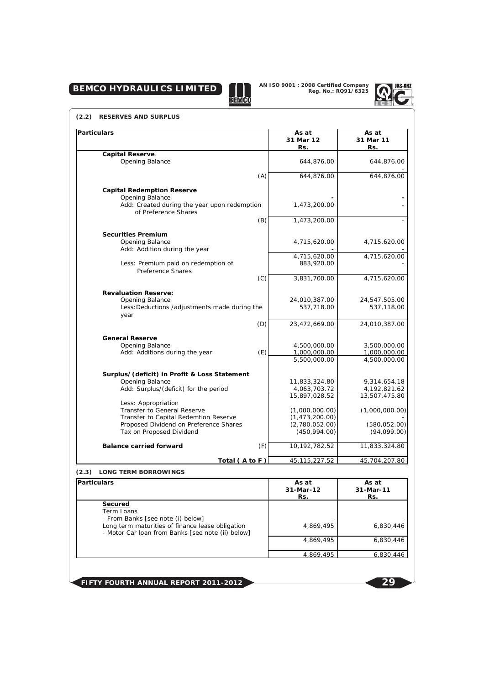BEMCO **AN ISO 9001 : 2008 Certified Company Reg. No.: RQ91/6325**



#### **(2.2) RESERVES AND SURPLUS**

| <b>Particulars</b>                                                                                    |     | As at<br>31 Mar 12<br>Rs.   | As at<br>31 Mar 11<br>Rs.   |
|-------------------------------------------------------------------------------------------------------|-----|-----------------------------|-----------------------------|
| <b>Capital Reserve</b>                                                                                |     |                             |                             |
| <b>Opening Balance</b>                                                                                |     | 644,876.00                  | 644,876.00                  |
|                                                                                                       | (A) | 644,876.00                  | 644,876.00                  |
| <b>Capital Redemption Reserve</b>                                                                     |     |                             |                             |
| <b>Opening Balance</b><br>Add: Created during the year upon redemption<br>of Preference Shares        |     | 1,473,200.00                |                             |
|                                                                                                       | (B) | 1,473,200.00                |                             |
| <b>Securities Premium</b><br><b>Opening Balance</b>                                                   |     | 4,715,620.00                | 4,715,620.00                |
| Add: Addition during the year                                                                         |     |                             |                             |
| Less: Premium paid on redemption of<br>Preference Shares                                              |     | 4,715,620.00<br>883,920.00  | 4,715,620.00                |
|                                                                                                       | (C) | 3,831,700.00                | 4,715,620.00                |
| <b>Revaluation Reserve:</b>                                                                           |     |                             |                             |
| <b>Opening Balance</b><br>Less: Deductions /adjustments made during the<br>year                       |     | 24,010,387.00<br>537,718.00 | 24,547,505.00<br>537,118.00 |
|                                                                                                       | (D) | 23,472,669.00               | 24,010,387.00               |
| <b>General Reserve</b>                                                                                |     |                             |                             |
| <b>Opening Balance</b>                                                                                |     | 4,500,000.00                | 3,500,000.00                |
| Add: Additions during the year                                                                        | (E) | 1,000,000.00                | 1,000,000.00                |
|                                                                                                       |     | 5,500,000.00                | 4,500,000.00                |
| Surplus/(deficit) in Profit & Loss Statement                                                          |     |                             |                             |
| <b>Opening Balance</b>                                                                                |     | 11,833,324.80               | 9,314,654.18                |
| Add: Surplus/(deficit) for the period                                                                 |     | 4,063,703.72                | 4,192,821.62                |
|                                                                                                       |     | 15,897,028.52               | 13,507,475.80               |
| Less: Appropriation                                                                                   |     |                             |                             |
| Transfer to General Reserve                                                                           |     | (1,000,000.00)              | (1,000,000.00)              |
| Transfer to Capital Redemtion Reserve                                                                 |     | (1, 473, 200.00)            |                             |
| Proposed Dividend on Preference Shares                                                                |     | (2,780,052.00)              | (580, 052.00)               |
| Tax on Proposed Dividend                                                                              |     | (450, 994.00)               | (94, 099.00)                |
| <b>Balance carried forward</b>                                                                        | (F) | 10,192,782.52               | 11,833,324.80               |
| Total (A to F)                                                                                        |     | 45, 115, 227.52             | 45,704,207.80               |
| <b>LONG TERM BORROWINGS</b><br>(2.3)                                                                  |     |                             |                             |
| <b>Particulars</b>                                                                                    |     | As at                       | As at                       |
|                                                                                                       |     | 31-Mar-12                   | 31-Mar-11                   |
|                                                                                                       |     | <u>Rs.</u>                  | <u>Rs.</u>                  |
| Secured                                                                                               |     |                             |                             |
| Term Loans<br>- From Banks [see note (i) below]                                                       |     |                             |                             |
| Long term maturities of finance lease obligation<br>- Motor Car Ioan from Banks [see note (ii) below] |     | 4,869,495                   | 6,830,446                   |
|                                                                                                       |     | 4,869,495                   | 6,830,446                   |
|                                                                                                       |     | 4,869,495                   | 6,830,446                   |
|                                                                                                       |     |                             |                             |

**FIFTY FOURTH ANNUAL REPORT 2011-2012 29**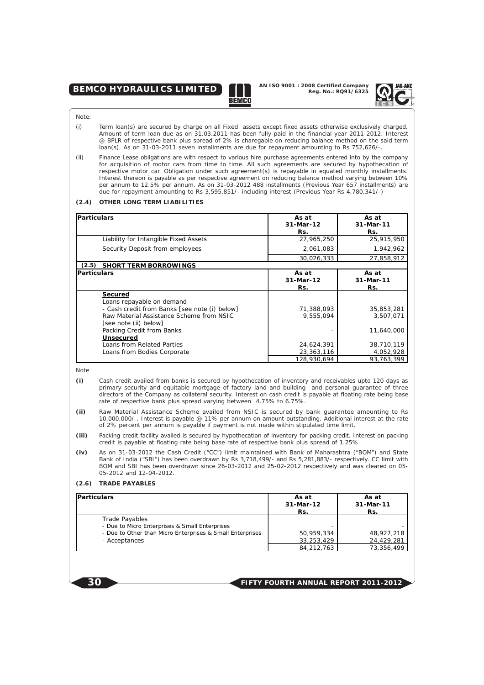**BEMCO** 

**BEMCO HYDRAULICS LIMITED**  $\bigcap_{\text{Re} \text{A}} \text{AN ISO 9001 : } 2008 \text{ Certified Company}$ **Reg. No.: RQ91/6325**



Note:

- (i) Term loan(s) are secured by charge on all Fixed assets except fixed assets otherwise exclusively charged. Amount of term loan due as on 31.03.2011 has been fully paid in the financial year 2011-2012. Interest @ BPLR of respective bank plus spread of 2% is charegable on reducing balance method on the said term loan(s). As on 31-03-2011 seven installments are due for repayment amounting to Rs 752,626/-.
- (ii) Finance Lease obligations are with respect to various hire purchase agreements entered into by the company for acquisition of motor cars from time to time. All such agreements are secured by hypothecation of respective motor car. Obligation under such agreement(s) is repayable in equated monthly installments. Interest thereon is payable as per respective agreement on reducing balance method varying between 10% per annum to 12.5% per annum. As on 31-03-2012 488 installments (Previous Year 657 installments) are due for repayment amounting to Rs 3,595,851/- including interest (Previous Year Rs 4,780,341/-)

#### **(2.4) OTHER LONG TERM LIABILITIES**

| <b>Particulars</b>                                                                                                                                                                                                                 | As at<br>31-Mar-12<br>Rs.                           | As at<br>31-Mar-11<br>Rs.                                        |
|------------------------------------------------------------------------------------------------------------------------------------------------------------------------------------------------------------------------------------|-----------------------------------------------------|------------------------------------------------------------------|
| Liability for Intangible Fixed Assets                                                                                                                                                                                              | 27,965,250                                          | 25,915,950                                                       |
| Security Deposit from employees                                                                                                                                                                                                    | 2,061,083                                           | 1,942,962                                                        |
|                                                                                                                                                                                                                                    | 30,026,333                                          | 27,858,912                                                       |
| <b>SHORT TERM BORROWINGS</b><br>(2.5)                                                                                                                                                                                              |                                                     |                                                                  |
| <b>Particulars</b>                                                                                                                                                                                                                 | As at<br>31-Mar-12<br>Rs.                           | As at<br>31-Mar-11<br>Rs.                                        |
| Secured<br>Loans repayable on demand<br>- Cash credit from Banks [see note (i) below]<br>Raw Material Assistance Scheme from NSIC<br>[see note (ii) below]<br>Packing Credit from Banks<br>Unsecured<br>Loans from Related Parties | 71,388,093<br>9,555,094<br>24,624,391<br>23,363,116 | 35,853,281<br>3,507,071<br>11.640.000<br>38,710,119<br>4,052,928 |

Note

- **(i)** Cash credit availed from banks is secured by hypothecation of inventory and receivables upto 120 days as primary security and equitable mortgage of factory land and building and personal guarantee of three directors of the Company as collateral security. Interest on cash credit is payable at floating rate being base rate of respective bank plus spread varying between 4.75% to 6.75%.
- **(ii)** Raw Material Assistance Scheme availed from NSIC is secured by bank guarantee amounting to Rs 10,000,000/-. Interest is payable @ 11% per annum on amount outstanding. Additional interest at the rate of 2% percent per annum is payable if payment is not made within stipulated time limit.
- **(iii)** Packing credit facility availed is secured by hypothecation of inventory for packing credit. Interest on packing credit is payable at floating rate being base rate of respective bank plus spread of 1.25%

**(iv)** As on 31-03-2012 the Cash Credit ("CC") limit maintained with Bank of Maharashtra ("BOM") and State Bank of India ("SBI") has been overdrawn by Rs 3,718,499/- and Rs 5,281,883/- respectively. CC limit with BOM and SBI has been overdrawn since 26-03-2012 and 25-02-2012 respectively and was cleared on 05- 05-2012 and 12-04-2012.

#### **(2.6) TRADE PAYABLES**

| <b>Particulars</b>                                                         | As at<br>31-Mar-12<br>Rs. | As at<br>31-Mar-11<br>Rs. |
|----------------------------------------------------------------------------|---------------------------|---------------------------|
| Trade Payables<br>- Due to Micro Enterprises & Small Enterprises           |                           |                           |
| - Due to Other than Micro Enterprises & Small Enterprises<br>- Acceptances | 50.959.334<br>33,253,429  | 48.927.218<br>24,429,281  |
|                                                                            | 84,212,763                | 73,356,499                |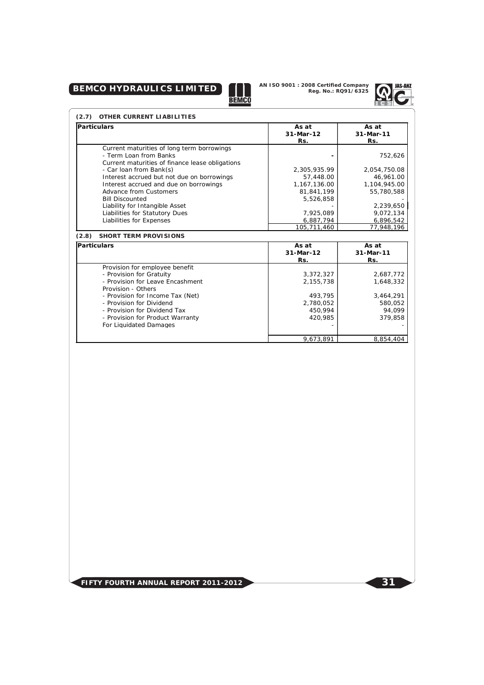**AN ISO 9001 : 2008 Certified Company Reg. No.: RQ91/6325**



#### **(2.7) OTHER CURRENT LIABILITIES**

For Liquidated Damages

| <b>Particulars</b>                              | As at<br>31-Mar-12<br>Rs. | As at<br>31-Mar-11<br>Rs. |
|-------------------------------------------------|---------------------------|---------------------------|
| Current maturities of long term borrowings      |                           |                           |
| - Term Loan from Banks                          |                           | 752,626                   |
| Current maturities of finance lease obligations |                           |                           |
| - Car Ioan from Bank(s)                         | 2,305,935.99              | 2,054,750.08              |
| Interest accrued but not due on borrowings      | 57,448.00                 | 46,961.00                 |
| Interest accrued and due on borrowings          | 1,167,136.00              | 1,104,945.00              |
| <b>Advance from Customers</b>                   | 81,841,199                | 55,780,588                |
| <b>Bill Discounted</b>                          | 5,526,858                 |                           |
| Liability for Intangible Asset                  |                           | 2,239,650                 |
| Liabilities for Statutory Dues                  | 7,925,089                 | 9,072,134                 |
| Liabilities for Expenses                        | 6,887,794                 | 6,896,542                 |
|                                                 | 105,711,460               | 77,948,196                |
| <b>SHORT TERM PROVISIONS</b><br>(2.8)           |                           |                           |
| <b>Particulars</b>                              | As at                     | As at                     |
|                                                 | 31-Mar-12                 | 31-Mar-11                 |
|                                                 | Rs.                       | Rs.                       |
| Provision for employee benefit                  |                           |                           |
| - Provision for Gratuity                        | 3,372,327                 | 2,687,772                 |
| - Provision for Leave Encashment                | 2,155,738                 | 1,648,332                 |
| Provision - Others                              |                           |                           |
| - Provision for Income Tax (Net)                | 493,795                   | 3,464,291                 |
| - Provision for Dividend                        | 2,780,052                 | 580,052                   |
| - Provision for Dividend Tax                    | 450,994                   | 94,099                    |
| - Provision for Product Warranty                | 420.985                   | 379,858                   |

BEMCO

**FIFTY FOURTH ANNUAL REPORT 2011-2012 31**

9,673,891 8,854,404

- Francisco Company and Service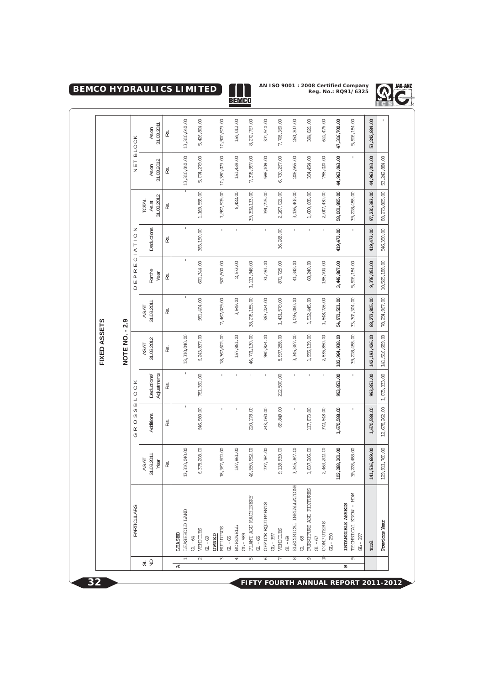|      |                                                                              |                             |                                                       |                                       | FIXED ASSETS       |                           |                                                                      |                                          |                              |                          |                     |              |
|------|------------------------------------------------------------------------------|-----------------------------|-------------------------------------------------------|---------------------------------------|--------------------|---------------------------|----------------------------------------------------------------------|------------------------------------------|------------------------------|--------------------------|---------------------|--------------|
|      |                                                                              |                             |                                                       |                                       | NOTE NO.           | $-2.9$                    |                                                                      |                                          |                              |                          |                     |              |
|      | PARTICULARS                                                                  |                             | $\infty$<br>$\circ$<br>S<br>$\circ$<br>$\propto$<br>G | $\!\smile$<br>$\circ$<br>$\circ$<br>┙ |                    |                           | $\frac{1}{\sqrt{2}}$<br>ш<br>$\approx$<br>$\Delta$<br>Ш<br>$\supset$ | z<br>$\circ$<br>$\frac{1}{1}$<br>$\prec$ |                              | $\overline{E}$<br>$\geq$ | <b>BLOCK</b>        |              |
| S IS |                                                                              | 31.03.2011<br>AS AT<br>Year | Additions                                             | Adjustments<br><b>Deductions</b>      | 31.03.2012<br>ASAT | 31.03.2011<br><b>ASAT</b> | Forthe<br>Year                                                       | Deductions                               | 31.03.2012<br>TOTAL<br>As at | 31.03.2012<br>As on      | 31.03.2011<br>As on |              |
|      |                                                                              | RS.                         | βŚ.                                                   | RS.                                   | RS.                | RS.                       | Rs.                                                                  | βŚ.                                      | RS.                          | βŚ.                      | RS.                 |              |
| Ą    | <b>LEASEHOLD LAND</b><br>LEASED<br>$4 - 64$<br>$\overline{\phantom{a}}$      | D40.00<br>13,310,0          | $\mathsf I$                                           | $\mathbf{I}$                          | 13,310,040.00      | ı                         | ı                                                                    | $\mathsf I$                              |                              | 13,310,040.00            | 13,310,040.00       |              |
|      | VEHICLES<br>$4 - 69$<br>$\overline{\mathbf{c}}$                              | 6,378,208.00                | 646,980.00                                            | 781,351.00                            | 6,243,837.00       | 951,404.00                | 601,344.00                                                           | 383,190.00                               | 1,169,558.00                 | 5,074,279.00             | 5,426,804.00        |              |
|      | <b>BUILDINGS</b><br>OWNED<br>$q - q$<br>$\sim$                               | 18,367,602.00               | $\mathsf{I}$                                          | $\mathbf{I}$                          | 18,367,602.00      | 7,467,029.00              | 520,500.00                                                           | $\mathbf{I}$                             | 7,987,529.00                 | 10,380,073.00            | 10,900,573.00       |              |
|      | <b>BOREWELL</b><br>$GL - 589$<br>4                                           | 157,861.00                  | J.                                                    | $\mathbf{I}$                          | 157,861.00         | 3,849.00                  | 2,573.00                                                             | $\mathbf{I}$                             | 6,422.00                     | 151,439.00               | 154,012.00          | <b>BEMCO</b> |
|      | PLANT AND MACHINERY<br>5                                                     | 352.00<br>46,550,9          | 220,178.00                                            | $\mathbb{I}$                          | 46,771,130.00      | 38,278,185.00             | 1,113,948.00                                                         | $\mathbb{I}$                             | 39, 392, 133.00              | 7,378,997.00             | 8,272,767.00        |              |
|      | OFFICE EQUIPMENTS<br>$q - q$<br>$\circ$                                      | 764.00<br>737,7             | 243,060.00                                            | I.                                    | 980,824.00         | 363,224.00                | 31,491.00                                                            | f,                                       | 394,715.00                   | 586,109.00               | 374,540.00          |              |
|      | VEHICLES<br>CE - 397<br>$\overline{\phantom{0}}$                             | 9,139,939.00                | 69,849.00                                             | 212,500.00                            | 8,997,288.00       | 1,431,579.00              | 871,725.00                                                           | 36,283.00                                | 2,267,021.00                 | 6,730,267.00             | 7,708,360.00        |              |
|      | ELECTRICAL INSTALLATIONS<br>$G - 69$<br>$\infty$                             | 3,345,367.00                | $\mathsf I$                                           | $\mathbf I$                           | 3,345,367.00       | 3,095,060.00              | 41,342.00                                                            | $\mathbf I$                              | 3,136,402.00                 | 208,965.00               | 250,307.00          |              |
|      | $q - 8$                                                                      |                             |                                                       |                                       |                    |                           |                                                                      |                                          |                              |                          |                     |              |
|      | FURNITURE AND FIXTURES<br>$q - q$<br>$\sigma$                                | 1,837,266.00                | 117,873.00                                            | $\mathbf{I}$                          | 1,955,139.00       | 1,532,445.00              | 68,240.00                                                            | $\mathsf I$                              | 1,600,685.00                 | 354,454.00               | 304,821.00          |              |
|      | COMPUTERS<br>F                                                               | 2,463,202.00                | 372,648.00                                            | $\mathbb{I}$                          | 2,835,850.00       | 1,848,726.00              | 198,704.00                                                           | $\mathsf I$                              | 2,047,430.00                 | 788,420.00               | 614,476.00          |              |
|      | $(L - 250)$                                                                  | 102,288,201.00              | 1,670,588.00                                          | 993,851.00                            | 102,964,938.00     | 54, 971, 501.00           | 3,449,867.00                                                         | 419,473.00                               | 58,001,895.00                | 44,963,043.00            | 47,316,700.00       |              |
| m    | TECHNICAL KNOW - HOW<br>INTANGIBLE ASSETS<br>$T - 297$<br>$\overline{\circ}$ | 188.00<br>39,228,4          | $\mathbf{I}$                                          | $\mathsf{I}$                          | 39,228,488.00      | 33, 302, 304.00           | 5,926,184.00                                                         |                                          | 39,228,488.00                | $\mathbb{L}$             | 5,926,184.00        |              |
|      | <b>Total</b>                                                                 | 141,516,689.00              | 1,670,588.00                                          | 993,851.00                            | 142, 193, 426.00   | 88,273,805.00             | 9,376,051.00                                                         | 419,473.00                               | 97,230,383.00                | 44,963,043.00            | 53,242,884.00       |              |
|      | <b>Previous Year</b>                                                         | ,760.00<br>129,911,         | 12,678,262.00                                         | 1,073,333.00                          | 141,516,689.00     | 78,254,967.00             | 10,565,188.00                                                        | 546,350.00                               | 88,273,805.00                | 53,242,884.00            |                     | P-LK         |

# **BEMCO HYDRAULICS LIMITED AN ISO 9001 : 2008 Certified Company Reg. No.: RQ91/6325**

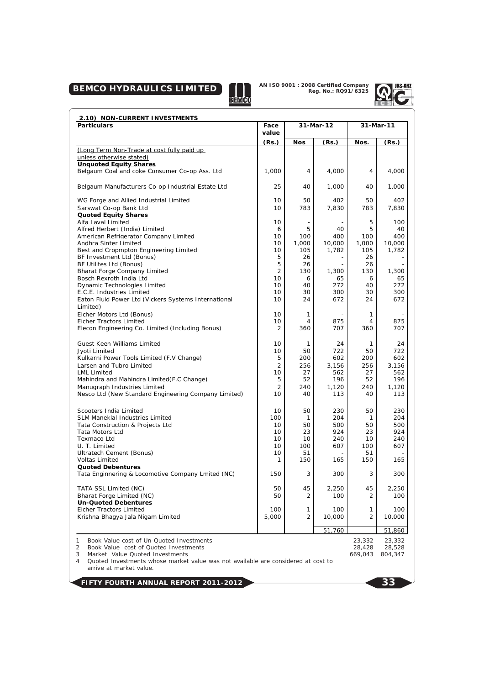

**AN ISO 9001 : 2008 Certified Company Reg. No.: RQ91/6325**



| <b>Particulars</b>                                   | Face<br>value  | 31-Mar-12                |        | 31-Mar-11 |        |
|------------------------------------------------------|----------------|--------------------------|--------|-----------|--------|
|                                                      | (Rs.)          | Nos                      | (Rs.)  | Nos.      | (Rs.)  |
| (Long Term Non-Trade at cost fully paid up           |                |                          |        |           |        |
| unless otherwise stated)                             |                |                          |        |           |        |
| <b>Unquoted Equity Shares</b>                        |                |                          |        |           |        |
| Belgaum Coal and coke Consumer Co-op Ass. Ltd        | 1,000          | 4                        | 4.000  | 4         | 4,000  |
| Belgaum Manufacturers Co-op Industrial Estate Ltd    | 25             | 40                       | 1,000  | 40        | 1,000  |
| WG Forge and Allied Industrial Limited               | 10             | 50                       | 402    | 50        | 402    |
| Sarswat Co-op Bank Ltd                               | 10             | 783                      | 7,830  | 783       | 7,830  |
| <b>Quoted Equity Shares</b>                          |                |                          |        |           |        |
| Alfa Laval Limited                                   | 10             | $\overline{\phantom{a}}$ |        | 5         | 100    |
| Alfred Herbert (India) Limited                       | 6              | 5                        | 40     | 5         | 40     |
| American Refrigerator Company Limited                | 10             | 100                      | 400    | 100       | 400    |
| Andhra Sinter Limited                                | 10             | 1,000                    | 10,000 | 1,000     | 10,000 |
| Best and Cropmpton Engineering Limited               | 10             | 105                      | 1,782  | 105       | 1,782  |
| BF Investment Ltd (Bonus)                            | 5              | 26                       |        | 26        |        |
| BF Utilites Ltd (Bonus)                              | 5              | 26                       |        | 26        |        |
| <b>Bharat Forge Company Limited</b>                  | 2              | 130                      | 1,300  | 130       | 1,300  |
| Bosch Rexroth India Ltd                              | 10             | 6                        | 65     | 6         | 65     |
| Dynamic Technologies Limited                         | 10             | 40                       | 272    | 40        | 272    |
| E.C.E. Industries Limited                            | 10             | 30                       | 300    | 30        | 300    |
| Eaton Fluid Power Ltd (Vickers Systems International | 10             | 24                       | 672    | 24        | 672    |
| Limited)                                             |                |                          |        |           |        |
| Eicher Motors Ltd (Bonus)                            | 10             | 1                        |        | 1         |        |
| <b>Eicher Tractors Limited</b>                       | 10             | 4                        | 875    | 4         | 875    |
| Elecon Engineering Co. Limited (Including Bonus)     | 2              | 360                      | 707    | 360       | 707    |
|                                                      |                |                          |        |           |        |
| Guest Keen Williams Limited                          | 10             | 1                        | 24     | 1         |        |
| Jyoti Limited                                        | 10             | 50                       | 722    | 50        | 722    |
| Kulkarni Power Tools Limited (F.V Change)            | 5              | 200                      | 602    | 200       | 602    |
| Larsen and Tubro Limited                             | $\overline{2}$ | 256                      | 3,156  | 256       | 3,156  |
| <b>LML Limited</b>                                   | 10             | 27                       | 562    | 27        | 562    |
| Mahindra and Mahindra Limited (F.C Change)           | 5              | 52                       | 196    | 52        | 196    |
| Manugraph Industries Limited                         | 2              | 240                      | 1,120  | 240       | 1,120  |
| Nesco Ltd (New Standard Engineering Company Limited) | 10             | 40                       | 113    | 40        | 113    |
| Scooters India Limited                               | 10             | 50                       | 230    | 50        | 230    |
| SLM Maneklal Industries Limited                      | 100            | 1                        | 204    | 1         | 204    |
| Tata Construction & Projects Ltd                     | 10             | 50                       | 500    | 50        | 500    |
| Tata Motors Ltd                                      | 10             | 23                       | 924    | 23        | 924    |
| Texmaco Ltd                                          | 10             | 10                       | 240    | 10        | 240    |
| U. T. Limited                                        | 10             | 100                      | 607    | 100       | 607    |
| Ultratech Cement (Bonus)                             | 10             | 51                       |        | 51        |        |
| <b>Voltas Limited</b>                                | $\mathbf{1}$   | 150                      | 165    | 150       | 165    |
| <b>Quoted Debentures</b>                             |                |                          |        |           |        |
| Tata Enginnering & Locomotive Company Lmited (NC)    | 150            | 3                        | 300    | 3         | 300    |
| TATA SSL Limited (NC)                                | 50             | 45                       | 2,250  | 45        | 2,250  |
| Bharat Forge Limited (NC)                            | 50             | 2                        | 100    | 2         | 100    |
| <b>Un-Quoted Debentures</b>                          |                |                          |        |           |        |
| Eicher Tractors Limited                              |                |                          |        |           |        |
|                                                      | 100            | 1                        | 100    | 1         | 100    |
| Krishna Bhagya Jala Nigam Limited                    | 5,000          | $\overline{2}$           | 10,000 | 2         | 10,000 |
|                                                      |                |                          | 51.760 |           | 51,860 |
| 1<br>Book Value cost of Un-Quoted Investments        |                |                          |        | 23,332    | 23,332 |
|                                                      |                |                          |        |           |        |
| 2<br>Book Value cost of Quoted Investments           |                |                          |        | 28,428    | 28,528 |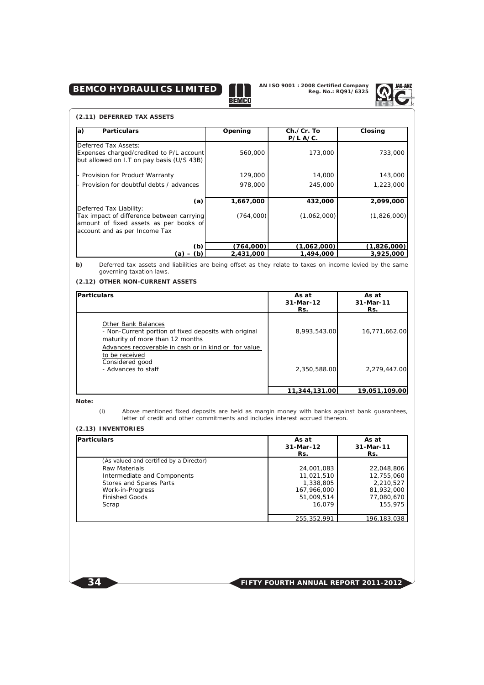

**Reg. No.: RQ91/6325**



#### **(2.11) DEFERRED TAX ASSETS**

| <b>Particulars</b><br>a)                                                                                                                               | Opening                | Ch./Cr. To<br>$P/L$ A/C. | Closing                  |
|--------------------------------------------------------------------------------------------------------------------------------------------------------|------------------------|--------------------------|--------------------------|
| Deferred Tax Assets:<br>Expenses charged/credited to P/L account<br>but allowed on I.T on pay basis (U/S 43B)                                          | 560,000                | 173,000                  | 733,000                  |
| - Provision for Product Warranty                                                                                                                       | 129,000                | 14,000                   | 143,000                  |
| - Provision for doubtful debts / advances                                                                                                              | 978,000                | 245,000                  | 1,223,000                |
| (a)<br>Deferred Tax Liability:<br>Tax impact of difference between carrying<br>amount of fixed assets as per books of<br>account and as per Income Tax | 1,667,000<br>(764,000) | 432,000<br>(1,062,000)   | 2,099,000<br>(1,826,000) |
| (b)<br>(b)<br>(a) –                                                                                                                                    | (764,000)<br>2.431.000 | (1,062,000)<br>1,494,000 | (1,826,000)<br>3,925,000 |

**b)** Deferred tax assets and liabilities are being offset as they relate to taxes on income levied by the same governing taxation laws.

## **(2.12) OTHER NON-CURRENT ASSETS**

| <b>Particulars</b>                                                                                                                                                      | As at<br>31-Mar-12<br>Rs. | As at<br>31-Mar-11<br>Rs. |
|-------------------------------------------------------------------------------------------------------------------------------------------------------------------------|---------------------------|---------------------------|
| Other Bank Balances<br>- Non-Current portion of fixed deposits with original<br>maturity of more than 12 months<br>Advances recoverable in cash or in kind or for value | 8.993.543.00              | 16,771,662.00             |
| to be received<br>Considered good<br>- Advances to staff                                                                                                                | 2.350.588.00              | 2.279.447.00              |
|                                                                                                                                                                         | 11,344,131.00             | 19.051.109.00             |

**Note:**

(i) Above mentioned fixed deposits are held as margin money with banks against bank guarantees, letter of credit and other commitments and includes interest accrued thereon.

## **(2.13) INVENTORIES**

| <b>Particulars</b>                      | As at<br>31-Mar-12<br>Rs. | As at<br>31-Mar-11<br>Rs. |
|-----------------------------------------|---------------------------|---------------------------|
| (As valued and certified by a Director) |                           |                           |
| Raw Materials                           | 24,001,083                | 22,048,806                |
| Intermediate and Components             | 11.021.510                | 12.755.060                |
| Stores and Spares Parts                 | 1,338,805                 | 2.210.527                 |
| Work-in-Progress                        | 167,966,000               | 81.932.000                |
| <b>Finished Goods</b>                   | 51.009.514                | 77.080.670                |
| Scrap                                   | 16.079                    | 155,975                   |
|                                         | 255.352.991               | 196,183,038               |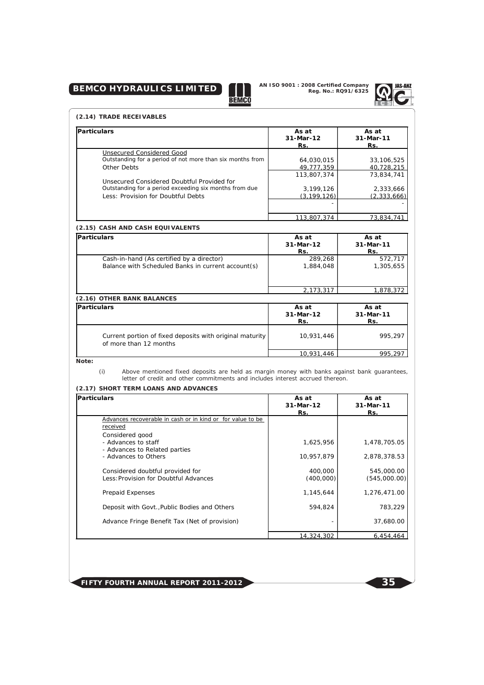

**AN ISO 9001 : 2008 Certified Company Reg. No.: RQ91/6325**



#### **(2.14) TRADE RECEIVABLES**

| <b>Particulars</b>                                        | As at<br>31-Mar-12<br>Rs. | As at<br>31-Mar-11<br>Rs. |
|-----------------------------------------------------------|---------------------------|---------------------------|
| Unsecured Considered Good                                 |                           |                           |
| Outstanding for a period of not more than six months from | 64,030,015                | 33,106,525                |
| Other Debts                                               | 49.777.359                | 40,728,215                |
|                                                           | 113,807,374               | 73.834.741                |
| Unsecured Considered Doubtful Provided for                |                           |                           |
| Outstanding for a period exceeding six months from due    | 3,199,126                 | 2,333,666                 |
| Less: Provision for Doubtful Debts                        | (3.199.126)               | (2, 333, 666)             |
|                                                           |                           |                           |
|                                                           | 113,807,374               | 73.834.741                |
| (2.15) CASH AND CASH EQUIVALENTS                          |                           |                           |
| <b>Particulars</b>                                        | As at                     | As at                     |
|                                                           | 31-Mar-12                 | 31-Mar-11                 |
|                                                           | Rs.                       | Rs.                       |
| Cash-in-hand (As certified by a director)                 | 289,268                   | 572,717                   |
| Balance with Scheduled Banks in current account(s)        | 1.884.048                 | 1,305,655                 |
|                                                           |                           |                           |

|                                                                                    | 2,173,317                 | 1,878,372                 |
|------------------------------------------------------------------------------------|---------------------------|---------------------------|
| (2.16) OTHER BANK BALANCES                                                         |                           |                           |
| <b>Particulars</b>                                                                 | As at<br>31-Mar-12<br>Rs. | As at<br>31-Mar-11<br>Rs. |
| Current portion of fixed deposits with original maturity<br>of more than 12 months | 10.931.446                | 995.297                   |
|                                                                                    | 10.931.446                | 995.297                   |

**Note:**

(i) Above mentioned fixed deposits are held as margin money with banks against bank guarantees, letter of credit and other commitments and includes interest accrued thereon.

#### **(2.17) SHORT TERM LOANS AND ADVANCES**

| <b>Particulars</b>                                                        | As at<br>31-Mar-12<br>Rs. | As at<br>31-Mar-11<br><u>Rs.</u> |
|---------------------------------------------------------------------------|---------------------------|----------------------------------|
| Advances recoverable in cash or in kind or for value to be<br>received    |                           |                                  |
| Considered good<br>- Advances to staff<br>- Advances to Related parties   | 1,625,956                 | 1,478,705.05                     |
| - Advances to Others                                                      | 10,957,879                | 2,878,378.53                     |
| Considered doubtful provided for<br>Less: Provision for Doubtful Advances | 400,000<br>(400,000)      | 545,000.00<br>(545,000.00)       |
| Prepaid Expenses                                                          | 1,145,644                 | 1,276,471.00                     |
| Deposit with Govt. Public Bodies and Others                               | 594,824                   | 783,229                          |
| Advance Fringe Benefit Tax (Net of provision)                             |                           | 37,680.00                        |
|                                                                           | 14,324,302                | 6,454,464                        |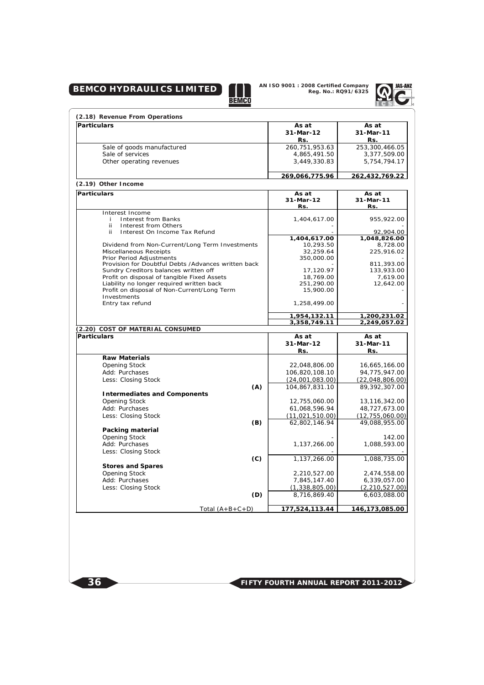AN ISO 9001 : 2008 Certified Company<br>Reg. No.: RQ91/6325



|                                                                                               | As at<br>31-Mar-12<br>Rs. | As at<br>31-Mar-11<br>Rs.                                                                                                                  |
|-----------------------------------------------------------------------------------------------|---------------------------|--------------------------------------------------------------------------------------------------------------------------------------------|
| Sale of goods manufactured                                                                    | 260,751,953.63            | 253,300,466.05                                                                                                                             |
| Sale of services                                                                              | 4,865,491.50              | 3,377,509.00                                                                                                                               |
| Other operating revenues                                                                      | 3,449,330.83              | 5,754,794.17                                                                                                                               |
|                                                                                               | 269,066,775.96            | <u>262,432,769.22</u>                                                                                                                      |
| (2.19) Other Income                                                                           |                           |                                                                                                                                            |
| <b>Particulars</b>                                                                            | As at<br>31-Mar-12<br>Rs. | As at<br>31-Mar-11<br>Rs.                                                                                                                  |
| Interest Income<br><b>Interest from Banks</b><br>j.                                           | 1,404,617.00              | 955,922.00                                                                                                                                 |
| ii.<br>Interest from Others                                                                   |                           |                                                                                                                                            |
| Interest On Income Tax Refund<br>ii.                                                          |                           | 92,904.00                                                                                                                                  |
|                                                                                               | 1,404,617.00              | 1,048,826.00                                                                                                                               |
| Dividend from Non-Current/Long Term Investments                                               | 10,293.50                 | 8,728.00                                                                                                                                   |
| Miscellaneous Receipts                                                                        | 32,259.64                 | 225,916.02                                                                                                                                 |
| Prior Period Adjustments                                                                      | 350,000.00                |                                                                                                                                            |
| Provision for Doubtful Debts / Advances written back<br>Sundry Creditors balances written off | 17,120.97                 | 811,393.00<br>133,933.00                                                                                                                   |
| Profit on disposal of tangible Fixed Assets                                                   | 18,769.00                 | 7,619.00                                                                                                                                   |
| Liability no longer required written back                                                     | 251,290.00                | 12,642.00                                                                                                                                  |
| Profit on disposal of Non-Current/Long Term                                                   | 15,900.00                 |                                                                                                                                            |
| Investments<br>Entry tax refund                                                               | 1,258,499.00              |                                                                                                                                            |
|                                                                                               | 1,954,132.11              | 1,200,231.02                                                                                                                               |
|                                                                                               | 3,358,749.11              | 2,249,057.02                                                                                                                               |
| (2.20) COST OF MATERIAL CONSUMED                                                              |                           |                                                                                                                                            |
| <b>Particulars</b>                                                                            | As at                     | As at                                                                                                                                      |
|                                                                                               |                           |                                                                                                                                            |
|                                                                                               | 31-Mar-12                 | 31-Mar-11                                                                                                                                  |
| <b>Raw Materials</b>                                                                          | Rs.                       | Rs.                                                                                                                                        |
| <b>Opening Stock</b>                                                                          | 22,048,806.00             |                                                                                                                                            |
| Add: Purchases                                                                                | 106,820,108.10            |                                                                                                                                            |
| Less: Closing Stock                                                                           | (24,001,083.00)           |                                                                                                                                            |
| (A)                                                                                           | 104,867,831.10            |                                                                                                                                            |
| <b>Intermediates and Components</b>                                                           |                           |                                                                                                                                            |
| Opening Stock                                                                                 | 12,755,060.00             |                                                                                                                                            |
| Add: Purchases                                                                                | 61,068,596.94             |                                                                                                                                            |
| Less: Closing Stock                                                                           | (11,021,510.00)           |                                                                                                                                            |
| (B)                                                                                           | 62,802,146.94             |                                                                                                                                            |
| Packing material                                                                              |                           | 16,665,166.00<br>94,775,947.00<br>(22,048,806.00)<br>89,392,307.00<br>13,116,342.00<br>48,727,673.00<br>(12, 755, 060.00)<br>49,088,955.00 |
| Opening Stock                                                                                 |                           |                                                                                                                                            |
| Add: Purchases                                                                                | 1,137,266.00              |                                                                                                                                            |
| Less: Closing Stock                                                                           |                           | 142.00<br>1,088,593.00                                                                                                                     |
| (C)                                                                                           | 1,137,266.00              |                                                                                                                                            |
| <b>Stores and Spares</b>                                                                      |                           |                                                                                                                                            |
| Opening Stock                                                                                 | 2,210,527.00              | 1,088,735.00<br>2,474,558.00                                                                                                               |
| Add: Purchases                                                                                | 7,845,147.40              |                                                                                                                                            |
| Less: Closing Stock                                                                           | (1,338,805.00)            |                                                                                                                                            |
| (D)                                                                                           | 8,716,869.40              | 6,339,057.00<br>(2, 210, 527.00)<br>6,603,088.00                                                                                           |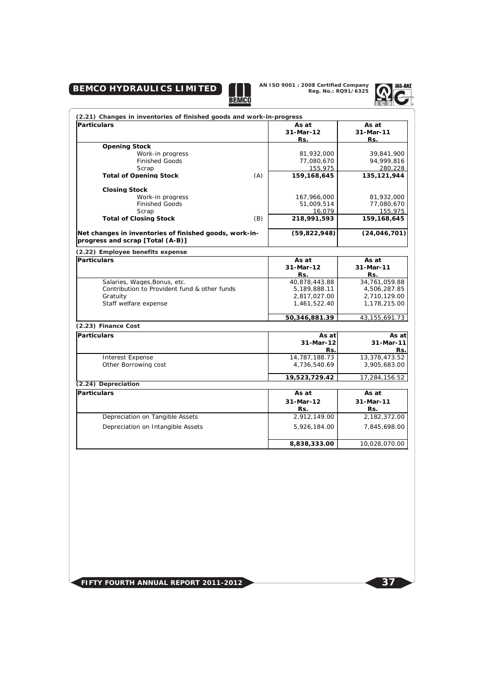

**AN ISO 9001 : 2008 Certified Company Reg. No.: RQ91/6325**



| <b>Particulars</b>                                                                         |     | As at<br>31-Mar-12<br>Rs. | As at<br>31-Mar-11<br>Rs. |
|--------------------------------------------------------------------------------------------|-----|---------------------------|---------------------------|
| <b>Opening Stock</b>                                                                       |     |                           |                           |
| Work-in progress                                                                           |     | 81,932,000                | 39,841,900                |
| <b>Finished Goods</b>                                                                      |     | 77,080,670                | 94,999,816                |
| Scrap                                                                                      |     | 155,975                   | 280,228                   |
| <b>Total of Opening Stock</b>                                                              | (A) | 159,168,645               | 135, 121, 944             |
| <b>Closing Stock</b>                                                                       |     |                           |                           |
| Work-in progress                                                                           |     | 167,966,000               | 81,932,000                |
| <b>Finished Goods</b>                                                                      |     | 51,009,514                | 77,080,670                |
| Scrap                                                                                      |     | 16,079                    | 155,975                   |
| <b>Total of Closing Stock</b>                                                              | (B) | 218,991,593               | 159,168,645               |
| Net changes in inventories of finished goods, work-in-<br>progress and scrap [Total (A-B)] |     | (59,822,948)              | (24,046,701)              |
| (2.22) Employee benefits expense                                                           |     |                           |                           |
| <b>Particulars</b>                                                                         |     | As at<br>31-Mar-12<br>Rs. | As at<br>31-Mar-11<br>Rs. |
| Salaries, Wages, Bonus, etc.                                                               |     | 40,878,443.88             | 34,761,059.88             |
| Contribution to Provident fund & other funds                                               |     | 5,189,888.11              | 4,506,287.85              |
| Gratuity                                                                                   |     | 2,817,027.00              | 2,710,129.00              |
| Staff welfare expense                                                                      |     | 1,461,522.40              | 1,178,215.00              |
|                                                                                            |     | 50,346,881.39             | 43,155,691.73             |
| (2.23) Finance Cost                                                                        |     |                           |                           |
| <b>Particulars</b>                                                                         |     | As at                     | As atl                    |
|                                                                                            |     | 31-Mar-12                 | 31-Mar-11                 |
|                                                                                            |     | Rs.                       | Rs.                       |
| <b>Interest Expense</b>                                                                    |     | 14,787,188.73             | 13,378,473.52             |
| Other Borrowing cost                                                                       |     | 4,736,540.69              | 3,905,683.00              |
| (2.24) Depreciation                                                                        |     | 19,523,729.42             | 17,284,156.52             |
| <b>Particulars</b>                                                                         |     | As at                     | As at                     |
|                                                                                            |     |                           |                           |
|                                                                                            |     | 31-Mar-12<br>Rs.          | 31-Mar-11<br>Rs.          |
| Depreciation on Tangible Assets                                                            |     | 2,912,149.00              | 2,182,372.00              |
| Depreciation on Intangible Assets                                                          |     | 5,926,184.00              | 7,845,698.00              |
|                                                                                            |     |                           | 10,028,070.00             |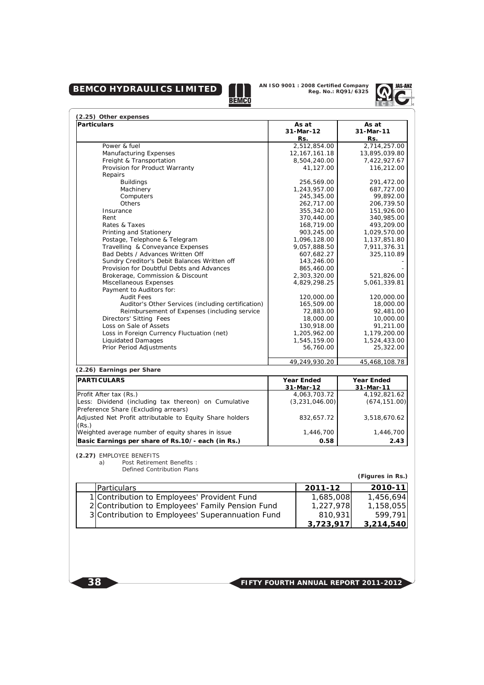

**BEMCO HYDRAULICS LIMITED AN ISO 9001 : 2008 Certified Company Reg. No.: RQ91/6325**



**(2.25) Other expenses Particulars** Power & fuel Manufacturing Expenses Freight & Transportation Provision for Product Warranty Repairs Buildings **Machinery Computers** Others Insurance Rent Rates & Taxes Printing and Stationery Postage, Telephone & Telegram Travelling & Conveyance Expenses Bad Debts / Advances Written Off Sundry Creditor's Debit Balances Written off Provision for Doubtful Debts and Advances Brokerage, Commission & Discount Miscellaneous Expenses Payment to Auditors for: Audit Fees Directors' Sitting Fees Loss on Sale of Assets Loss in Foreign Currency Fluctuation (net) Liquidated Damages Prior Period Adjustments **31-Mar-12 31-Mar-11 Rs.** Rs. Rs. Rs. Rs. 2,512,854.00 2,714,257.00<br>12,167,161.18 13,895,039.80 **As at As at** 256,569.00 291,472.00 1,243,957.00 687,727.00<br>245,345.00 99,892.00 13,895,039.80<br>7,422,927.67 8,504,240.00 41,127.00 116,212.00 370,440.00 340,985.00 168,719.00 493,209.00 903,245.00 | 903,245.00<br>1,137,851.80 1,137,851.80 245,345.00<br>262,717.00 262,717.00 206,739.50<br>355,342.00 151,926.00 355,342.00 151,926.00 143,246.00 - 865,460.00<br>303,320.00 521,826.00 2,303,320.00 1,096,128.00 1,137,851.80<br>9,057,888.50 7,911,376.31 057,888.50<br>607,682.27 325,110.89 607,682.27 325,110.89 Auditor's Other Services (including certification)  $\left.\begin{matrix} 165,509.00 \\ 165,509.00 \end{matrix}\right\}$  18,000.00 18,000.00 Reimbursement of Expenses (including service | 72,883.00 4,829,298.25 5,061,339.81 120,000.00 120,000.00 1,545,159.00 1,524,433.00<br>56,760.00 25,322.00 56,760.00 25,322.00 18,000.00 10,000.00 130,918.00 91,211.00<br>1,205,962.00 1,179,200.00 1,205,962.00 1,179,200.00 49,249,930.20 45,468,108.78 **(2.26) Earnings per Share**

| <b>PARTICULARS</b>                                                                           | <b>Year Ended</b><br>31-Mar-12 | <b>Year Ended</b><br>31-Mar-11 |
|----------------------------------------------------------------------------------------------|--------------------------------|--------------------------------|
| Profit After tax (Rs.)                                                                       | 4,063,703.72                   | 4,192,821.62                   |
| Less: Dividend (including tax thereon) on Cumulative<br>Preference Share (Excluding arrears) | (3,231,046.00)                 | (674, 151.00)                  |
| Adjusted Net Profit attributable to Equity Share holders<br>(Rs.)                            | 832,657.72                     | 3,518,670.62                   |
| Weighted average number of equity shares in issue                                            | 1,446,700                      | 1,446,700                      |
| Basic Earnings per share of Rs.10/- each (in Rs.)                                            | 0.58                           | 2.43                           |

**(2.27)** EMPLOYEE BENEFITS

a) Post Retirement Benefits :

#### Defined Contribution Plans

|                                                  |           | (Figures in Rs.) |
|--------------------------------------------------|-----------|------------------|
| <b>IParticulars</b>                              | 2011-12   | 2010-11          |
| 1 Contribution to Employees' Provident Fund      | 1,685,008 | 1,456,694        |
| 2 Contribution to Employees' Family Pension Fund | 1,227,978 | 1,158,055        |
| 3 Contribution to Employees' Superannuation Fund | 810,931   | 599.791          |
|                                                  | 3,723,917 | 3,214,540        |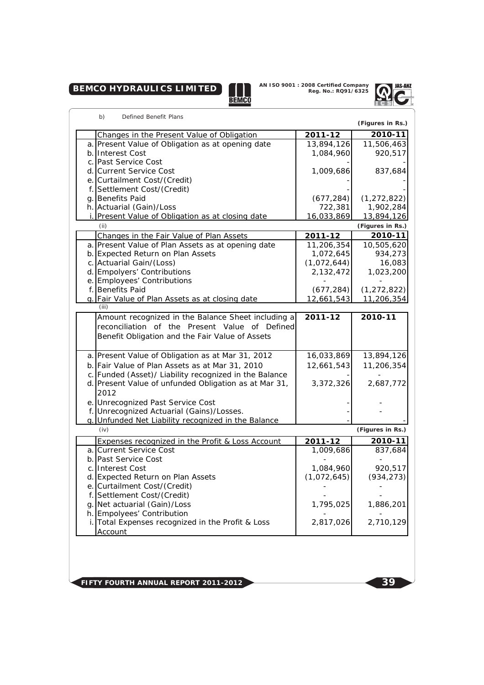**AN ISO 9001 : 2008 Certified Company Reg. No.: RQ91/6325**



| Defined Benefit Plans<br>b)                                                 |             |                  |
|-----------------------------------------------------------------------------|-------------|------------------|
|                                                                             |             | (Figures in Rs.) |
| Changes in the Present Value of Obligation                                  | 2011-12     | 2010-11          |
| a. Present Value of Obligation as at opening date                           | 13,894,126  | 11,506,463       |
| b. Interest Cost                                                            | 1,084,960   | 920,517          |
| c. Past Service Cost                                                        |             |                  |
| d. Current Service Cost                                                     | 1,009,686   | 837,684          |
| e. Curtailment Cost/(Credit)                                                |             |                  |
| f. Settlement Cost/(Credit)                                                 |             |                  |
| g. Benefits Paid                                                            | (677, 284)  | (1, 272, 822)    |
| h. Actuarial (Gain)/Loss                                                    | 722,381     | 1,902,284        |
| i. Present Value of Obligation as at closing date                           | 16,033,869  | 13,894,126       |
| (ii)                                                                        |             | (Figures in Rs.) |
| Changes in the Fair Value of Plan Assets                                    | 2011-12     | 2010-11          |
| a. Present Value of Plan Assets as at opening date                          | 11,206,354  | 10,505,620       |
| b. Expected Return on Plan Assets                                           | 1,072,645   | 934,273          |
| c. Actuarial Gain/(Loss)                                                    | (1,072,644) | 16,083           |
| d. Empolyers' Contributions                                                 | 2,132,472   | 1,023,200        |
| e. Employees' Contributions                                                 |             |                  |
| f. Benefits Paid                                                            | (677, 284)  | (1, 272, 822)    |
| g. Fair Value of Plan Assets as at closing date                             | 12,661,543  | 11,206,354       |
| (iii)                                                                       |             |                  |
| Amount recognized in the Balance Sheet including a                          | 2011-12     | 2010-11          |
| reconciliation of the Present Value of Defined                              |             |                  |
| Benefit Obligation and the Fair Value of Assets                             |             |                  |
|                                                                             |             |                  |
| a. Present Value of Obligation as at Mar 31, 2012                           | 16,033,869  | 13,894,126       |
| b. Fair Value of Plan Assets as at Mar 31, 2010                             | 12,661,543  | 11,206,354       |
| c. Funded (Asset)/ Liability recognized in the Balance                      |             |                  |
| d. Present Value of unfunded Obligation as at Mar 31,                       | 3,372,326   | 2,687,772        |
| 2012                                                                        |             |                  |
| e. Unrecognized Past Service Cost                                           |             |                  |
| f. Unrecognized Actuarial (Gains)/Losses.                                   |             |                  |
| g. Unfunded Net Liability recognized in the Balance                         |             |                  |
| (iv)                                                                        |             | (Figures in Rs.) |
|                                                                             |             |                  |
| Expenses recognized in the Profit & Loss Account<br>a. Current Service Cost | 2011-12     | 2010-11          |
|                                                                             | 1,009,686   | 837,684          |
| b. Past Service Cost                                                        |             |                  |
| c. Interest Cost                                                            | 1,084,960   | 920,517          |
| d. Expected Return on Plan Assets                                           | (1,072,645) | (934, 273)       |
| e. Curtailment Cost/(Credit)                                                |             |                  |
| f. Settlement Cost/(Credit)                                                 |             |                  |
| g. Net actuarial (Gain)/Loss                                                | 1,795,025   | 1,886,201        |
| h. Empolyees' Contribution                                                  |             |                  |
| i. Total Expenses recognized in the Profit & Loss                           | 2,817,026   | 2,710,129        |
| Account                                                                     |             |                  |
|                                                                             |             |                  |

BEMCO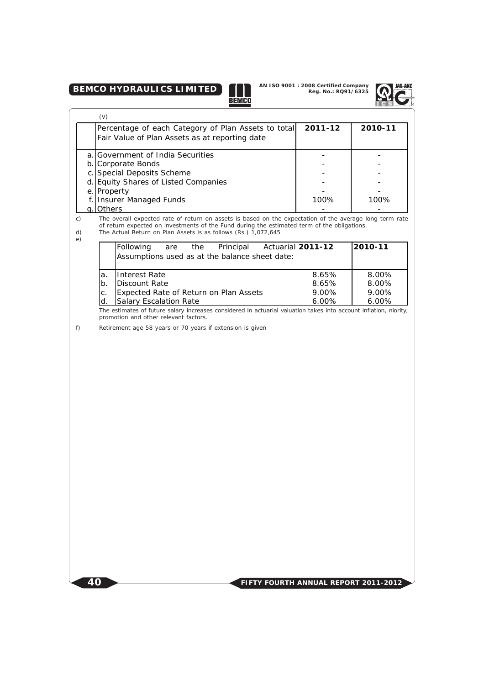# **BEMCO HYDRAULICS LIMITED AN ISSUED**



|               | (V)         |                                                                                                                                                               |                   |         |
|---------------|-------------|---------------------------------------------------------------------------------------------------------------------------------------------------------------|-------------------|---------|
|               |             | Percentage of each Category of Plan Assets to total                                                                                                           | 2011-12           | 2010-11 |
|               |             | Fair Value of Plan Assets as at reporting date                                                                                                                |                   |         |
|               |             |                                                                                                                                                               |                   |         |
|               |             | a. Government of India Securities                                                                                                                             |                   |         |
|               |             | b. Corporate Bonds                                                                                                                                            |                   |         |
|               |             | c. Special Deposits Scheme                                                                                                                                    |                   |         |
|               |             | d. Equity Shares of Listed Companies                                                                                                                          |                   |         |
|               | e. Property |                                                                                                                                                               |                   |         |
|               |             | f. Insurer Managed Funds                                                                                                                                      | 100%              | 100%    |
|               | g. Others   |                                                                                                                                                               |                   |         |
| $\mathsf{c})$ |             | The overall expected rate of return on assets is based on the expectation of the average long term rate                                                       |                   |         |
| d)            |             | of return expected on investments of the Fund during the estimated term of the obligations.<br>The Actual Return on Plan Assets is as follows (Rs.) 1,072,645 |                   |         |
| e)            |             |                                                                                                                                                               |                   |         |
|               |             | Following<br>the<br>Principal<br>are                                                                                                                          | Actuarial 2011-12 | 2010-11 |
|               |             | Assumptions used as at the balance sheet date:                                                                                                                |                   |         |
|               |             |                                                                                                                                                               |                   |         |
|               | a.          | <b>Interest Rate</b>                                                                                                                                          | 8.65%             | 8.00%   |
|               | b.          | Discount Rate                                                                                                                                                 | 8.65%             | 8.00%   |
|               | C.          | Expected Rate of Return on Plan Assets                                                                                                                        | 9.00%             | 9.00%   |
|               | d.          | <b>Salary Escalation Rate</b>                                                                                                                                 | 6.00%             | 6.00%   |
|               |             | The estimates of future salary increases considered in actuarial valuation takes into account inflation, niority,<br>promotion and other relevant factors.    |                   |         |
|               |             | Retirement age 58 years or 70 years if extension is given                                                                                                     |                   |         |
| f)            |             |                                                                                                                                                               |                   |         |
|               |             |                                                                                                                                                               |                   |         |
|               |             |                                                                                                                                                               |                   |         |
|               |             |                                                                                                                                                               |                   |         |
|               |             |                                                                                                                                                               |                   |         |
|               |             |                                                                                                                                                               |                   |         |
|               |             |                                                                                                                                                               |                   |         |
|               |             |                                                                                                                                                               |                   |         |
|               |             |                                                                                                                                                               |                   |         |
|               |             |                                                                                                                                                               |                   |         |
|               |             |                                                                                                                                                               |                   |         |
|               |             |                                                                                                                                                               |                   |         |
|               |             |                                                                                                                                                               |                   |         |
|               |             |                                                                                                                                                               |                   |         |
|               |             |                                                                                                                                                               |                   |         |
|               |             |                                                                                                                                                               |                   |         |
|               |             |                                                                                                                                                               |                   |         |
|               |             |                                                                                                                                                               |                   |         |
|               |             |                                                                                                                                                               |                   |         |
|               |             |                                                                                                                                                               |                   |         |
|               |             |                                                                                                                                                               |                   |         |
|               |             |                                                                                                                                                               |                   |         |
|               |             |                                                                                                                                                               |                   |         |
|               |             |                                                                                                                                                               |                   |         |
|               |             |                                                                                                                                                               |                   |         |
|               |             |                                                                                                                                                               |                   |         |
|               |             |                                                                                                                                                               |                   |         |
|               |             |                                                                                                                                                               |                   |         |
|               |             |                                                                                                                                                               |                   |         |
|               | 40          | FIFTY FOURTH ANNUAL REPORT 2011-2012                                                                                                                          |                   |         |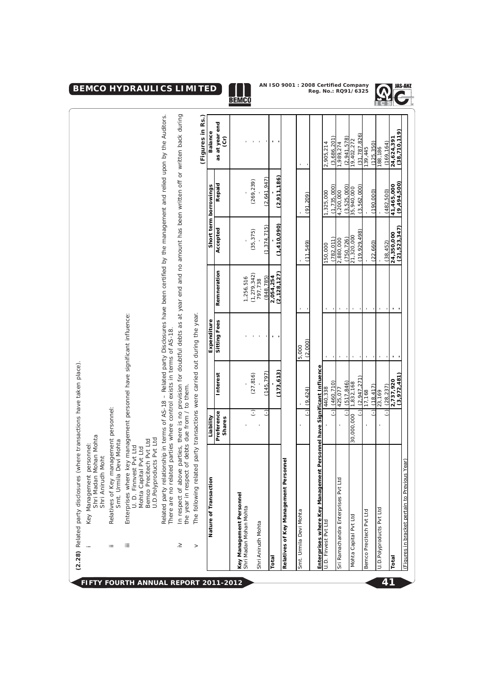|                                                    | Shri Madan Mohan Mohta<br>Key Management personnel:<br>Shri Anirudh Moht                                                                                                                                                |                           |                                        |                                                      |                                        |                                            |                                          |                                           |
|----------------------------------------------------|-------------------------------------------------------------------------------------------------------------------------------------------------------------------------------------------------------------------------|---------------------------|----------------------------------------|------------------------------------------------------|----------------------------------------|--------------------------------------------|------------------------------------------|-------------------------------------------|
| $\coloneqq$                                        | Relatives of Key management personnel:<br>Smt. Urmila Devi Mohta                                                                                                                                                        |                           |                                        |                                                      |                                        |                                            |                                          |                                           |
| ≣                                                  | Enterprises where key management personnel have significant influence:<br>U.D.Polyproducts Pvt Ltd<br>Pvt Ltd<br>U. D. Finnvest Pvt Ltd<br>Mohta Capital Pvt Ltd<br>Bemco Precitech                                     |                           |                                        |                                                      |                                        |                                            |                                          |                                           |
|                                                    | Related party relationship in terms of AS-18 - Related party Disclosures have been certified by the management and relied upon by the Auditors.<br>There are no related parties where control exists in terms of AS-18. |                           |                                        |                                                      |                                        |                                            |                                          |                                           |
| ≧.                                                 | In respect of above parties, there is no provision for doubtful debts as at year end and no amount has been written off or written back during<br>the year in respect of                                                | debts due from / to them. |                                        |                                                      |                                        |                                            |                                          |                                           |
| $\rm{~}$                                           | The following related                                                                                                                                                                                                   |                           |                                        | party transactions were carried out during the year. |                                        |                                            |                                          | (Figures in Rs.)                          |
|                                                    | Nature of Transaction                                                                                                                                                                                                   | Liability                 |                                        | Expenditure                                          |                                        |                                            | Short term borrowings                    | Balance                                   |
|                                                    |                                                                                                                                                                                                                         | Preference<br>Shares      | Interest                               | Sitting Fees                                         | Remneration                            | Accepted                                   | Repaid                                   | as at year end<br>(G)                     |
| Key Management Personnel<br>Shri Madan Mohan Mohta |                                                                                                                                                                                                                         |                           |                                        |                                                      | 1,256,516                              |                                            |                                          |                                           |
| Shri Anirudh Mohta                                 |                                                                                                                                                                                                                         | $\overline{\cdot}$<br>C   | (145, 797)<br>(27, 816)                |                                                      | (1, 279, 342)<br>(848, 785)<br>797,738 | (1, 374, 715)<br>(35, 375)                 | (2,641,947)<br>(269, 239)                |                                           |
| Total                                              |                                                                                                                                                                                                                         |                           | (173, 613)                             | $\blacksquare$                                       | (2, 128, 127)<br>2,054,254             | (1,410,090)                                | (2,911,186)                              | ٠                                         |
|                                                    | ᠗<br>Relatives of Key Management Personn                                                                                                                                                                                |                           |                                        |                                                      |                                        |                                            |                                          |                                           |
| Smt. Urmila Devi Mohta                             |                                                                                                                                                                                                                         | G                         | (9, 424)                               | (2,000)<br>5,000                                     |                                        | (11, 549)                                  | (91, 209)                                |                                           |
|                                                    | Enterprises where Key Management Po                                                                                                                                                                                     |                           | srsonnel have Significant Influence    |                                                      |                                        |                                            |                                          |                                           |
| U.D. Finvest Pvt Ltd                               |                                                                                                                                                                                                                         | Ξ                         | (460, 710)<br>440,338                  |                                                      |                                        | (782, 011)<br>150,000                      | (1,735,000)<br>1,325,000                 | (3,686,201)<br>2,905,214                  |
|                                                    | Sri Ramachandra Enterprises Pvt Ltd                                                                                                                                                                                     | G                         | 425,077                                |                                                      | $\mathbf{L}$                           | 2,880,000                                  | 4,200,000                                | 1,989,274                                 |
| Mohta Capital Pvt Ltd                              |                                                                                                                                                                                                                         | €<br>30,000,000           | (2.947.271)<br>(517, 846)<br>1,832,168 |                                                      | $\mathbf{I}$                           | (19, 929, 498)<br>21,320,000<br>(750, 726) | (3.525,000)<br>(3,562,000)<br>35,940,000 | (31.787.826)<br>(2.941.578)<br>19,402,272 |
| Bemco Precitech Pvt Ltd                            |                                                                                                                                                                                                                         | π                         | (18, 417)<br>17,168                    |                                                      |                                        | (22, 660)                                  | (190,000)                                | (125, 350)<br>139,445                     |
| U.D.Polyproducts Pvt Ltd                           |                                                                                                                                                                                                                         |                           | (28, 237)<br>23,169                    |                                                      |                                        | (38, 452)                                  | (482, 500)                               | (169, 164)<br>188,186                     |
| Total                                              |                                                                                                                                                                                                                         |                           | (3,972,481)<br>2,737,920               | ٠                                                    | ٠                                      | (21, 523, 347)<br>24,350,000               | (9,494,500)<br>41,465,000                | (38, 710, 119)<br>24,624,391              |

**BEMCO HYDRAULICS LIMITED AN ISO 9001 : 2008 Certified Company Reg. No.: RQ91/6325**

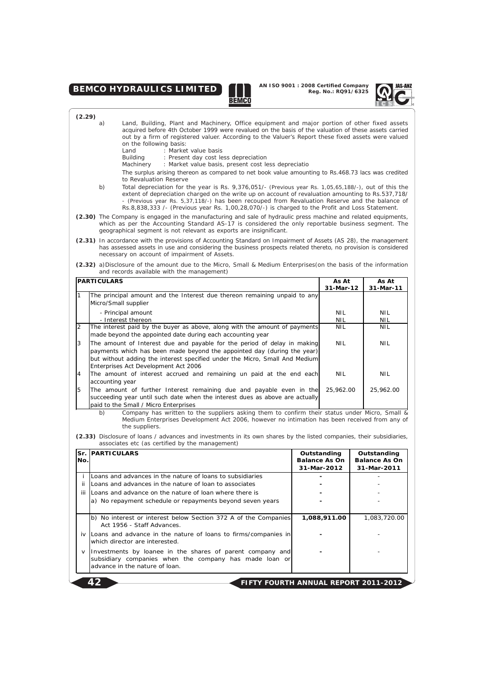**Reg. No.: RQ91/6325**



| 1<br>2<br>3<br>4<br>5<br>Sr.<br>No.<br>ii.<br>$\vee$ | (2.33) Disclosure of loans / advances and investments in its own shares by the listed companies, their subsidiaries,<br>associates etc (as certified by the management)<br><b>PARTICULARS</b><br>Loans and advances in the nature of loans to subsidiaries<br>Loans and advances in the nature of loan to associates<br>iii Loans and advance on the nature of loan where there is<br>a) No repayment schedule or repayments beyond seven years<br>b) No interest or interest below Section 372 A of the Companies<br>Act 1956 - Staff Advances.<br>iv Loans and advance in the nature of loans to firms/companies in<br>which director are interested.<br>Investments by loanee in the shares of parent company and<br>subsidiary companies when the company has made loan or<br>advance in the nature of loan. | <b>Balance As On</b> | 31-Mar-2012<br>1,088,911.00 | 1,083,720.00                        |
|------------------------------------------------------|------------------------------------------------------------------------------------------------------------------------------------------------------------------------------------------------------------------------------------------------------------------------------------------------------------------------------------------------------------------------------------------------------------------------------------------------------------------------------------------------------------------------------------------------------------------------------------------------------------------------------------------------------------------------------------------------------------------------------------------------------------------------------------------------------------------|----------------------|-----------------------------|-------------------------------------|
|                                                      |                                                                                                                                                                                                                                                                                                                                                                                                                                                                                                                                                                                                                                                                                                                                                                                                                  |                      |                             |                                     |
|                                                      |                                                                                                                                                                                                                                                                                                                                                                                                                                                                                                                                                                                                                                                                                                                                                                                                                  |                      |                             |                                     |
|                                                      |                                                                                                                                                                                                                                                                                                                                                                                                                                                                                                                                                                                                                                                                                                                                                                                                                  |                      |                             |                                     |
|                                                      |                                                                                                                                                                                                                                                                                                                                                                                                                                                                                                                                                                                                                                                                                                                                                                                                                  |                      |                             |                                     |
|                                                      |                                                                                                                                                                                                                                                                                                                                                                                                                                                                                                                                                                                                                                                                                                                                                                                                                  |                      |                             |                                     |
|                                                      |                                                                                                                                                                                                                                                                                                                                                                                                                                                                                                                                                                                                                                                                                                                                                                                                                  |                      |                             |                                     |
|                                                      |                                                                                                                                                                                                                                                                                                                                                                                                                                                                                                                                                                                                                                                                                                                                                                                                                  |                      |                             | <b>Balance As On</b><br>31-Mar-2011 |
|                                                      |                                                                                                                                                                                                                                                                                                                                                                                                                                                                                                                                                                                                                                                                                                                                                                                                                  |                      | Outstanding                 | Outstanding                         |
|                                                      |                                                                                                                                                                                                                                                                                                                                                                                                                                                                                                                                                                                                                                                                                                                                                                                                                  |                      |                             |                                     |
|                                                      | Company has written to the suppliers asking them to confirm their status under Micro, Small &<br>b)<br>Medium Enterprises Development Act 2006, however no intimation has been received from any of<br>the suppliers.                                                                                                                                                                                                                                                                                                                                                                                                                                                                                                                                                                                            |                      |                             |                                     |
|                                                      | paid to the Small / Micro Enterprises                                                                                                                                                                                                                                                                                                                                                                                                                                                                                                                                                                                                                                                                                                                                                                            |                      |                             |                                     |
|                                                      | The amount of further Interest remaining due and payable even in the<br>succeeding year until such date when the interest dues as above are actually                                                                                                                                                                                                                                                                                                                                                                                                                                                                                                                                                                                                                                                             |                      | 25,962.00                   | 25,962.00                           |
|                                                      | The amount of interest accrued and remaining un paid at the end each<br>accounting year                                                                                                                                                                                                                                                                                                                                                                                                                                                                                                                                                                                                                                                                                                                          |                      | <b>NIL</b>                  | NIL.                                |
|                                                      | but without adding the interest specified under the Micro, Small And Medium<br>Enterprises Act Development Act 2006                                                                                                                                                                                                                                                                                                                                                                                                                                                                                                                                                                                                                                                                                              |                      |                             |                                     |
|                                                      | The amount of Interest due and payable for the period of delay in making<br>payments which has been made beyond the appointed day (during the year)                                                                                                                                                                                                                                                                                                                                                                                                                                                                                                                                                                                                                                                              |                      | <b>NIL</b>                  | NIL                                 |
|                                                      | The interest paid by the buyer as above, along with the amount of payments<br>made beyond the appointed date during each accounting year                                                                                                                                                                                                                                                                                                                                                                                                                                                                                                                                                                                                                                                                         |                      | <b>NIL</b>                  | NIL                                 |
|                                                      | - Principal amount<br>- Interest thereon                                                                                                                                                                                                                                                                                                                                                                                                                                                                                                                                                                                                                                                                                                                                                                         |                      | <b>NIL</b><br>NIL           | <b>NIL</b><br>NIL                   |
|                                                      | Micro/Small supplier                                                                                                                                                                                                                                                                                                                                                                                                                                                                                                                                                                                                                                                                                                                                                                                             |                      |                             |                                     |
|                                                      | The principal amount and the Interest due thereon remaining unpaid to any                                                                                                                                                                                                                                                                                                                                                                                                                                                                                                                                                                                                                                                                                                                                        |                      | 31-Mar-12                   | 31-Mar-11                           |
|                                                      | and records available with the management)<br><b>PARTICULARS</b>                                                                                                                                                                                                                                                                                                                                                                                                                                                                                                                                                                                                                                                                                                                                                 |                      | As At                       | As At                               |
|                                                      | necessary on account of impairment of Assets.<br>(2.32) a) Disclosure of the amount due to the Micro, Small & Medium Enterprises (on the basis of the information                                                                                                                                                                                                                                                                                                                                                                                                                                                                                                                                                                                                                                                |                      |                             |                                     |
|                                                      | (2.31) In accordance with the provisions of Accounting Standard on Impairment of Assets (AS 28), the management<br>has assessed assets in use and considering the business prospects related thereto, no provision is considered                                                                                                                                                                                                                                                                                                                                                                                                                                                                                                                                                                                 |                      |                             |                                     |
|                                                      | (2.30) The Company is engaged in the manufacturing and sale of hydraulic press machine and related equipments,<br>which as per the Accounting Standard AS-17 is considered the only reportable business segment. The<br>geographical segment is not relevant as exports are insignificant.                                                                                                                                                                                                                                                                                                                                                                                                                                                                                                                       |                      |                             |                                     |
|                                                      | Total depreciation for the year is Rs. 9,376,051/- (Previous year Rs. 1,05,65,188/-), out of this the<br>b)<br>extent of depreciation charged on the write up on account of revaluation amounting to Rs.537,718/<br>- (Previous year Rs. 5,37,118/-) has been recouped from Revaluation Reserve and the balance of<br>Rs.8,838,333 /- (Previous year Rs. 1,00,28,070/-) is charged to the Profit and Loss Statement.                                                                                                                                                                                                                                                                                                                                                                                             |                      |                             |                                     |
|                                                      | The surplus arising thereon as compared to net book value amounting to Rs.468.73 lacs was credited<br>to Revaluation Reserve                                                                                                                                                                                                                                                                                                                                                                                                                                                                                                                                                                                                                                                                                     |                      |                             |                                     |
|                                                      | on the following basis:<br>Land<br>: Market value basis<br><b>Building</b><br>: Present day cost less depreciation<br>: Market value basis, present cost less depreciatio<br>Machinery                                                                                                                                                                                                                                                                                                                                                                                                                                                                                                                                                                                                                           |                      |                             |                                     |
| (2.29)                                               | Land, Building, Plant and Machinery, Office equipment and major portion of other fixed assets<br>a)<br>acquired before 4th October 1999 were revalued on the basis of the valuation of these assets carried<br>out by a firm of registered valuer. According to the Valuer's Report these fixed assets were valued                                                                                                                                                                                                                                                                                                                                                                                                                                                                                               |                      |                             |                                     |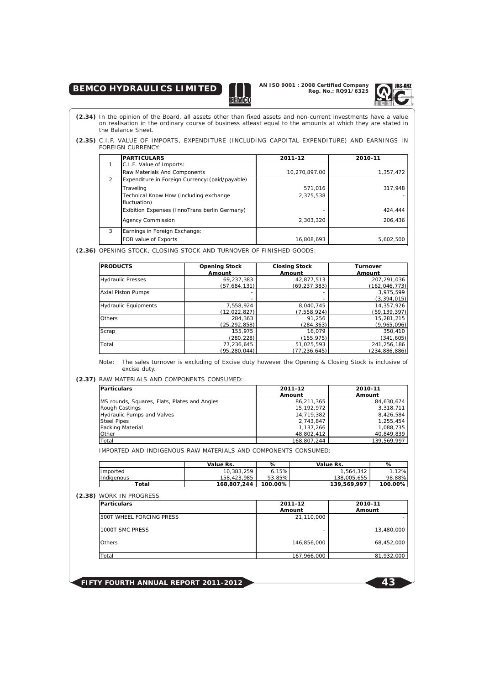

**AN ISO 9001 : 2008 Certified Company Reg. No.: RQ91/6325**



- **(2.34)** In the opinion of the Board, all assets other than fixed assets and non-current investments have a value on realisation in the ordinary course of business atleast equal to the amounts at which they are stated in the Balance Sheet.
- **(2.35)** C.I.F. VALUE OF IMPORTS, EXPENDITURE (INCLUDING CAPOITAL EXPENDITURE) AND EARNINGS IN FOREIGN CURRENCY:

|   | <b>IPARTICULARS</b>                                    | 2011-12       | 2010-11   |
|---|--------------------------------------------------------|---------------|-----------|
|   | C.I.F. Value of Imports:                               |               |           |
|   | Raw Materials And Components                           | 10,270,897.00 | 1,357,472 |
| 2 | Expenditure in Foreign Currency: (paid/payable)        |               |           |
|   | Traveling                                              | 571,016       | 317,948   |
|   | Technical Know How (including exchange<br>fluctuation) | 2.375.538     |           |
|   | Exibition Expenses (InnoTrans berlin Germany)          |               | 424.444   |
|   | <b>Agency Commission</b>                               | 2,303,320     | 206.436   |
| 3 | Earnings in Foreign Exchange:                          |               |           |
|   | FOB value of Exports                                   | 16,808,693    | 5.602.500 |

**(2.36)** OPENING STOCK, CLOSING STOCK AND TURNOVER OF FINISHED GOODS:

| <b>PRODUCTS</b>             | <b>Opening Stock</b> | <b>Closing Stock</b> | <b>Turnover</b> |  |
|-----------------------------|----------------------|----------------------|-----------------|--|
|                             | Amount               | Amount               | Amount          |  |
| <b>Hydraulic Presses</b>    | 69,237,383           | 42,877,513           | 207.291.036     |  |
|                             | (57,684,131)         | (69, 237, 383)       | (162, 046, 773) |  |
| <b>Axial Piston Pumps</b>   |                      |                      | 3.975.599       |  |
|                             |                      |                      | (3, 394, 015)   |  |
| <b>Hydraulic Equipments</b> | 7,558,924            | 8.040.745            | 14,357,926      |  |
|                             | (12, 022, 827)       | (7, 558, 924)        | (59,139,397)    |  |
| Others                      | 284.363              | 91.256               | 15,281,215      |  |
|                             | (25, 292, 858)       | (284, 363)           | (9,965,096)     |  |
| Scrap                       | 155.975              | 16.079               | 350.410         |  |
|                             | (280.228)            | (155,975)            | (341, 605)      |  |
| Total                       | 77.236.645           | 51,025,593           | 241,256,186     |  |
|                             | (95, 280, 044)       | (77.236.645)         | (234,886,886)   |  |

Note: The sales turnover is excluding of Excise duty however the Opening & Closing Stock is inclusive of excise duty.

#### **(2.37)** RAW MATERIALS AND COMPONENTS CONSUMED:

| <b>Particulars</b>                           | 2011-12     | 2010-11     |  |
|----------------------------------------------|-------------|-------------|--|
|                                              | Amount      | Amount      |  |
| MS rounds, Squares, Flats, Plates and Angles | 86,211,365  | 84,630,674  |  |
| Rough Castings                               | 15.192.972  | 3,318,711   |  |
| Hydraulic Pumps and Valves                   | 14,719,382  | 8,426,584   |  |
| <b>Steel Pipes</b>                           | 2,743,847   | 1,255,454   |  |
| Packing Material                             | 1.137.266   | 1.088.735   |  |
| Other                                        | 48,802,412  | 40,849,839  |  |
| Total                                        | 168,807,244 | 139,569,997 |  |

IMPORTED AND INDIGENOUS RAW MATERIALS AND COMPONENTS CONSUMED:

|            | Value Rs.   | %       | Value Rs.   | %       |
|------------|-------------|---------|-------------|---------|
| Imported   | 10.383.259  | 6.15%   | 1.564.342   | 1.12%   |
| Indiaenous | 158,423,985 | 93.85%  | 138,005,655 | 98.88%  |
| Total      | 168,807,244 | 100.00% | 139,569,997 | 100.00% |

#### **(2.38)** WORK IN PROGRESS

| <b>Particulars</b>              | 2011-12     | 2010-11    |
|---------------------------------|-------------|------------|
|                                 | Amount      | Amount     |
| <b>500T WHEEL FORCING PRESS</b> | 21,110,000  |            |
| 1000T SMC PRESS                 |             | 13,480,000 |
| Others                          | 146,856,000 | 68,452,000 |
| Total                           | 167,966,000 | 81,932,000 |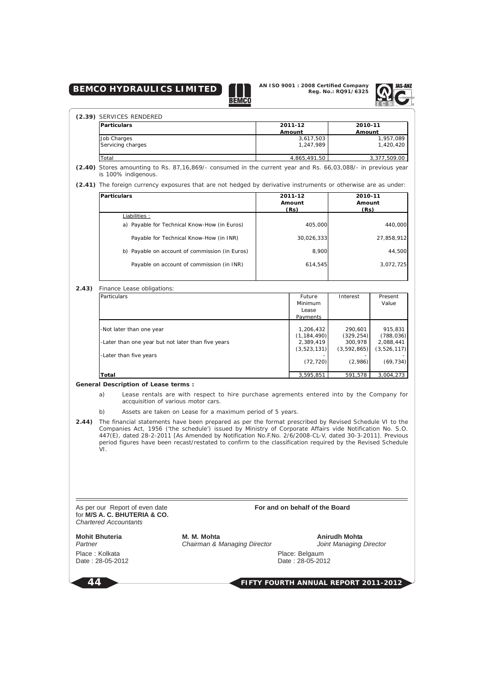**Reg. No.: RQ91/6325**



#### **(2.39)** SERVICES RENDERED

| <b>Particulars</b> | 2011-12      | 2010-11      |  |  |
|--------------------|--------------|--------------|--|--|
|                    | Amount       | Amount       |  |  |
| Job Charges        | 3,617,503    | 1,957,089    |  |  |
| Servicing charges  | 1.247.989    | 1,420,420    |  |  |
| Total              | 4.865.491.50 | 3,377,509.00 |  |  |

**(2.40)** Stores amounting to Rs. 87,16,869/- consumed in the current year and Rs. 66,03,088/- in previous year is 100% indigenous.

**BEMCO** 

**(2.41)** The foreign currency exposures that are not hedged by derivative instruments or otherwise are as under:

| <b>Particulars</b>                             | 2011-12<br>Amount<br>(Rs) | 2010-11<br>Amount<br>(Rs) |
|------------------------------------------------|---------------------------|---------------------------|
| Liabilities :                                  |                           |                           |
| a) Payable for Technical Know-How (in Euros)   | 405.000                   | 440,000                   |
| Payable for Technical Know-How (in INR)        | 30,026,333                | 27,858,912                |
| b) Payable on account of commission (in Euros) | 8,900                     | 44,500                    |
| Payable on account of commission (in INR)      | 614,545                   | 3,072,725                 |
|                                                |                           |                           |

#### **2.43)** Finance Lease obligations:

| i illulloc Louse obligations.                      |               |             |             |
|----------------------------------------------------|---------------|-------------|-------------|
| Particulars                                        | Future        | Interest    | Present     |
|                                                    | Minimum       |             | Value       |
|                                                    | Lease         |             |             |
|                                                    | Payments      |             |             |
|                                                    |               |             |             |
| -Not later than one year                           | 1,206,432     | 290.601     | 915,831     |
|                                                    | (1, 184, 490) | (329, 254)  | (788, 036)  |
| -Later than one year but not later than five years | 2,389,419     | 300,978     | 2,088,441   |
|                                                    | (3, 523, 131) | (3,592,865) | (3,526,117) |
| -Later than five years                             |               |             |             |
|                                                    | (72, 720)     | (2,986)     | (69, 734)   |
|                                                    |               |             |             |
| Total                                              | 3,595,851     | 591.578     | 3,004,273   |

#### **General Description of Lease terms :**

a) Lease rentals are with respect to hire purchase agrements entered into by the Company for accquisition of various motor cars.

b) Assets are taken on Lease for a maximum period of 5 years.

**2.44)** The financial statements have been prepared as per the format prescribed by Revised Schedule VI to the Companies Act, 1956 ('the schedule') issued by Ministry of Corporate Affairs vide Notification No. S.O. 447(E), dated 28-2-2011 [As Amended by Notification No.F.No. 2/6/2008-CL-V, dated 30-3-2011]. Previous period figures have been recast/restated to confirm to the classification required by the Revised Schedule VI.

for **M/S A. C. BHUTERIA & CO.** *Chartered Accountants*

#### As per our Report of even date **For and on behalf of the Board**

**Mohit Bhuteria 19th Communist M. M. Mohta** Mohta Anirudh Mohta *Partner Chairman & Managing Director Joint Managing Director*

Place : Kolkata **Place**: Belgaum Date : 28-05-2012 Date : 28-05-2012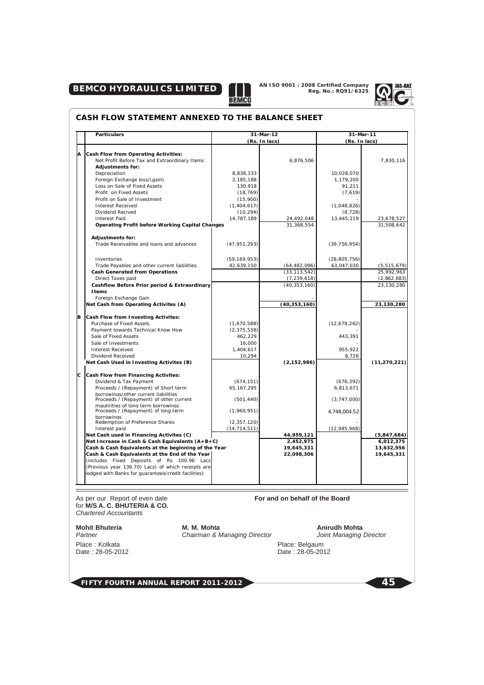**AN ISO 9001 : 2008 Certified Company Reg. No.: RQ91/6325**



#### **CASH FLOW STATEMENT ANNEXED TO THE BALANCE SHEET**

|   | <b>Particulars</b>                                                                                      |                              | 31-Mar-12               |                | 31-Mar-11                |
|---|---------------------------------------------------------------------------------------------------------|------------------------------|-------------------------|----------------|--------------------------|
|   |                                                                                                         |                              | (Rs. In lacs)           |                | (Rs. In lacs)            |
|   |                                                                                                         |                              |                         |                |                          |
| А | Cash Flow from Operating Activities:                                                                    |                              |                         |                | 7,830,116                |
|   | Net Profit Before Tax and Extraordinary Items<br><b>Adjustments for:</b>                                |                              | 6,876,506               |                |                          |
|   | Depreciation                                                                                            | 8,838,333                    |                         | 10,028,070     |                          |
|   | Foreign Exchange loss/(gain)                                                                            | 2,185,188                    |                         | 1,179,200      |                          |
|   | Loss on Sale of Fixed Assets                                                                            | 130.918                      |                         | 91,211         |                          |
|   | Profit on Fixed Assets                                                                                  | (18, 769)                    |                         | (7,619)        |                          |
|   | Profit on Sale of Investment                                                                            | (15,900)                     |                         |                |                          |
|   | <b>Interest Received</b>                                                                                | (1,404,617)                  |                         | (1,048,826)    |                          |
|   | Dividend Recived                                                                                        | (10, 294)                    |                         | (8, 728)       |                          |
|   | <b>Interest Paid</b>                                                                                    | 14,787,189                   | 24,492,048              | 13,445,219     | 23,678,527               |
|   | <b>Operating Profit before Working Capital Changes</b>                                                  |                              | 31,368,554              |                | 31,508,642               |
|   | <b>Adjustments for:</b>                                                                                 |                              |                         |                |                          |
|   | Trade Receivables and loans and advances                                                                | (47, 951, 293)               |                         | (39, 756, 954) |                          |
|   | Inventories                                                                                             | (59, 169, 953)               |                         | (28, 805, 756) |                          |
|   | Trade Payables and other current liabilities                                                            | 42,639,150                   | (64, 482, 096)          | 63,047,030     | (5, 515, 679)            |
|   | <b>Cash Generated from Operations</b>                                                                   |                              | (33, 113, 542)          |                | 25,992,963               |
|   | Direct Taxes paid                                                                                       |                              | (7, 239, 618)           |                | (2,862,683)              |
|   | Cashflow Before Prior period & Extraordinary<br>Items                                                   |                              | (40, 353, 160)          |                | 23,130,280               |
|   | Foreign Exchange Gain                                                                                   |                              |                         |                |                          |
|   | Net Cash from Operating Activites (A)                                                                   |                              | (40, 353, 160)          |                | 23,130,280               |
|   |                                                                                                         |                              |                         |                |                          |
| в | Cash Flow from Investing Activites:                                                                     |                              |                         |                |                          |
|   | Purchase of Fixed Assets<br>Payment towards Technical Know How                                          | (1,670,588)<br>(2, 375, 538) |                         | (12,678,262)   |                          |
|   | Sale of Fixed Assets                                                                                    | 462,229                      |                         | 443,391        |                          |
|   | Sale of Investments                                                                                     | 16,000                       |                         |                |                          |
|   | <b>Interest Received</b>                                                                                | 1,404,617                    |                         | 955,922        |                          |
|   | Dividend Received                                                                                       | 10,294                       |                         | 8,728          |                          |
|   | Net Cash Used in Investing Activites (B)                                                                |                              | (2, 152, 986)           |                | (11, 270, 221)           |
| C | Cash Flow from Financing Activites:                                                                     |                              |                         |                |                          |
|   | Dividend & Tax Payment                                                                                  | (674, 151)                   |                         | (676, 392)     |                          |
|   | Proceeds / (Repayment) of Short term                                                                    | 65, 167, 295                 |                         | 6,813,671      |                          |
|   | borrowings/other current liabilities<br>Proceeds / (Repayment) of other current                         | (501, 440)                   |                         | (3,747,000)    |                          |
|   | mautirities of long term borrowings                                                                     |                              |                         |                |                          |
|   | Proceeds / (Repayment) of long term<br>borrowings                                                       | (1,960,951)                  |                         | 4,748,004.52   |                          |
|   | Redemption of Preference Shares                                                                         | (2, 357, 120)                |                         |                |                          |
|   | Interest paid                                                                                           | (14, 714, 511)               |                         | (12,985,968)   |                          |
|   | Net Cash used in Financing Activites (C)                                                                |                              | 44,959,121<br>2,452,975 |                | (5,847,684)<br>6,012,375 |
|   | Net Increase in Cash & Cash Equivalents (A+B+C)<br>Cash & Cash Equivalents at the beginning of the Year |                              | 19,645,331              |                | 13,632,956               |
|   | Cash & Cash Equivalents at the End of the Year                                                          |                              | 22,098,306              |                | 19,645,331               |
|   | (includes Fixed Deposits of Rs 100.96 Lacs                                                              |                              |                         |                |                          |
|   | (Previous year 136.70) Lacs) of which receipts are                                                      |                              |                         |                |                          |
|   | lodged with Banks for quarantees/credit facilities)                                                     |                              |                         |                |                          |
|   |                                                                                                         |                              |                         |                |                          |
|   |                                                                                                         |                              |                         |                |                          |

**BEMCO** 

As per our Report of even date **For and on behalf of the Board** for **M/S A. C. BHUTERIA & CO.** *Chartered Accountants*

Place : Kolkata<br>Date : 28-05-2012

*Partner Chairman & Managing Director Joint Managing Director*

**Mohit Bhuteria M. M. M. Mohta Mohta Anirudh Mohta**<br>Partner **Managing Director** Managing Director *Joint Managing Director* 

Place: Belgaum<br>Date : 28-05-2012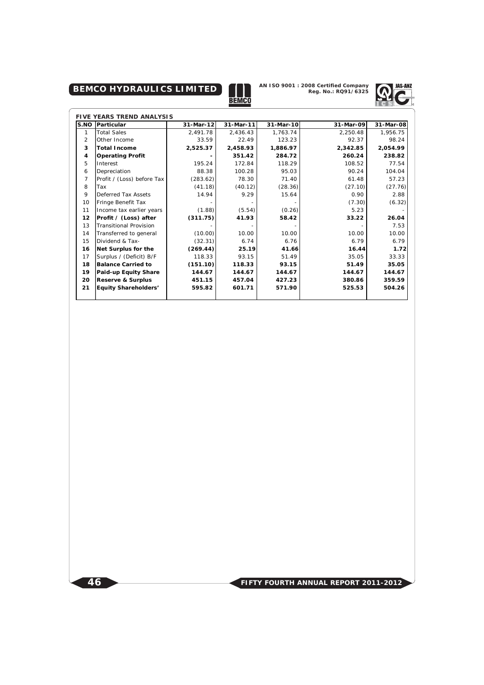# **BEMCO HYDRAULICS LIMITED ANNEL**

AN ISO 9001 : 2008 Certified Company<br>Reg. No.: RQ91/6325



|                | S.NO Particular               | 31-Mar-12 | 31-Mar-11 | 31-Mar-10 | 31-Mar-09 | 31-Mar-08 |
|----------------|-------------------------------|-----------|-----------|-----------|-----------|-----------|
| 1              | <b>Total Sales</b>            | 2,491.78  | 2,436.43  | 1,763.74  | 2.250.48  | 1,956.75  |
| $\overline{2}$ | Other Income                  | 33.59     | 22.49     | 123.23    | 92.37     | 98.24     |
| 3              | <b>Total Income</b>           | 2,525.37  | 2,458.93  | 1,886.97  | 2,342.85  | 2,054.99  |
| 4              | <b>Operating Profit</b>       |           | 351.42    | 284.72    | 260.24    | 238.82    |
| 5              | Interest                      | 195.24    | 172.84    | 118.29    | 108.52    | 77.54     |
| 6              | Depreciation                  | 88.38     | 100.28    | 95.03     | 90.24     | 104.04    |
| 7              | Profit / (Loss) before Tax    | (283.62)  | 78.30     | 71.40     | 61.48     | 57.23     |
| 8              | Tax                           | (41.18)   | (40.12)   | (28.36)   | (27.10)   | (27.76)   |
| 9              | Deferred Tax Assets           | 14.94     | 9.29      | 15.64     | 0.90      | 2.88      |
| 10             | Fringe Benefit Tax            |           |           |           | (7.30)    | (6.32)    |
| 11             | Income tax earlier years      | (1.88)    | (5.54)    | (0.26)    | 5.23      |           |
| 12             | Profit / (Loss) after         | (311.75)  | 41.93     | 58.42     | 33.22     | 26.04     |
| 13             | <b>Transitional Provision</b> |           |           |           |           | 7.53      |
| 14             | Transferred to general        | (10.00)   | 10.00     | 10.00     | 10.00     | 10.00     |
| 15             | Dividend & Tax-               | (32.31)   | 6.74      | 6.76      | 6.79      | 6.79      |
| 16             | Net Surplus for the           | (269.44)  | 25.19     | 41.66     | 16.44     | 1.72      |
| 17             | Surplus / (Deficit) B/F       | 118.33    | 93.15     | 51.49     | 35.05     | 33.33     |
| 18             | <b>Balance Carried to</b>     | (151.10)  | 118.33    | 93.15     | 51.49     | 35.05     |
| 19             | Paid-up Equity Share          | 144.67    | 144.67    | 144.67    | 144.67    | 144.67    |
| 20             | <b>Reserve &amp; Surplus</b>  | 451.15    | 457.04    | 427.23    | 380.86    | 359.59    |
| 21             | <b>Equity Shareholders'</b>   | 595.82    | 601.71    | 571.90    | 525.53    | 504.26    |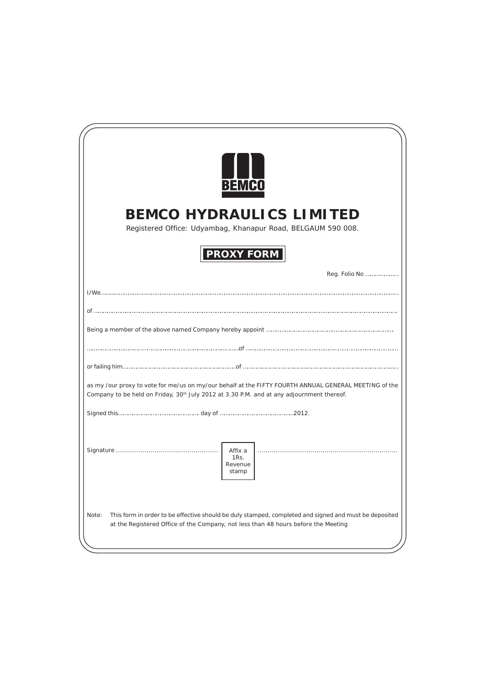|       | <b>BEMCO</b>                                                                                                                                                                                                   |
|-------|----------------------------------------------------------------------------------------------------------------------------------------------------------------------------------------------------------------|
|       | <b>BEMCO HYDRAULICS LIMITED</b><br>Registered Office: Udyambag, Khanapur Road, BELGAUM 590 008.                                                                                                                |
|       | <b>PROXY FORM</b>                                                                                                                                                                                              |
|       | Reg. Folio No                                                                                                                                                                                                  |
|       |                                                                                                                                                                                                                |
|       |                                                                                                                                                                                                                |
|       | as my /our proxy to vote for me/us on my/our behalf at the FIFTY FOURTH ANNUAL GENERAL MEETING of the<br>Company to be held on Friday, 30 <sup>th</sup> July 2012 at 3.30 P.M. and at any adjournment thereof. |
|       |                                                                                                                                                                                                                |
|       | Affix a<br>1Rs.<br>Revenue<br>stamp                                                                                                                                                                            |
| Note: | This form in order to be effective should be duly stamped, completed and signed and must be deposited<br>at the Registered Office of the Company, not less than 48 hours before the Meeting                    |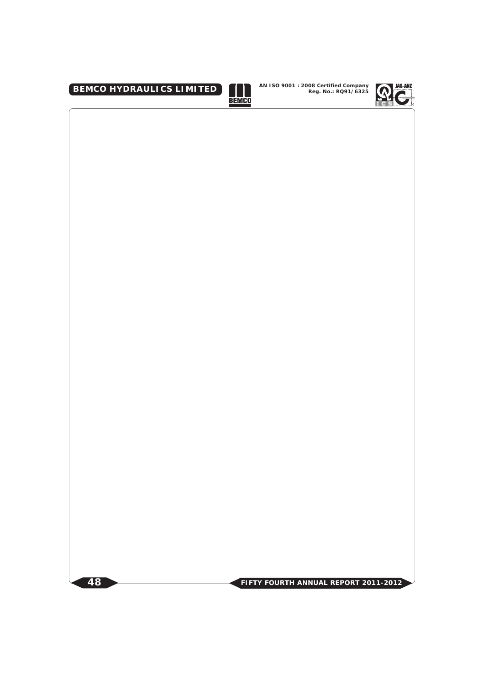**BEMCO HYDRAULICS LIMITED ANNEL** 



AN ISO 9001 : 2008 Certified Company<br>Reg. No.: RQ91/6325